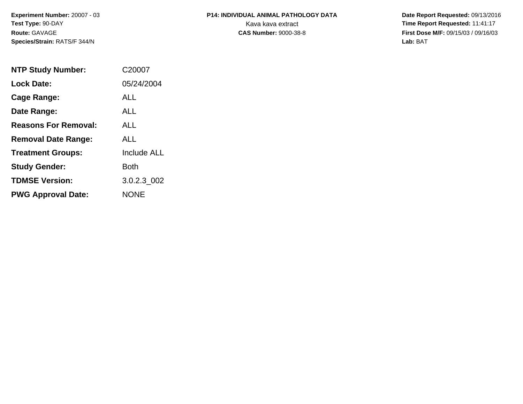**Experiment Number:** 20007 - 03**Test Type:** 90-DAY**Route:** GAVAGE**Species/Strain:** RATS/F 344/N

## **P14: INDIVIDUAL ANIMAL PATHOLOGY DATA**Kava kava extract **Time Report Requested:** 11:41:17<br>**CAS Number:** 9000-38-8 **Time Report Requested:** 11:41:17

 **Date Report Requested:** 09/13/2016 **First Dose M/F:** 09/15/03 / 09/16/03<br>Lab: BAT **Lab:** BAT

| <b>NTP Study Number:</b>    | C20007             |
|-----------------------------|--------------------|
| <b>Lock Date:</b>           | 05/24/2004         |
| Cage Range:                 | ALL                |
| Date Range:                 | ALL                |
| <b>Reasons For Removal:</b> | ALL.               |
| <b>Removal Date Range:</b>  | ALL                |
| <b>Treatment Groups:</b>    | <b>Include ALL</b> |
| <b>Study Gender:</b>        | <b>Both</b>        |
| <b>TDMSE Version:</b>       | 3.0.2.3 002        |
| <b>PWG Approval Date:</b>   | <b>NONE</b>        |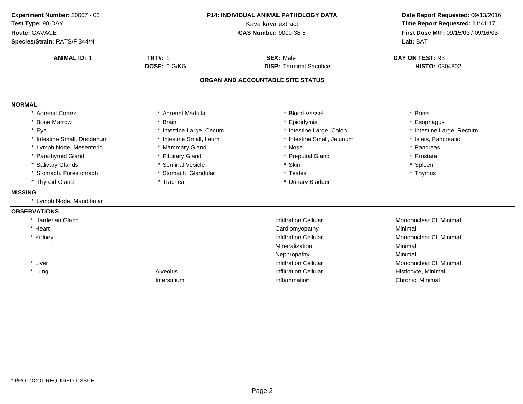| Experiment Number: 20007 - 03<br>Test Type: 90-DAY<br>Route: GAVAGE<br>Species/Strain: RATS/F 344/N | <b>P14: INDIVIDUAL ANIMAL PATHOLOGY DATA</b><br>Kava kava extract<br><b>CAS Number: 9000-38-8</b> |                                                     | Date Report Requested: 09/13/2016<br>Time Report Requested: 11:41:17<br>First Dose M/F: 09/15/03 / 09/16/03<br>Lab: BAT |
|-----------------------------------------------------------------------------------------------------|---------------------------------------------------------------------------------------------------|-----------------------------------------------------|-------------------------------------------------------------------------------------------------------------------------|
| <b>ANIMAL ID: 1</b>                                                                                 | <b>TRT#: 1</b><br>DOSE: 0 G/KG                                                                    | <b>SEX: Male</b><br><b>DISP: Terminal Sacrifice</b> | DAY ON TEST: 93<br>HISTO: 0304802                                                                                       |
|                                                                                                     |                                                                                                   | ORGAN AND ACCOUNTABLE SITE STATUS                   |                                                                                                                         |
| <b>NORMAL</b>                                                                                       |                                                                                                   |                                                     |                                                                                                                         |
| * Adrenal Cortex                                                                                    | * Adrenal Medulla                                                                                 | * Blood Vessel                                      | $*$ Bone                                                                                                                |
| * Bone Marrow                                                                                       | <b>Brain</b>                                                                                      | Epididymis                                          | * Esophagus                                                                                                             |
| * Eye                                                                                               | * Intestine Large, Cecum                                                                          | * Intestine Large, Colon                            | * Intestine Large, Rectum                                                                                               |
| * Intestine Small, Duodenum                                                                         | * Intestine Small, Ileum                                                                          | * Intestine Small, Jejunum                          | * Islets, Pancreatic                                                                                                    |
| * Lymph Node, Mesenteric                                                                            | * Mammary Gland                                                                                   | * Nose                                              | * Pancreas                                                                                                              |
| * Parathyroid Gland                                                                                 | * Pituitary Gland                                                                                 | * Preputial Gland                                   | * Prostate                                                                                                              |
| * Salivary Glands                                                                                   | * Seminal Vesicle                                                                                 | * Skin                                              | * Spleen                                                                                                                |
| * Stomach, Forestomach                                                                              | * Stomach, Glandular                                                                              | * Testes                                            | * Thymus                                                                                                                |
| * Thyroid Gland                                                                                     | * Trachea                                                                                         | * Urinary Bladder                                   |                                                                                                                         |
| <b>MISSING</b>                                                                                      |                                                                                                   |                                                     |                                                                                                                         |
| * Lymph Node, Mandibular                                                                            |                                                                                                   |                                                     |                                                                                                                         |
| <b>OBSERVATIONS</b>                                                                                 |                                                                                                   |                                                     |                                                                                                                         |
| * Harderian Gland                                                                                   |                                                                                                   | <b>Infiltration Cellular</b>                        | Mononuclear CI, Minimal                                                                                                 |
| * Heart                                                                                             |                                                                                                   | Cardiomyopathy                                      | Minimal                                                                                                                 |
| * Kidney                                                                                            |                                                                                                   | <b>Infiltration Cellular</b>                        | Mononuclear CI, Minimal                                                                                                 |
|                                                                                                     |                                                                                                   | Mineralization                                      | Minimal                                                                                                                 |
|                                                                                                     |                                                                                                   | Nephropathy                                         | Minimal                                                                                                                 |
| * Liver                                                                                             |                                                                                                   | <b>Infiltration Cellular</b>                        | Mononuclear CI, Minimal                                                                                                 |
| * Lung                                                                                              | Alveolus                                                                                          | <b>Infiltration Cellular</b>                        | Histiocyte, Minimal                                                                                                     |
|                                                                                                     | Interstitium                                                                                      | Inflammation                                        | Chronic, Minimal                                                                                                        |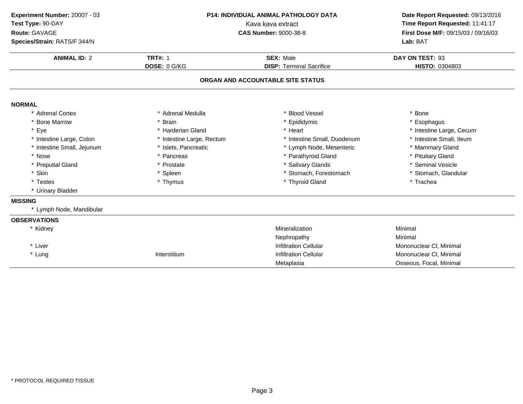| Experiment Number: 20007 - 03<br>Test Type: 90-DAY<br>Route: GAVAGE<br>Species/Strain: RATS/F 344/N | <b>P14: INDIVIDUAL ANIMAL PATHOLOGY DATA</b><br>Kava kava extract<br><b>CAS Number: 9000-38-8</b> |                                                     | Date Report Requested: 09/13/2016<br>Time Report Requested: 11:41:17<br>First Dose M/F: 09/15/03 / 09/16/03<br>Lab: BAT |  |
|-----------------------------------------------------------------------------------------------------|---------------------------------------------------------------------------------------------------|-----------------------------------------------------|-------------------------------------------------------------------------------------------------------------------------|--|
|                                                                                                     |                                                                                                   |                                                     |                                                                                                                         |  |
| <b>ANIMAL ID: 2</b>                                                                                 | <b>TRT#: 1</b><br>DOSE: 0 G/KG                                                                    | <b>SEX: Male</b><br><b>DISP: Terminal Sacrifice</b> | DAY ON TEST: 93<br>HISTO: 0304803                                                                                       |  |
|                                                                                                     |                                                                                                   | ORGAN AND ACCOUNTABLE SITE STATUS                   |                                                                                                                         |  |
|                                                                                                     |                                                                                                   |                                                     |                                                                                                                         |  |
| <b>NORMAL</b>                                                                                       |                                                                                                   |                                                     |                                                                                                                         |  |
| * Adrenal Cortex                                                                                    | * Adrenal Medulla                                                                                 | <b>Blood Vessel</b>                                 | * Bone                                                                                                                  |  |
| * Bone Marrow                                                                                       | * Brain                                                                                           | * Epididymis                                        | * Esophagus                                                                                                             |  |
| * Eye                                                                                               | * Harderian Gland                                                                                 | * Heart                                             | * Intestine Large, Cecum                                                                                                |  |
| * Intestine Large, Colon                                                                            | * Intestine Large, Rectum                                                                         | * Intestine Small, Duodenum                         | * Intestine Small, Ileum                                                                                                |  |
| * Intestine Small, Jejunum                                                                          | * Islets, Pancreatic                                                                              | * Lymph Node, Mesenteric                            | * Mammary Gland                                                                                                         |  |
| * Nose                                                                                              | * Pancreas                                                                                        | * Parathyroid Gland                                 | * Pituitary Gland                                                                                                       |  |
| * Preputial Gland                                                                                   | * Prostate                                                                                        | <b>Salivary Glands</b>                              | * Seminal Vesicle                                                                                                       |  |
| * Skin                                                                                              | * Spleen                                                                                          | * Stomach, Forestomach                              | * Stomach, Glandular                                                                                                    |  |
| * Testes                                                                                            | * Thymus                                                                                          | * Thyroid Gland                                     | * Trachea                                                                                                               |  |
| * Urinary Bladder                                                                                   |                                                                                                   |                                                     |                                                                                                                         |  |
| <b>MISSING</b>                                                                                      |                                                                                                   |                                                     |                                                                                                                         |  |
| * Lymph Node, Mandibular                                                                            |                                                                                                   |                                                     |                                                                                                                         |  |
| <b>OBSERVATIONS</b>                                                                                 |                                                                                                   |                                                     |                                                                                                                         |  |
| * Kidney                                                                                            |                                                                                                   | Mineralization                                      | Minimal                                                                                                                 |  |
|                                                                                                     |                                                                                                   | Nephropathy                                         | Minimal                                                                                                                 |  |
| * Liver                                                                                             |                                                                                                   | <b>Infiltration Cellular</b>                        | Mononuclear CI, Minimal                                                                                                 |  |
| * Lung                                                                                              | Interstitium                                                                                      | <b>Infiltration Cellular</b>                        | Mononuclear CI, Minimal                                                                                                 |  |
|                                                                                                     |                                                                                                   | Metaplasia                                          | Osseous, Focal, Minimal                                                                                                 |  |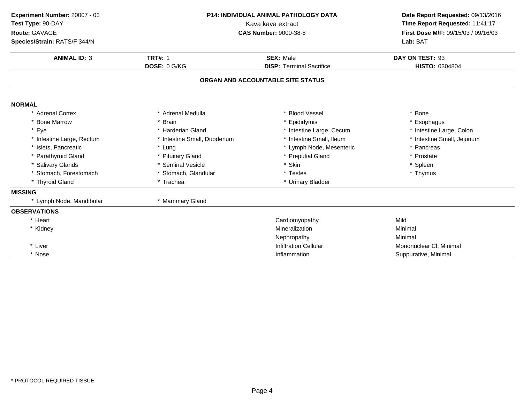| Experiment Number: 20007 - 03<br>Test Type: 90-DAY<br>Route: GAVAGE<br>Species/Strain: RATS/F 344/N | <b>P14: INDIVIDUAL ANIMAL PATHOLOGY DATA</b><br>Kava kava extract<br><b>CAS Number: 9000-38-8</b> |                                   | Date Report Requested: 09/13/2016<br>Time Report Requested: 11:41:17<br>First Dose M/F: 09/15/03 / 09/16/03<br>Lab: BAT |  |
|-----------------------------------------------------------------------------------------------------|---------------------------------------------------------------------------------------------------|-----------------------------------|-------------------------------------------------------------------------------------------------------------------------|--|
|                                                                                                     |                                                                                                   |                                   |                                                                                                                         |  |
| <b>ANIMAL ID: 3</b>                                                                                 | <b>TRT#: 1</b>                                                                                    | <b>SEX: Male</b>                  | DAY ON TEST: 93                                                                                                         |  |
|                                                                                                     | DOSE: 0 G/KG                                                                                      | <b>DISP: Terminal Sacrifice</b>   | HISTO: 0304804                                                                                                          |  |
|                                                                                                     |                                                                                                   | ORGAN AND ACCOUNTABLE SITE STATUS |                                                                                                                         |  |
| <b>NORMAL</b>                                                                                       |                                                                                                   |                                   |                                                                                                                         |  |
| * Adrenal Cortex                                                                                    | * Adrenal Medulla                                                                                 | * Blood Vessel                    | * Bone                                                                                                                  |  |
| * Bone Marrow                                                                                       | * Brain                                                                                           | * Epididymis                      | * Esophagus                                                                                                             |  |
| * Eye                                                                                               | * Harderian Gland                                                                                 | * Intestine Large, Cecum          | * Intestine Large, Colon                                                                                                |  |
| * Intestine Large, Rectum                                                                           | * Intestine Small, Duodenum                                                                       | * Intestine Small, Ileum          | * Intestine Small, Jejunum                                                                                              |  |
| * Islets, Pancreatic                                                                                | * Lung                                                                                            | * Lymph Node, Mesenteric          | * Pancreas                                                                                                              |  |
| * Parathyroid Gland                                                                                 | * Pituitary Gland                                                                                 | * Preputial Gland                 | * Prostate                                                                                                              |  |
| * Salivary Glands                                                                                   | * Seminal Vesicle                                                                                 | * Skin                            | * Spleen                                                                                                                |  |
| * Stomach, Forestomach                                                                              | * Stomach, Glandular                                                                              | * Testes                          | * Thymus                                                                                                                |  |
| * Thyroid Gland                                                                                     | * Trachea                                                                                         | * Urinary Bladder                 |                                                                                                                         |  |
| <b>MISSING</b>                                                                                      |                                                                                                   |                                   |                                                                                                                         |  |
| * Lymph Node, Mandibular                                                                            | * Mammary Gland                                                                                   |                                   |                                                                                                                         |  |
| <b>OBSERVATIONS</b>                                                                                 |                                                                                                   |                                   |                                                                                                                         |  |
| * Heart                                                                                             |                                                                                                   | Cardiomyopathy                    | Mild                                                                                                                    |  |
| * Kidney                                                                                            |                                                                                                   | Mineralization                    | Minimal                                                                                                                 |  |
|                                                                                                     |                                                                                                   | Nephropathy                       | Minimal                                                                                                                 |  |
| * Liver                                                                                             |                                                                                                   | <b>Infiltration Cellular</b>      | Mononuclear CI, Minimal                                                                                                 |  |
| * Nose                                                                                              |                                                                                                   | Inflammation                      | Suppurative, Minimal                                                                                                    |  |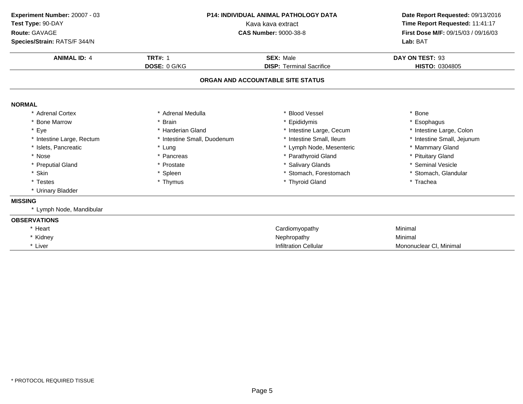| Experiment Number: 20007 - 03 | <b>P14: INDIVIDUAL ANIMAL PATHOLOGY DATA</b><br>Kava kava extract |                                   | Date Report Requested: 09/13/2016   |  |
|-------------------------------|-------------------------------------------------------------------|-----------------------------------|-------------------------------------|--|
| Test Type: 90-DAY             |                                                                   |                                   | Time Report Requested: 11:41:17     |  |
| Route: GAVAGE                 |                                                                   | <b>CAS Number: 9000-38-8</b>      | First Dose M/F: 09/15/03 / 09/16/03 |  |
| Species/Strain: RATS/F 344/N  |                                                                   |                                   | Lab: BAT                            |  |
| <b>ANIMAL ID: 4</b>           | <b>TRT#: 1</b>                                                    | <b>SEX: Male</b>                  | DAY ON TEST: 93                     |  |
|                               | DOSE: 0 G/KG                                                      | <b>DISP: Terminal Sacrifice</b>   | HISTO: 0304805                      |  |
|                               |                                                                   | ORGAN AND ACCOUNTABLE SITE STATUS |                                     |  |
| <b>NORMAL</b>                 |                                                                   |                                   |                                     |  |
| * Adrenal Cortex              | * Adrenal Medulla                                                 | * Blood Vessel                    | * Bone                              |  |
| * Bone Marrow                 | * Brain                                                           | Epididymis                        | * Esophagus                         |  |
| * Eye                         | * Harderian Gland                                                 | * Intestine Large, Cecum          | * Intestine Large, Colon            |  |
| * Intestine Large, Rectum     | * Intestine Small, Duodenum                                       | * Intestine Small, Ileum          | * Intestine Small, Jejunum          |  |
| * Islets, Pancreatic          | * Lung                                                            | * Lymph Node, Mesenteric          | * Mammary Gland                     |  |
| * Nose                        | * Pancreas                                                        | * Parathyroid Gland               | * Pituitary Gland                   |  |
| * Preputial Gland             | * Prostate                                                        | * Salivary Glands                 | * Seminal Vesicle                   |  |
| * Skin                        | * Spleen                                                          | * Stomach, Forestomach            | * Stomach, Glandular                |  |
| * Testes                      | * Thymus                                                          | * Thyroid Gland                   | * Trachea                           |  |
| * Urinary Bladder             |                                                                   |                                   |                                     |  |
| <b>MISSING</b>                |                                                                   |                                   |                                     |  |
| * Lymph Node, Mandibular      |                                                                   |                                   |                                     |  |
| <b>OBSERVATIONS</b>           |                                                                   |                                   |                                     |  |
| * Heart                       |                                                                   | Cardiomyopathy                    | Minimal                             |  |
| * Kidney                      |                                                                   | Nephropathy                       | Minimal                             |  |
| * Liver                       |                                                                   | <b>Infiltration Cellular</b>      | Mononuclear CI, Minimal             |  |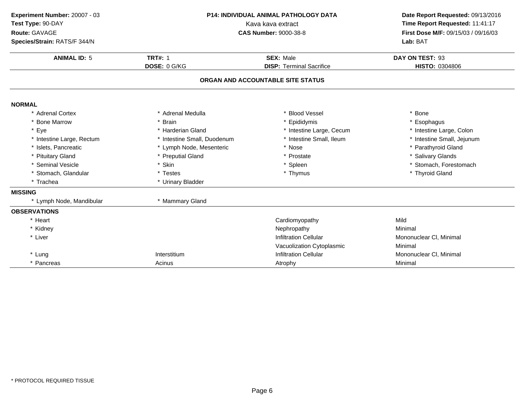| Experiment Number: 20007 - 03<br>Test Type: 90-DAY<br>Route: GAVAGE<br>Species/Strain: RATS/F 344/N | P14: INDIVIDUAL ANIMAL PATHOLOGY DATA<br>Kava kava extract<br><b>CAS Number: 9000-38-8</b> |                                                     | Lab: BAT                          |  | Date Report Requested: 09/13/2016<br>Time Report Requested: 11:41:17<br>First Dose M/F: 09/15/03 / 09/16/03 |
|-----------------------------------------------------------------------------------------------------|--------------------------------------------------------------------------------------------|-----------------------------------------------------|-----------------------------------|--|-------------------------------------------------------------------------------------------------------------|
| <b>ANIMAL ID: 5</b>                                                                                 | <b>TRT#: 1</b><br>DOSE: 0 G/KG                                                             | <b>SEX: Male</b><br><b>DISP: Terminal Sacrifice</b> | DAY ON TEST: 93<br>HISTO: 0304806 |  |                                                                                                             |
|                                                                                                     |                                                                                            |                                                     |                                   |  |                                                                                                             |
|                                                                                                     |                                                                                            | ORGAN AND ACCOUNTABLE SITE STATUS                   |                                   |  |                                                                                                             |
| <b>NORMAL</b>                                                                                       |                                                                                            |                                                     |                                   |  |                                                                                                             |
| * Adrenal Cortex                                                                                    | * Adrenal Medulla                                                                          | * Blood Vessel                                      | * Bone                            |  |                                                                                                             |
| * Bone Marrow                                                                                       | * Brain                                                                                    | * Epididymis                                        | * Esophagus                       |  |                                                                                                             |
| * Eye                                                                                               | * Harderian Gland                                                                          | * Intestine Large, Cecum                            | * Intestine Large, Colon          |  |                                                                                                             |
| * Intestine Large, Rectum                                                                           | * Intestine Small, Duodenum                                                                | * Intestine Small, Ileum                            | * Intestine Small, Jejunum        |  |                                                                                                             |
| * Islets, Pancreatic                                                                                | * Lymph Node, Mesenteric                                                                   | * Nose                                              | * Parathyroid Gland               |  |                                                                                                             |
| * Pituitary Gland                                                                                   | * Preputial Gland                                                                          | * Prostate                                          | * Salivary Glands                 |  |                                                                                                             |
| * Seminal Vesicle                                                                                   | * Skin                                                                                     | * Spleen                                            | * Stomach, Forestomach            |  |                                                                                                             |
| * Stomach, Glandular                                                                                | * Testes                                                                                   | * Thymus                                            | * Thyroid Gland                   |  |                                                                                                             |
| * Trachea                                                                                           | * Urinary Bladder                                                                          |                                                     |                                   |  |                                                                                                             |
| <b>MISSING</b>                                                                                      |                                                                                            |                                                     |                                   |  |                                                                                                             |
| * Lymph Node, Mandibular                                                                            | * Mammary Gland                                                                            |                                                     |                                   |  |                                                                                                             |
| <b>OBSERVATIONS</b>                                                                                 |                                                                                            |                                                     |                                   |  |                                                                                                             |
| * Heart                                                                                             |                                                                                            | Cardiomyopathy                                      | Mild                              |  |                                                                                                             |
| * Kidney                                                                                            |                                                                                            | Nephropathy                                         | Minimal                           |  |                                                                                                             |
| * Liver                                                                                             |                                                                                            | <b>Infiltration Cellular</b>                        | Mononuclear CI, Minimal           |  |                                                                                                             |
|                                                                                                     |                                                                                            | Vacuolization Cytoplasmic                           | Minimal                           |  |                                                                                                             |
| * Lung                                                                                              | Interstitium                                                                               | <b>Infiltration Cellular</b>                        | Mononuclear CI, Minimal           |  |                                                                                                             |
| * Pancreas                                                                                          | Acinus                                                                                     | Atrophy                                             | Minimal                           |  |                                                                                                             |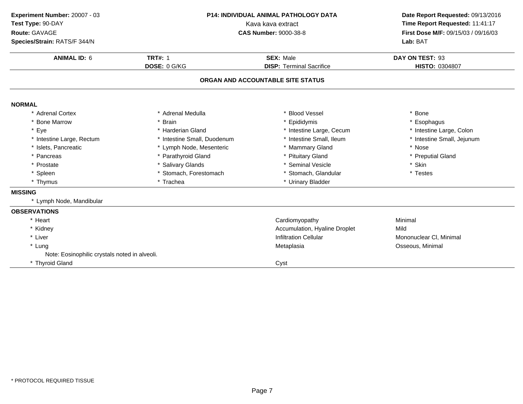| Experiment Number: 20007 - 03<br>Test Type: 90-DAY<br>Route: GAVAGE | <b>P14: INDIVIDUAL ANIMAL PATHOLOGY DATA</b><br>Kava kava extract<br><b>CAS Number: 9000-38-8</b> |                                   | Date Report Requested: 09/13/2016<br>Time Report Requested: 11:41:17<br>First Dose M/F: 09/15/03 / 09/16/03 |  |
|---------------------------------------------------------------------|---------------------------------------------------------------------------------------------------|-----------------------------------|-------------------------------------------------------------------------------------------------------------|--|
| Species/Strain: RATS/F 344/N                                        |                                                                                                   |                                   | Lab: BAT                                                                                                    |  |
| <b>ANIMAL ID: 6</b>                                                 | <b>TRT#: 1</b>                                                                                    | <b>SEX: Male</b>                  | DAY ON TEST: 93                                                                                             |  |
|                                                                     | DOSE: 0 G/KG                                                                                      | <b>DISP: Terminal Sacrifice</b>   | HISTO: 0304807                                                                                              |  |
|                                                                     |                                                                                                   | ORGAN AND ACCOUNTABLE SITE STATUS |                                                                                                             |  |
| <b>NORMAL</b>                                                       |                                                                                                   |                                   |                                                                                                             |  |
| * Adrenal Cortex                                                    | * Adrenal Medulla                                                                                 | * Blood Vessel                    | * Bone                                                                                                      |  |
| * Bone Marrow                                                       | * Brain                                                                                           | * Epididymis                      | Esophagus                                                                                                   |  |
| * Eye                                                               | * Harderian Gland                                                                                 | * Intestine Large, Cecum          | * Intestine Large, Colon                                                                                    |  |
| * Intestine Large, Rectum                                           | * Intestine Small, Duodenum                                                                       | * Intestine Small, Ileum          | * Intestine Small, Jejunum                                                                                  |  |
| * Islets, Pancreatic                                                | * Lymph Node, Mesenteric                                                                          | * Mammary Gland                   | * Nose                                                                                                      |  |
| * Pancreas                                                          | * Parathyroid Gland                                                                               | * Pituitary Gland                 | * Preputial Gland                                                                                           |  |
| * Prostate                                                          | * Salivary Glands                                                                                 | * Seminal Vesicle                 | * Skin                                                                                                      |  |
| * Spleen                                                            | * Stomach, Forestomach                                                                            | * Stomach, Glandular              | * Testes                                                                                                    |  |
| * Thymus                                                            | * Trachea                                                                                         | * Urinary Bladder                 |                                                                                                             |  |
| <b>MISSING</b>                                                      |                                                                                                   |                                   |                                                                                                             |  |
| * Lymph Node, Mandibular                                            |                                                                                                   |                                   |                                                                                                             |  |
| <b>OBSERVATIONS</b>                                                 |                                                                                                   |                                   |                                                                                                             |  |
| * Heart                                                             |                                                                                                   | Cardiomyopathy                    | Minimal                                                                                                     |  |
| * Kidney                                                            |                                                                                                   | Accumulation, Hyaline Droplet     | Mild                                                                                                        |  |
| * Liver                                                             |                                                                                                   | <b>Infiltration Cellular</b>      | Mononuclear CI, Minimal                                                                                     |  |
| * Lung                                                              |                                                                                                   | Metaplasia                        | Osseous, Minimal                                                                                            |  |
| Note: Eosinophilic crystals noted in alveoli.                       |                                                                                                   |                                   |                                                                                                             |  |
| * Thyroid Gland                                                     |                                                                                                   | Cyst                              |                                                                                                             |  |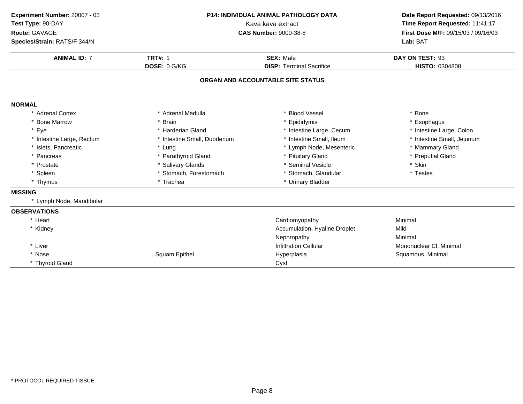| Experiment Number: 20007 - 03<br>Test Type: 90-DAY<br>Route: GAVAGE<br>Species/Strain: RATS/F 344/N | <b>P14: INDIVIDUAL ANIMAL PATHOLOGY DATA</b><br>Kava kava extract<br><b>CAS Number: 9000-38-8</b> |                                                     | Date Report Requested: 09/13/2016<br>Time Report Requested: 11:41:17<br>First Dose M/F: 09/15/03 / 09/16/03<br>Lab: BAT |  |
|-----------------------------------------------------------------------------------------------------|---------------------------------------------------------------------------------------------------|-----------------------------------------------------|-------------------------------------------------------------------------------------------------------------------------|--|
| <b>ANIMAL ID: 7</b>                                                                                 | <b>TRT#: 1</b><br>DOSE: 0 G/KG                                                                    | <b>SEX: Male</b><br><b>DISP: Terminal Sacrifice</b> | DAY ON TEST: 93<br>HISTO: 0304808                                                                                       |  |
|                                                                                                     |                                                                                                   | ORGAN AND ACCOUNTABLE SITE STATUS                   |                                                                                                                         |  |
| <b>NORMAL</b>                                                                                       |                                                                                                   |                                                     |                                                                                                                         |  |
| * Adrenal Cortex                                                                                    | * Adrenal Medulla                                                                                 | * Blood Vessel                                      | * Bone                                                                                                                  |  |
| * Bone Marrow                                                                                       | * Brain                                                                                           | * Epididymis                                        | * Esophagus                                                                                                             |  |
| * Eye                                                                                               | * Harderian Gland                                                                                 | * Intestine Large, Cecum                            | * Intestine Large, Colon                                                                                                |  |
| * Intestine Large, Rectum                                                                           | * Intestine Small, Duodenum                                                                       | * Intestine Small, Ileum                            | * Intestine Small, Jejunum                                                                                              |  |
| * Islets, Pancreatic                                                                                | * Lung                                                                                            | * Lymph Node, Mesenteric                            | * Mammary Gland                                                                                                         |  |
| * Pancreas                                                                                          | * Parathyroid Gland                                                                               | * Pituitary Gland                                   | * Preputial Gland                                                                                                       |  |
| * Prostate                                                                                          | * Salivary Glands                                                                                 | * Seminal Vesicle                                   | * Skin                                                                                                                  |  |
| * Spleen                                                                                            | * Stomach, Forestomach                                                                            | * Stomach, Glandular                                | * Testes                                                                                                                |  |
| * Thymus                                                                                            | * Trachea                                                                                         | * Urinary Bladder                                   |                                                                                                                         |  |
| <b>MISSING</b>                                                                                      |                                                                                                   |                                                     |                                                                                                                         |  |
| * Lymph Node, Mandibular                                                                            |                                                                                                   |                                                     |                                                                                                                         |  |
| <b>OBSERVATIONS</b>                                                                                 |                                                                                                   |                                                     |                                                                                                                         |  |
| * Heart                                                                                             |                                                                                                   | Cardiomyopathy                                      | Minimal                                                                                                                 |  |
| * Kidney                                                                                            |                                                                                                   | Accumulation, Hyaline Droplet                       | Mild                                                                                                                    |  |
|                                                                                                     |                                                                                                   | Nephropathy                                         | Minimal                                                                                                                 |  |
| * Liver                                                                                             |                                                                                                   | <b>Infiltration Cellular</b>                        | Mononuclear CI, Minimal                                                                                                 |  |
| * Nose                                                                                              | Squam Epithel                                                                                     | Hyperplasia                                         | Squamous, Minimal                                                                                                       |  |
| * Thyroid Gland                                                                                     |                                                                                                   | Cyst                                                |                                                                                                                         |  |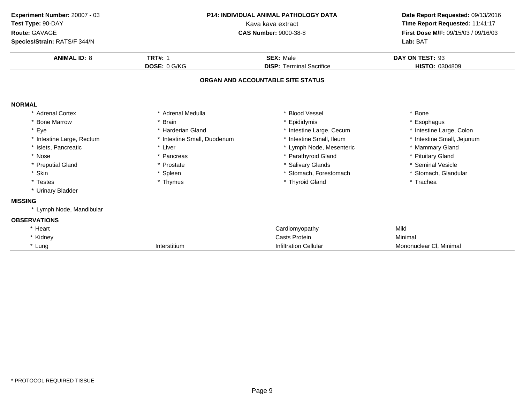| Experiment Number: 20007 - 03<br>Test Type: 90-DAY<br>Route: GAVAGE<br>Species/Strain: RATS/F 344/N | <b>P14: INDIVIDUAL ANIMAL PATHOLOGY DATA</b><br>Kava kava extract<br><b>CAS Number: 9000-38-8</b> |                                                                      | Date Report Requested: 09/13/2016<br>Time Report Requested: 11:41:17<br>First Dose M/F: 09/15/03 / 09/16/03<br>Lab: BAT |  |
|-----------------------------------------------------------------------------------------------------|---------------------------------------------------------------------------------------------------|----------------------------------------------------------------------|-------------------------------------------------------------------------------------------------------------------------|--|
| <b>ANIMAL ID: 8</b>                                                                                 | <b>TRT#: 1</b><br>DOSE: 0 G/KG                                                                    | <b>SEX: Male</b>                                                     |                                                                                                                         |  |
|                                                                                                     |                                                                                                   | <b>DISP: Terminal Sacrifice</b><br>ORGAN AND ACCOUNTABLE SITE STATUS | HISTO: 0304809                                                                                                          |  |
| <b>NORMAL</b>                                                                                       |                                                                                                   |                                                                      |                                                                                                                         |  |
| * Adrenal Cortex                                                                                    | * Adrenal Medulla                                                                                 | * Blood Vessel                                                       | * Bone                                                                                                                  |  |
| <b>Bone Marrow</b>                                                                                  | * Brain                                                                                           | * Epididymis                                                         | * Esophagus                                                                                                             |  |
| * Eye                                                                                               | * Harderian Gland                                                                                 | * Intestine Large, Cecum                                             | * Intestine Large, Colon                                                                                                |  |
| * Intestine Large, Rectum                                                                           | * Intestine Small, Duodenum                                                                       | * Intestine Small, Ileum                                             | * Intestine Small, Jejunum                                                                                              |  |
| * Islets, Pancreatic                                                                                | * Liver                                                                                           | * Lymph Node, Mesenteric                                             | * Mammary Gland                                                                                                         |  |
| * Nose                                                                                              | * Pancreas                                                                                        | * Parathyroid Gland                                                  | * Pituitary Gland                                                                                                       |  |
| * Preputial Gland                                                                                   | * Prostate                                                                                        | * Salivary Glands                                                    | * Seminal Vesicle                                                                                                       |  |
| * Skin                                                                                              | * Spleen                                                                                          | * Stomach, Forestomach                                               | * Stomach, Glandular                                                                                                    |  |
| * Testes                                                                                            | * Thymus                                                                                          | * Thyroid Gland                                                      | * Trachea                                                                                                               |  |
| * Urinary Bladder                                                                                   |                                                                                                   |                                                                      |                                                                                                                         |  |
| <b>MISSING</b>                                                                                      |                                                                                                   |                                                                      |                                                                                                                         |  |
| * Lymph Node, Mandibular                                                                            |                                                                                                   |                                                                      |                                                                                                                         |  |
| <b>OBSERVATIONS</b>                                                                                 |                                                                                                   |                                                                      |                                                                                                                         |  |
| * Heart                                                                                             |                                                                                                   | Cardiomyopathy                                                       | Mild                                                                                                                    |  |
| * Kidney                                                                                            |                                                                                                   | <b>Casts Protein</b>                                                 | Minimal                                                                                                                 |  |
| * Lung                                                                                              | Interstitium                                                                                      | <b>Infiltration Cellular</b>                                         | Mononuclear CI, Minimal                                                                                                 |  |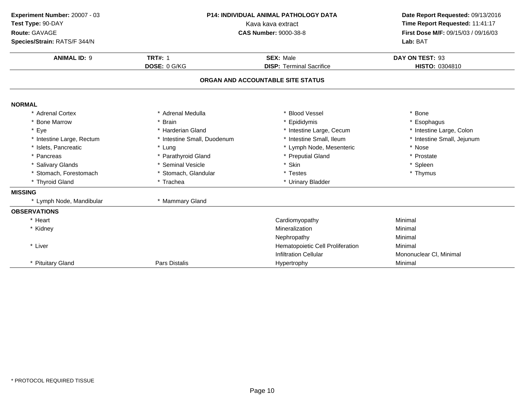| Experiment Number: 20007 - 03<br>Test Type: 90-DAY<br>Route: GAVAGE<br>Species/Strain: RATS/F 344/N | P14: INDIVIDUAL ANIMAL PATHOLOGY DATA<br>Kava kava extract<br><b>CAS Number: 9000-38-8</b> |                                                     | Date Report Requested: 09/13/2016<br>Time Report Requested: 11:41:17<br>First Dose M/F: 09/15/03 / 09/16/03<br>Lab: BAT |  |
|-----------------------------------------------------------------------------------------------------|--------------------------------------------------------------------------------------------|-----------------------------------------------------|-------------------------------------------------------------------------------------------------------------------------|--|
| <b>ANIMAL ID: 9</b>                                                                                 | <b>TRT#: 1</b><br>DOSE: 0 G/KG                                                             | <b>SEX: Male</b><br><b>DISP: Terminal Sacrifice</b> | DAY ON TEST: 93<br>HISTO: 0304810                                                                                       |  |
|                                                                                                     |                                                                                            | ORGAN AND ACCOUNTABLE SITE STATUS                   |                                                                                                                         |  |
| <b>NORMAL</b>                                                                                       |                                                                                            |                                                     |                                                                                                                         |  |
| * Adrenal Cortex                                                                                    | * Adrenal Medulla                                                                          | * Blood Vessel                                      | * Bone                                                                                                                  |  |
| * Bone Marrow                                                                                       | * Brain                                                                                    | * Epididymis                                        | * Esophagus                                                                                                             |  |
| * Eye                                                                                               | * Harderian Gland                                                                          | * Intestine Large, Cecum                            | * Intestine Large, Colon                                                                                                |  |
| * Intestine Large, Rectum                                                                           | * Intestine Small, Duodenum                                                                | * Intestine Small, Ileum                            | * Intestine Small, Jejunum                                                                                              |  |
| * Islets, Pancreatic                                                                                | * Lung                                                                                     | * Lymph Node, Mesenteric                            | * Nose                                                                                                                  |  |
| * Pancreas                                                                                          | * Parathyroid Gland                                                                        | * Preputial Gland                                   | * Prostate                                                                                                              |  |
| * Salivary Glands                                                                                   | * Seminal Vesicle                                                                          | * Skin                                              | * Spleen                                                                                                                |  |
| * Stomach, Forestomach                                                                              | * Stomach, Glandular                                                                       | * Testes                                            | * Thymus                                                                                                                |  |
| * Thyroid Gland                                                                                     | * Trachea                                                                                  | * Urinary Bladder                                   |                                                                                                                         |  |
| <b>MISSING</b>                                                                                      |                                                                                            |                                                     |                                                                                                                         |  |
| * Lymph Node, Mandibular                                                                            | * Mammary Gland                                                                            |                                                     |                                                                                                                         |  |
| <b>OBSERVATIONS</b>                                                                                 |                                                                                            |                                                     |                                                                                                                         |  |
| * Heart                                                                                             |                                                                                            | Cardiomyopathy                                      | Minimal                                                                                                                 |  |
| * Kidney                                                                                            |                                                                                            | Mineralization                                      | Minimal                                                                                                                 |  |
|                                                                                                     |                                                                                            | Nephropathy                                         | Minimal                                                                                                                 |  |
| * Liver                                                                                             |                                                                                            | Hematopoietic Cell Proliferation                    | Minimal                                                                                                                 |  |
|                                                                                                     |                                                                                            | <b>Infiltration Cellular</b>                        | Mononuclear CI, Minimal                                                                                                 |  |
| * Pituitary Gland                                                                                   | <b>Pars Distalis</b>                                                                       | Hypertrophy                                         | Minimal                                                                                                                 |  |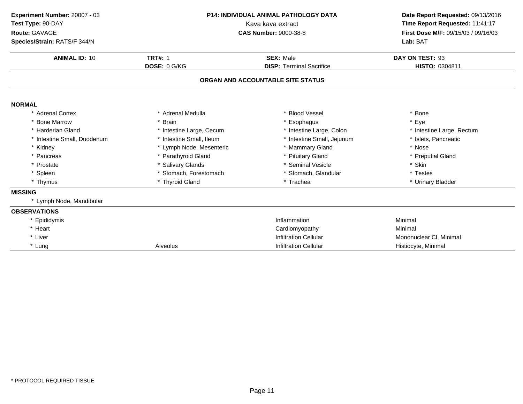| Experiment Number: 20007 - 03<br>Test Type: 90-DAY<br>Route: GAVAGE<br>Species/Strain: RATS/F 344/N | <b>P14: INDIVIDUAL ANIMAL PATHOLOGY DATA</b><br>Kava kava extract<br><b>CAS Number: 9000-38-8</b> |                                   | Date Report Requested: 09/13/2016<br>Time Report Requested: 11:41:17<br>First Dose M/F: 09/15/03 / 09/16/03<br>Lab: BAT |
|-----------------------------------------------------------------------------------------------------|---------------------------------------------------------------------------------------------------|-----------------------------------|-------------------------------------------------------------------------------------------------------------------------|
| <b>ANIMAL ID: 10</b>                                                                                | <b>TRT#: 1</b>                                                                                    | <b>SEX: Male</b>                  | DAY ON TEST: 93                                                                                                         |
|                                                                                                     | DOSE: 0 G/KG                                                                                      | <b>DISP: Terminal Sacrifice</b>   | HISTO: 0304811                                                                                                          |
|                                                                                                     |                                                                                                   | ORGAN AND ACCOUNTABLE SITE STATUS |                                                                                                                         |
| <b>NORMAL</b>                                                                                       |                                                                                                   |                                   |                                                                                                                         |
| * Adrenal Cortex                                                                                    | * Adrenal Medulla                                                                                 | * Blood Vessel                    | * Bone                                                                                                                  |
| * Bone Marrow                                                                                       | * Brain                                                                                           | * Esophagus                       | * Eye                                                                                                                   |
| * Harderian Gland                                                                                   | * Intestine Large, Cecum                                                                          | * Intestine Large, Colon          | * Intestine Large, Rectum                                                                                               |
| * Intestine Small, Duodenum                                                                         | * Intestine Small, Ileum                                                                          | * Intestine Small, Jejunum        | * Islets, Pancreatic                                                                                                    |
| * Kidney                                                                                            | * Lymph Node, Mesenteric                                                                          | * Mammary Gland                   | * Nose                                                                                                                  |
| * Pancreas                                                                                          | * Parathyroid Gland                                                                               | * Pituitary Gland                 | * Preputial Gland                                                                                                       |
| * Prostate                                                                                          | * Salivary Glands                                                                                 | * Seminal Vesicle                 | * Skin                                                                                                                  |
| * Spleen                                                                                            | * Stomach, Forestomach                                                                            | * Stomach, Glandular              | * Testes                                                                                                                |
| * Thymus                                                                                            | * Thyroid Gland                                                                                   | * Trachea                         | * Urinary Bladder                                                                                                       |
| <b>MISSING</b>                                                                                      |                                                                                                   |                                   |                                                                                                                         |
| * Lymph Node, Mandibular                                                                            |                                                                                                   |                                   |                                                                                                                         |
| <b>OBSERVATIONS</b>                                                                                 |                                                                                                   |                                   |                                                                                                                         |
| * Epididymis                                                                                        |                                                                                                   | Inflammation                      | Minimal                                                                                                                 |
| * Heart                                                                                             |                                                                                                   | Cardiomyopathy                    | Minimal                                                                                                                 |
| * Liver                                                                                             |                                                                                                   | <b>Infiltration Cellular</b>      | Mononuclear CI, Minimal                                                                                                 |
| * Lung                                                                                              | Alveolus                                                                                          | <b>Infiltration Cellular</b>      | Histiocyte, Minimal                                                                                                     |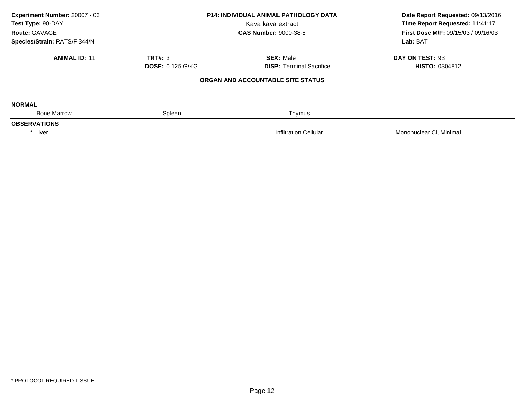| Experiment Number: 20007 - 03<br>Test Type: 90-DAY<br>Route: GAVAGE<br>Species/Strain: RATS/F 344/N                      | P14: INDIVIDUAL ANIMAL PATHOLOGY DATA<br>Kava kava extract<br><b>CAS Number: 9000-38-8</b> |                                          | Date Report Requested: 09/13/2016<br>Time Report Requested: 11:41:17<br>First Dose M/F: 09/15/03 / 09/16/03<br>Lab: BAT |
|--------------------------------------------------------------------------------------------------------------------------|--------------------------------------------------------------------------------------------|------------------------------------------|-------------------------------------------------------------------------------------------------------------------------|
| <b>ANIMAL ID: 11</b><br><b>TRT#: 3</b><br><b>SEX: Male</b><br><b>DOSE: 0.125 G/KG</b><br><b>DISP:</b> Terminal Sacrifice |                                                                                            | DAY ON TEST: 93<br><b>HISTO: 0304812</b> |                                                                                                                         |
|                                                                                                                          |                                                                                            | ORGAN AND ACCOUNTABLE SITE STATUS        |                                                                                                                         |
| <b>NORMAL</b>                                                                                                            |                                                                                            |                                          |                                                                                                                         |
| <b>Bone Marrow</b><br><b>OBSERVATIONS</b>                                                                                | Spleen                                                                                     | Thymus                                   |                                                                                                                         |
| * Liver                                                                                                                  |                                                                                            | Infiltration Cellular                    | Mononuclear CI, Minimal                                                                                                 |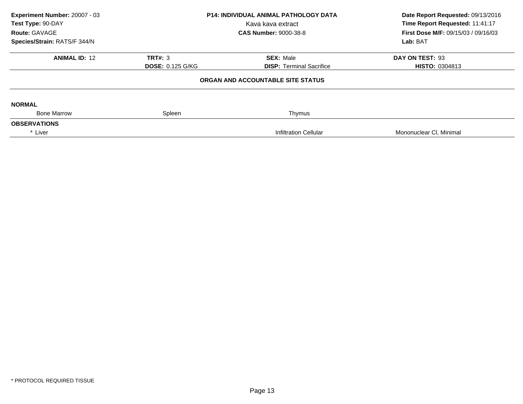| Experiment Number: 20007 - 03<br>Test Type: 90-DAY<br>Route: GAVAGE<br>Species/Strain: RATS/F 344/N | P14: INDIVIDUAL ANIMAL PATHOLOGY DATA<br>Kava kava extract<br><b>CAS Number: 9000-38-8</b> |                                                     | Date Report Requested: 09/13/2016<br>Time Report Requested: 11:41:17<br>First Dose M/F: 09/15/03 / 09/16/03<br>Lab: BAT |  |
|-----------------------------------------------------------------------------------------------------|--------------------------------------------------------------------------------------------|-----------------------------------------------------|-------------------------------------------------------------------------------------------------------------------------|--|
| <b>ANIMAL ID: 12</b>                                                                                | <b>TRT#: 3</b><br><b>DOSE: 0.125 G/KG</b>                                                  | <b>SEX: Male</b><br><b>DISP:</b> Terminal Sacrifice | DAY ON TEST: 93<br><b>HISTO: 0304813</b>                                                                                |  |
|                                                                                                     |                                                                                            | ORGAN AND ACCOUNTABLE SITE STATUS                   |                                                                                                                         |  |
| <b>NORMAL</b>                                                                                       |                                                                                            |                                                     |                                                                                                                         |  |
| <b>Bone Marrow</b>                                                                                  | Spleen                                                                                     | Thymus                                              |                                                                                                                         |  |
| <b>OBSERVATIONS</b><br>* Liver                                                                      |                                                                                            | Infiltration Cellular                               | Mononuclear CI, Minimal                                                                                                 |  |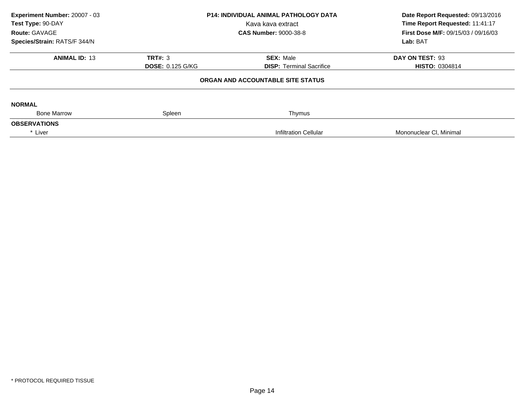| Experiment Number: 20007 - 03<br>Test Type: 90-DAY<br>Route: GAVAGE<br>Species/Strain: RATS/F 344/N | P14: INDIVIDUAL ANIMAL PATHOLOGY DATA<br>Kava kava extract<br><b>CAS Number: 9000-38-8</b> |                                                     | Date Report Requested: 09/13/2016<br>Time Report Requested: 11:41:17<br>First Dose M/F: 09/15/03 / 09/16/03<br>Lab: BAT |  |
|-----------------------------------------------------------------------------------------------------|--------------------------------------------------------------------------------------------|-----------------------------------------------------|-------------------------------------------------------------------------------------------------------------------------|--|
| <b>ANIMAL ID: 13</b>                                                                                | <b>TRT#: 3</b><br><b>DOSE: 0.125 G/KG</b>                                                  | <b>SEX: Male</b><br><b>DISP:</b> Terminal Sacrifice | DAY ON TEST: 93<br><b>HISTO: 0304814</b>                                                                                |  |
|                                                                                                     |                                                                                            | ORGAN AND ACCOUNTABLE SITE STATUS                   |                                                                                                                         |  |
| <b>NORMAL</b>                                                                                       |                                                                                            |                                                     |                                                                                                                         |  |
| <b>Bone Marrow</b><br><b>OBSERVATIONS</b>                                                           | Spleen                                                                                     | Thymus                                              |                                                                                                                         |  |
| * Liver                                                                                             |                                                                                            | Infiltration Cellular                               | Mononuclear CI, Minimal                                                                                                 |  |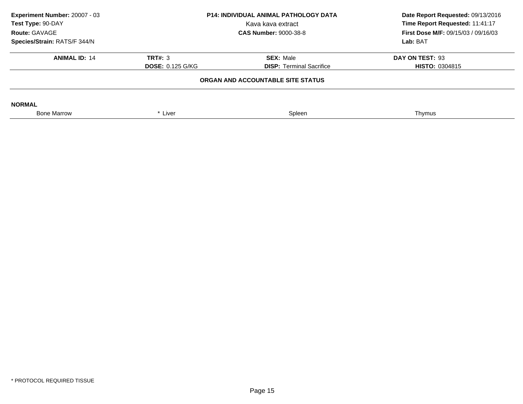| Experiment Number: 20007 - 03<br>Test Type: 90-DAY<br>Route: GAVAGE<br>Species/Strain: RATS/F 344/N | <b>P14: INDIVIDUAL ANIMAL PATHOLOGY DATA</b><br>Kava kava extract<br><b>CAS Number: 9000-38-8</b> |                                                     | Date Report Requested: 09/13/2016<br>Time Report Requested: 11:41:17<br><b>First Dose M/F: 09/15/03 / 09/16/03</b><br>Lab: BAT |
|-----------------------------------------------------------------------------------------------------|---------------------------------------------------------------------------------------------------|-----------------------------------------------------|--------------------------------------------------------------------------------------------------------------------------------|
| <b>ANIMAL ID: 14</b>                                                                                | TRT#: 3<br><b>DOSE: 0.125 G/KG</b>                                                                | <b>SEX: Male</b><br><b>DISP:</b> Terminal Sacrifice | DAY ON TEST: 93<br><b>HISTO: 0304815</b>                                                                                       |
|                                                                                                     |                                                                                                   |                                                     |                                                                                                                                |
| <b>NORMAL</b>                                                                                       |                                                                                                   |                                                     |                                                                                                                                |
| <b>Bone Marrow</b>                                                                                  | * Liver                                                                                           | Spleen                                              | Thymus                                                                                                                         |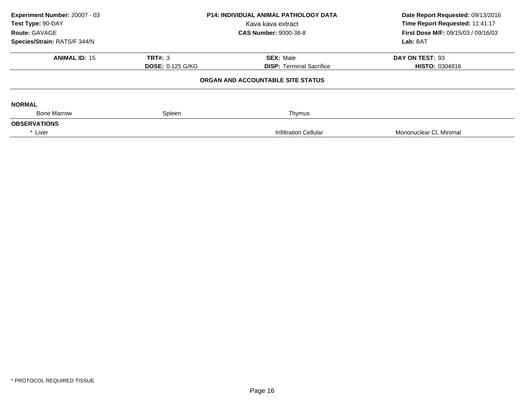| Experiment Number: 20007 - 03<br>Test Type: 90-DAY<br>Route: GAVAGE<br>Species/Strain: RATS/F 344/N | P14: INDIVIDUAL ANIMAL PATHOLOGY DATA<br>Kava kava extract<br><b>CAS Number: 9000-38-8</b> |                                                     | Date Report Requested: 09/13/2016<br>Time Report Requested: 11:41:17<br>First Dose M/F: 09/15/03 / 09/16/03<br>Lab: BAT |
|-----------------------------------------------------------------------------------------------------|--------------------------------------------------------------------------------------------|-----------------------------------------------------|-------------------------------------------------------------------------------------------------------------------------|
| <b>ANIMAL ID: 15</b>                                                                                | <b>TRT#: 3</b><br><b>DOSE: 0.125 G/KG</b>                                                  | <b>SEX: Male</b><br><b>DISP:</b> Terminal Sacrifice | DAY ON TEST: 93<br><b>HISTO: 0304816</b>                                                                                |
|                                                                                                     |                                                                                            | ORGAN AND ACCOUNTABLE SITE STATUS                   |                                                                                                                         |
| <b>NORMAL</b>                                                                                       |                                                                                            |                                                     |                                                                                                                         |
| <b>Bone Marrow</b>                                                                                  | Spleen                                                                                     | Thymus                                              |                                                                                                                         |
| <b>OBSERVATIONS</b><br>* Liver                                                                      |                                                                                            | Infiltration Cellular                               | Mononuclear CI, Minimal                                                                                                 |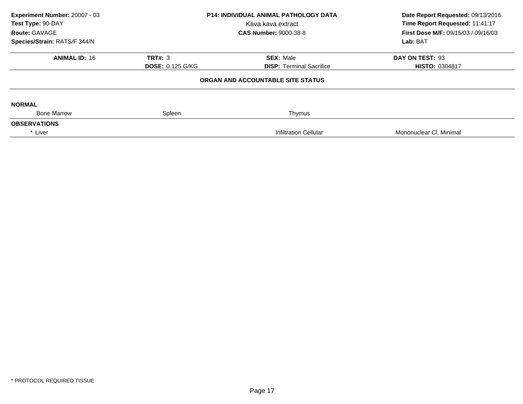| Experiment Number: 20007 - 03<br>Test Type: 90-DAY<br>Route: GAVAGE<br>Species/Strain: RATS/F 344/N | P14: INDIVIDUAL ANIMAL PATHOLOGY DATA<br>Kava kava extract<br><b>CAS Number: 9000-38-8</b> |                                                     | Date Report Requested: 09/13/2016<br>Time Report Requested: 11:41:17<br>First Dose M/F: 09/15/03 / 09/16/03<br>Lab: BAT |  |
|-----------------------------------------------------------------------------------------------------|--------------------------------------------------------------------------------------------|-----------------------------------------------------|-------------------------------------------------------------------------------------------------------------------------|--|
| <b>ANIMAL ID: 16</b>                                                                                | <b>TRT#: 3</b><br><b>DOSE: 0.125 G/KG</b>                                                  | <b>SEX: Male</b><br><b>DISP:</b> Terminal Sacrifice | DAY ON TEST: 93<br><b>HISTO: 0304817</b>                                                                                |  |
|                                                                                                     |                                                                                            | ORGAN AND ACCOUNTABLE SITE STATUS                   |                                                                                                                         |  |
| <b>NORMAL</b>                                                                                       |                                                                                            |                                                     |                                                                                                                         |  |
| <b>Bone Marrow</b><br><b>OBSERVATIONS</b>                                                           | Spleen                                                                                     | Thymus                                              |                                                                                                                         |  |
| * Liver                                                                                             |                                                                                            | Infiltration Cellular                               | Mononuclear CI, Minimal                                                                                                 |  |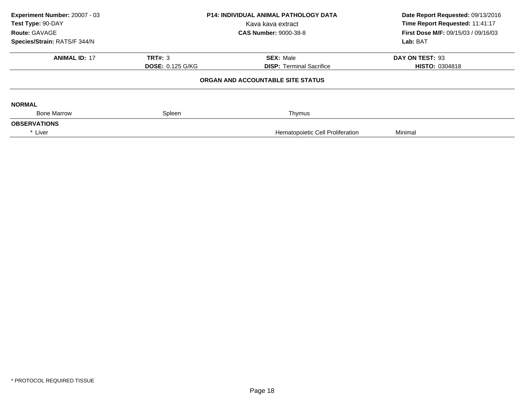| Experiment Number: 20007 - 03<br>Test Type: 90-DAY<br>Route: GAVAGE |                                           | <b>P14: INDIVIDUAL ANIMAL PATHOLOGY DATA</b><br>Kava kava extract<br><b>CAS Number: 9000-38-8</b> |                                          |
|---------------------------------------------------------------------|-------------------------------------------|---------------------------------------------------------------------------------------------------|------------------------------------------|
| Species/Strain: RATS/F 344/N                                        |                                           |                                                                                                   | Lab: BAT                                 |
| <b>ANIMAL ID: 17</b>                                                | <b>TRT#: 3</b><br><b>DOSE: 0.125 G/KG</b> | <b>SEX: Male</b><br><b>DISP:</b> Terminal Sacrifice                                               | DAY ON TEST: 93<br><b>HISTO: 0304818</b> |
|                                                                     |                                           | ORGAN AND ACCOUNTABLE SITE STATUS                                                                 |                                          |
| <b>NORMAL</b>                                                       |                                           |                                                                                                   |                                          |
| <b>Bone Marrow</b>                                                  | Spleen                                    | Thymus                                                                                            |                                          |
| <b>OBSERVATIONS</b>                                                 |                                           |                                                                                                   |                                          |
| * Liver                                                             |                                           | Hematopoietic Cell Proliferation                                                                  | Minimal                                  |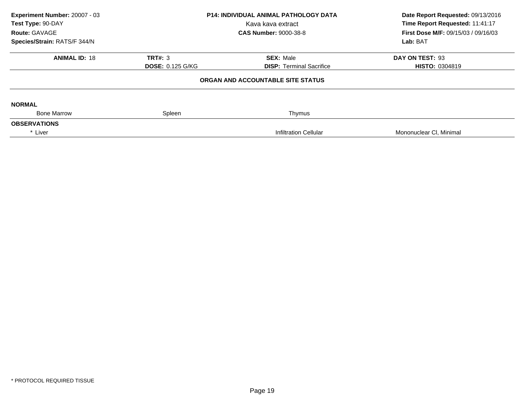| Experiment Number: 20007 - 03<br>Test Type: 90-DAY<br>Route: GAVAGE |                         | <b>P14: INDIVIDUAL ANIMAL PATHOLOGY DATA</b><br>Kava kava extract<br><b>CAS Number: 9000-38-8</b> | Date Report Requested: 09/13/2016<br>Time Report Requested: 11:41:17<br>First Dose M/F: 09/15/03 / 09/16/03 |  |
|---------------------------------------------------------------------|-------------------------|---------------------------------------------------------------------------------------------------|-------------------------------------------------------------------------------------------------------------|--|
| Species/Strain: RATS/F 344/N                                        |                         |                                                                                                   | Lab: BAT                                                                                                    |  |
| <b>ANIMAL ID: 18</b>                                                | <b>TRT#: 3</b>          | <b>SEX: Male</b>                                                                                  | DAY ON TEST: 93                                                                                             |  |
|                                                                     | <b>DOSE: 0.125 G/KG</b> | <b>DISP: Terminal Sacrifice</b>                                                                   | <b>HISTO: 0304819</b>                                                                                       |  |
|                                                                     |                         | ORGAN AND ACCOUNTABLE SITE STATUS                                                                 |                                                                                                             |  |
| <b>NORMAL</b>                                                       |                         |                                                                                                   |                                                                                                             |  |
| <b>Bone Marrow</b>                                                  | Spleen                  | Thymus                                                                                            |                                                                                                             |  |
| <b>OBSERVATIONS</b>                                                 |                         |                                                                                                   |                                                                                                             |  |
| * Liver                                                             |                         | <b>Infiltration Cellular</b>                                                                      | Mononuclear CI, Minimal                                                                                     |  |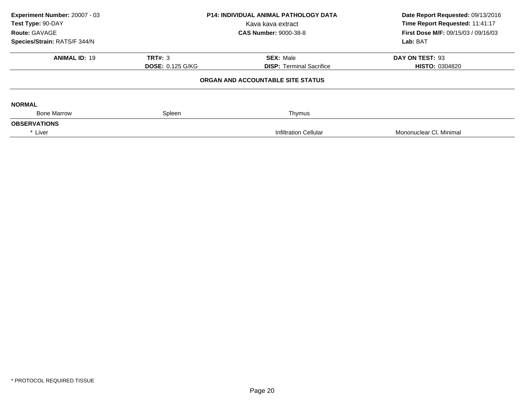| Experiment Number: 20007 - 03<br>Test Type: 90-DAY<br>Route: GAVAGE<br>Species/Strain: RATS/F 344/N | P14: INDIVIDUAL ANIMAL PATHOLOGY DATA<br>Kava kava extract<br><b>CAS Number: 9000-38-8</b> |                                                     | Date Report Requested: 09/13/2016<br>Time Report Requested: 11:41:17<br>First Dose M/F: 09/15/03 / 09/16/03<br>Lab: BAT |  |
|-----------------------------------------------------------------------------------------------------|--------------------------------------------------------------------------------------------|-----------------------------------------------------|-------------------------------------------------------------------------------------------------------------------------|--|
| <b>ANIMAL ID: 19</b>                                                                                | <b>TRT#: 3</b><br><b>DOSE: 0.125 G/KG</b>                                                  | <b>SEX: Male</b><br><b>DISP:</b> Terminal Sacrifice | DAY ON TEST: 93<br><b>HISTO: 0304820</b>                                                                                |  |
|                                                                                                     |                                                                                            | ORGAN AND ACCOUNTABLE SITE STATUS                   |                                                                                                                         |  |
| <b>NORMAL</b>                                                                                       |                                                                                            |                                                     |                                                                                                                         |  |
| <b>Bone Marrow</b><br><b>OBSERVATIONS</b>                                                           | Spleen                                                                                     | Thymus                                              |                                                                                                                         |  |
| * Liver                                                                                             |                                                                                            | Infiltration Cellular                               | Mononuclear CI, Minimal                                                                                                 |  |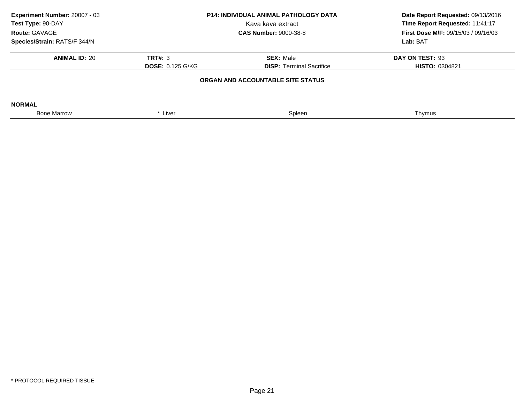| Experiment Number: 20007 - 03<br>Test Type: 90-DAY<br>Route: GAVAGE | <b>P14: INDIVIDUAL ANIMAL PATHOLOGY DATA</b><br>Kava kava extract<br><b>CAS Number: 9000-38-8</b> |                                 | Date Report Requested: 09/13/2016<br>Time Report Requested: 11:41:17<br><b>First Dose M/F: 09/15/03 / 09/16/03</b> |
|---------------------------------------------------------------------|---------------------------------------------------------------------------------------------------|---------------------------------|--------------------------------------------------------------------------------------------------------------------|
| Species/Strain: RATS/F 344/N                                        |                                                                                                   | Lab: BAT                        |                                                                                                                    |
| <b>ANIMAL ID: 20</b>                                                | TRT#: 3                                                                                           | <b>SEX: Male</b>                | DAY ON TEST: 93                                                                                                    |
|                                                                     | <b>DOSE: 0.125 G/KG</b>                                                                           | <b>DISP:</b> Terminal Sacrifice | <b>HISTO: 0304821</b>                                                                                              |
|                                                                     |                                                                                                   |                                 |                                                                                                                    |
| <b>NORMAL</b>                                                       |                                                                                                   |                                 |                                                                                                                    |
| <b>Bone Marrow</b>                                                  | * Liver                                                                                           | Spleen                          | Thymus                                                                                                             |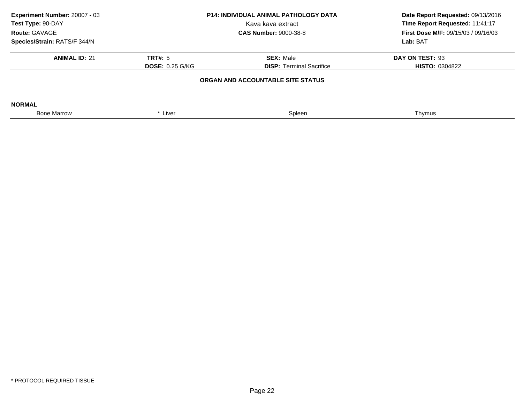| Experiment Number: 20007 - 03<br>Test Type: 90-DAY<br>Route: GAVAGE<br>Species/Strain: RATS/F 344/N | P14: INDIVIDUAL ANIMAL PATHOLOGY DATA<br>Kava kava extract<br><b>CAS Number: 9000-38-8</b><br>TRT#: 5<br><b>SEX: Male</b><br><b>DOSE: 0.25 G/KG</b><br><b>DISP: Terminal Sacrifice</b><br>ORGAN AND ACCOUNTABLE SITE STATUS |        |                                          |  | Date Report Requested: 09/13/2016<br>Time Report Requested: 11:41:17<br><b>First Dose M/F: 09/15/03 / 09/16/03</b><br>Lab: BAT |
|-----------------------------------------------------------------------------------------------------|-----------------------------------------------------------------------------------------------------------------------------------------------------------------------------------------------------------------------------|--------|------------------------------------------|--|--------------------------------------------------------------------------------------------------------------------------------|
| <b>ANIMAL ID: 21</b>                                                                                |                                                                                                                                                                                                                             |        | DAY ON TEST: 93<br><b>HISTO: 0304822</b> |  |                                                                                                                                |
| <b>NORMAL</b><br><b>Bone Marrow</b>                                                                 | * Liver                                                                                                                                                                                                                     | Spleen | Thymus                                   |  |                                                                                                                                |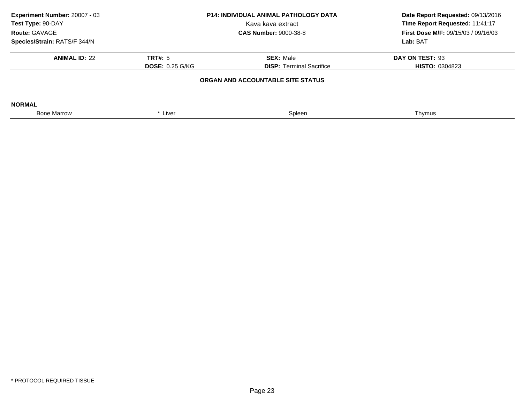| Experiment Number: 20007 - 03<br>Test Type: 90-DAY<br>Route: GAVAGE |                        | <b>P14: INDIVIDUAL ANIMAL PATHOLOGY DATA</b><br>Kava kava extract<br><b>CAS Number: 9000-38-8</b> | Date Report Requested: 09/13/2016<br>Time Report Requested: 11:41:17<br><b>First Dose M/F: 09/15/03 / 09/16/03</b> |  |
|---------------------------------------------------------------------|------------------------|---------------------------------------------------------------------------------------------------|--------------------------------------------------------------------------------------------------------------------|--|
| Species/Strain: RATS/F 344/N                                        |                        |                                                                                                   | Lab: BAT                                                                                                           |  |
| <b>ANIMAL ID: 22</b>                                                | TRT#: 5                | <b>SEX: Male</b>                                                                                  | DAY ON TEST: 93                                                                                                    |  |
|                                                                     | <b>DOSE: 0.25 G/KG</b> | <b>DISP:</b> Terminal Sacrifice                                                                   | <b>HISTO: 0304823</b>                                                                                              |  |
| ORGAN AND ACCOUNTABLE SITE STATUS                                   |                        |                                                                                                   |                                                                                                                    |  |
| <b>NORMAL</b>                                                       |                        |                                                                                                   |                                                                                                                    |  |
| <b>Bone Marrow</b>                                                  | * Liver                | Spleen                                                                                            | Thymus                                                                                                             |  |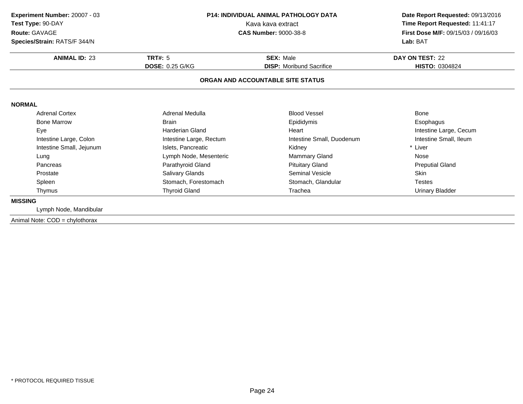| Experiment Number: 20007 - 03<br>Test Type: 90-DAY<br>Route: GAVAGE |                         | <b>P14: INDIVIDUAL ANIMAL PATHOLOGY DATA</b><br>Kava kava extract<br><b>CAS Number: 9000-38-8</b> | Date Report Requested: 09/13/2016<br>Time Report Requested: 11:41:17<br>First Dose M/F: 09/15/03 / 09/16/03<br>Lab: BAT |
|---------------------------------------------------------------------|-------------------------|---------------------------------------------------------------------------------------------------|-------------------------------------------------------------------------------------------------------------------------|
| Species/Strain: RATS/F 344/N                                        |                         |                                                                                                   |                                                                                                                         |
| <b>ANIMAL ID: 23</b>                                                | TRT#: $5$               | <b>SEX: Male</b>                                                                                  | DAY ON TEST: 22                                                                                                         |
|                                                                     | <b>DOSE: 0.25 G/KG</b>  | <b>DISP:</b> Moribund Sacrifice                                                                   | <b>HISTO: 0304824</b>                                                                                                   |
|                                                                     |                         | ORGAN AND ACCOUNTABLE SITE STATUS                                                                 |                                                                                                                         |
| <b>NORMAL</b>                                                       |                         |                                                                                                   |                                                                                                                         |
| <b>Adrenal Cortex</b>                                               | Adrenal Medulla         | <b>Blood Vessel</b>                                                                               | <b>Bone</b>                                                                                                             |
| <b>Bone Marrow</b>                                                  | <b>Brain</b>            | Epididymis                                                                                        | Esophagus                                                                                                               |
| Eye                                                                 | Harderian Gland         | Heart                                                                                             | Intestine Large, Cecum                                                                                                  |
| Intestine Large, Colon                                              | Intestine Large, Rectum | Intestine Small, Duodenum                                                                         | Intestine Small, Ileum                                                                                                  |
| Intestine Small, Jejunum                                            | Islets, Pancreatic      | Kidney                                                                                            | * Liver                                                                                                                 |
| Lung                                                                | Lymph Node, Mesenteric  | <b>Mammary Gland</b>                                                                              | Nose                                                                                                                    |
| Pancreas                                                            | Parathyroid Gland       | <b>Pituitary Gland</b>                                                                            | <b>Preputial Gland</b>                                                                                                  |
| Prostate                                                            | Salivary Glands         | <b>Seminal Vesicle</b>                                                                            | Skin                                                                                                                    |
| Spleen                                                              | Stomach, Forestomach    | Stomach, Glandular                                                                                | <b>Testes</b>                                                                                                           |
| Thymus                                                              | <b>Thyroid Gland</b>    | Trachea                                                                                           | <b>Urinary Bladder</b>                                                                                                  |
| <b>MISSING</b>                                                      |                         |                                                                                                   |                                                                                                                         |
| Lymph Node, Mandibular                                              |                         |                                                                                                   |                                                                                                                         |
| Animal Note: COD = chylothorax                                      |                         |                                                                                                   |                                                                                                                         |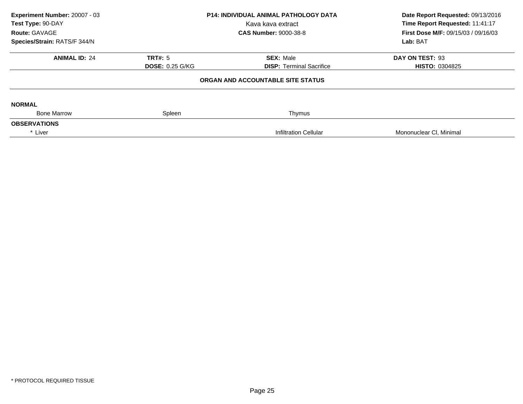| Experiment Number: 20007 - 03<br>Test Type: 90-DAY<br>Route: GAVAGE | P14: INDIVIDUAL ANIMAL PATHOLOGY DATA<br>Kava kava extract<br><b>CAS Number: 9000-38-8</b> |                                   | Date Report Requested: 09/13/2016<br>Time Report Requested: 11:41:17<br>First Dose M/F: 09/15/03 / 09/16/03<br>Lab: BAT |
|---------------------------------------------------------------------|--------------------------------------------------------------------------------------------|-----------------------------------|-------------------------------------------------------------------------------------------------------------------------|
| Species/Strain: RATS/F 344/N                                        |                                                                                            |                                   |                                                                                                                         |
| <b>ANIMAL ID: 24</b>                                                | <b>TRT#: 5</b>                                                                             | <b>SEX: Male</b>                  | DAY ON TEST: 93                                                                                                         |
|                                                                     | <b>DOSE: 0.25 G/KG</b>                                                                     | <b>DISP:</b> Terminal Sacrifice   | <b>HISTO: 0304825</b>                                                                                                   |
|                                                                     |                                                                                            | ORGAN AND ACCOUNTABLE SITE STATUS |                                                                                                                         |
| <b>NORMAL</b>                                                       |                                                                                            |                                   |                                                                                                                         |
| <b>Bone Marrow</b>                                                  | Spleen                                                                                     | Thymus                            |                                                                                                                         |
| <b>OBSERVATIONS</b>                                                 |                                                                                            |                                   |                                                                                                                         |
| * Liver                                                             |                                                                                            | Infiltration Cellular             | Mononuclear CI, Minimal                                                                                                 |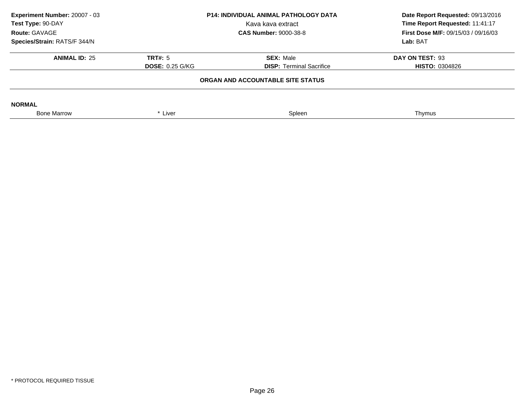| Experiment Number: 20007 - 03<br>Test Type: 90-DAY<br>Route: GAVAGE | <b>P14: INDIVIDUAL ANIMAL PATHOLOGY DATA</b><br>Kava kava extract<br><b>CAS Number: 9000-38-8</b> |                                                                      | Date Report Requested: 09/13/2016<br>Time Report Requested: 11:41:17<br><b>First Dose M/F: 09/15/03 / 09/16/03</b> |
|---------------------------------------------------------------------|---------------------------------------------------------------------------------------------------|----------------------------------------------------------------------|--------------------------------------------------------------------------------------------------------------------|
| Species/Strain: RATS/F 344/N<br><b>ANIMAL ID: 25</b>                | TRT#: 5<br><b>DOSE: 0.25 G/KG</b>                                                                 | <b>SEX: Male</b>                                                     | Lab: BAT<br>DAY ON TEST: 93                                                                                        |
|                                                                     |                                                                                                   | <b>DISP:</b> Terminal Sacrifice<br>ORGAN AND ACCOUNTABLE SITE STATUS | <b>HISTO: 0304826</b>                                                                                              |
| <b>NORMAL</b>                                                       |                                                                                                   |                                                                      |                                                                                                                    |
| <b>Bone Marrow</b>                                                  | * Liver                                                                                           | Spleen                                                               | Thymus                                                                                                             |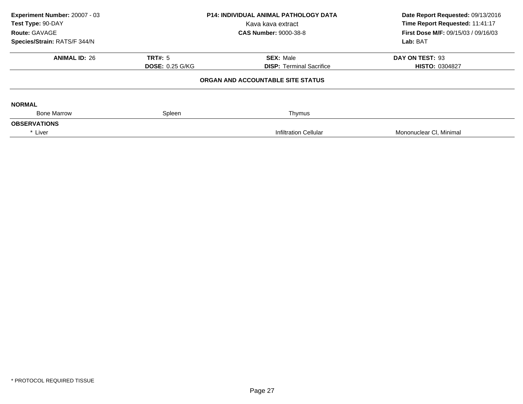| Experiment Number: 20007 - 03<br>Test Type: 90-DAY<br>Route: GAVAGE | <b>P14: INDIVIDUAL ANIMAL PATHOLOGY DATA</b><br>Kava kava extract<br><b>CAS Number: 9000-38-8</b> |                                   | Date Report Requested: 09/13/2016<br>Time Report Requested: 11:41:17<br>First Dose M/F: 09/15/03 / 09/16/03 |  |
|---------------------------------------------------------------------|---------------------------------------------------------------------------------------------------|-----------------------------------|-------------------------------------------------------------------------------------------------------------|--|
| Species/Strain: RATS/F 344/N                                        |                                                                                                   |                                   | Lab: BAT                                                                                                    |  |
| <b>ANIMAL ID: 26</b>                                                | <b>TRT#: 5</b>                                                                                    | <b>SEX: Male</b>                  | DAY ON TEST: 93                                                                                             |  |
|                                                                     | <b>DOSE: 0.25 G/KG</b>                                                                            | <b>DISP: Terminal Sacrifice</b>   | <b>HISTO: 0304827</b>                                                                                       |  |
|                                                                     |                                                                                                   | ORGAN AND ACCOUNTABLE SITE STATUS |                                                                                                             |  |
| <b>NORMAL</b>                                                       |                                                                                                   |                                   |                                                                                                             |  |
| <b>Bone Marrow</b>                                                  | Spleen                                                                                            | Thymus                            |                                                                                                             |  |
| <b>OBSERVATIONS</b>                                                 |                                                                                                   |                                   |                                                                                                             |  |
| * Liver                                                             |                                                                                                   | <b>Infiltration Cellular</b>      | Mononuclear CI, Minimal                                                                                     |  |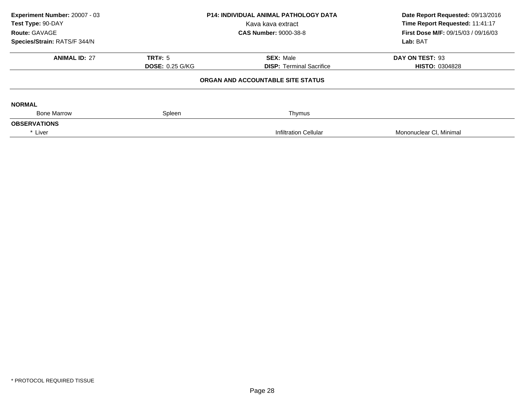| Experiment Number: 20007 - 03<br>Test Type: 90-DAY<br>Route: GAVAGE<br>Species/Strain: RATS/F 344/N | P14: INDIVIDUAL ANIMAL PATHOLOGY DATA<br>Kava kava extract<br><b>CAS Number: 9000-38-8</b> |                                                     | Date Report Requested: 09/13/2016<br>Time Report Requested: 11:41:17<br>First Dose M/F: 09/15/03 / 09/16/03<br>Lab: BAT |
|-----------------------------------------------------------------------------------------------------|--------------------------------------------------------------------------------------------|-----------------------------------------------------|-------------------------------------------------------------------------------------------------------------------------|
| <b>ANIMAL ID: 27</b>                                                                                | <b>TRT#: 5</b><br><b>DOSE: 0.25 G/KG</b>                                                   | <b>SEX: Male</b><br><b>DISP:</b> Terminal Sacrifice | DAY ON TEST: 93<br><b>HISTO: 0304828</b>                                                                                |
|                                                                                                     |                                                                                            | ORGAN AND ACCOUNTABLE SITE STATUS                   |                                                                                                                         |
| <b>NORMAL</b>                                                                                       |                                                                                            |                                                     |                                                                                                                         |
|                                                                                                     |                                                                                            |                                                     |                                                                                                                         |
|                                                                                                     |                                                                                            |                                                     |                                                                                                                         |
| <b>Bone Marrow</b><br><b>OBSERVATIONS</b><br>* Liver                                                | Spleen                                                                                     | Thymus<br>Infiltration Cellular                     | Mononuclear CI, Minimal                                                                                                 |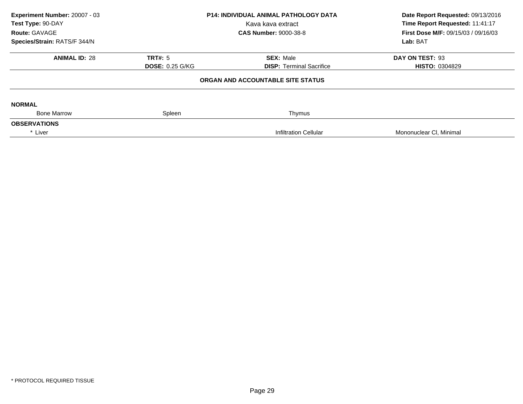| Experiment Number: 20007 - 03<br>Test Type: 90-DAY<br>Route: GAVAGE | <b>P14: INDIVIDUAL ANIMAL PATHOLOGY DATA</b><br>Kava kava extract<br><b>CAS Number: 9000-38-8</b> |                                   | Date Report Requested: 09/13/2016<br>Time Report Requested: 11:41:17<br>First Dose M/F: 09/15/03 / 09/16/03 |  |
|---------------------------------------------------------------------|---------------------------------------------------------------------------------------------------|-----------------------------------|-------------------------------------------------------------------------------------------------------------|--|
| Species/Strain: RATS/F 344/N                                        |                                                                                                   |                                   | Lab: BAT                                                                                                    |  |
| <b>ANIMAL ID: 28</b>                                                | <b>TRT#: 5</b>                                                                                    | <b>SEX: Male</b>                  | DAY ON TEST: 93                                                                                             |  |
|                                                                     | <b>DOSE: 0.25 G/KG</b>                                                                            | <b>DISP:</b> Terminal Sacrifice   | <b>HISTO: 0304829</b>                                                                                       |  |
|                                                                     |                                                                                                   | ORGAN AND ACCOUNTABLE SITE STATUS |                                                                                                             |  |
| <b>NORMAL</b>                                                       |                                                                                                   |                                   |                                                                                                             |  |
| <b>Bone Marrow</b>                                                  | Spleen                                                                                            | Thymus                            |                                                                                                             |  |
| <b>OBSERVATIONS</b>                                                 |                                                                                                   |                                   |                                                                                                             |  |
| * Liver                                                             |                                                                                                   | <b>Infiltration Cellular</b>      | Mononuclear CI, Minimal                                                                                     |  |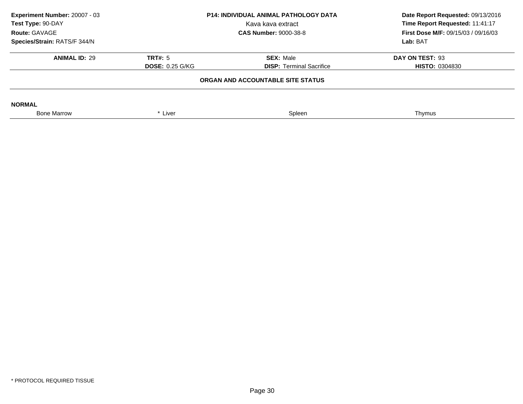| Experiment Number: 20007 - 03<br>Test Type: 90-DAY<br>Route: GAVAGE | <b>P14: INDIVIDUAL ANIMAL PATHOLOGY DATA</b><br>Kava kava extract<br><b>CAS Number: 9000-38-8</b> |                                   | Date Report Requested: 09/13/2016<br>Time Report Requested: 11:41:17<br><b>First Dose M/F: 09/15/03 / 09/16/03</b> |
|---------------------------------------------------------------------|---------------------------------------------------------------------------------------------------|-----------------------------------|--------------------------------------------------------------------------------------------------------------------|
| Species/Strain: RATS/F 344/N                                        |                                                                                                   |                                   | Lab: BAT                                                                                                           |
| <b>ANIMAL ID: 29</b>                                                | TRT#: 5                                                                                           | <b>SEX: Male</b>                  | DAY ON TEST: 93                                                                                                    |
|                                                                     | <b>DOSE: 0.25 G/KG</b>                                                                            | <b>DISP:</b> Terminal Sacrifice   | <b>HISTO: 0304830</b>                                                                                              |
|                                                                     |                                                                                                   | ORGAN AND ACCOUNTABLE SITE STATUS |                                                                                                                    |
| <b>NORMAL</b>                                                       |                                                                                                   |                                   |                                                                                                                    |
| <b>Bone Marrow</b>                                                  | * Liver                                                                                           | Spleen                            | Thymus                                                                                                             |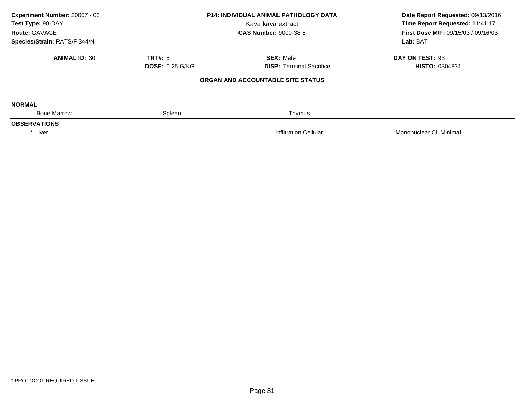| Experiment Number: 20007 - 03<br>Test Type: 90-DAY<br>Route: GAVAGE<br>Species/Strain: RATS/F 344/N | P14: INDIVIDUAL ANIMAL PATHOLOGY DATA<br>Kava kava extract<br><b>CAS Number: 9000-38-8</b> |                                                     | Date Report Requested: 09/13/2016<br>Time Report Requested: 11:41:17<br>First Dose M/F: 09/15/03 / 09/16/03<br>Lab: BAT |
|-----------------------------------------------------------------------------------------------------|--------------------------------------------------------------------------------------------|-----------------------------------------------------|-------------------------------------------------------------------------------------------------------------------------|
| <b>ANIMAL ID: 30</b>                                                                                | <b>TRT#: 5</b><br><b>DOSE: 0.25 G/KG</b>                                                   | <b>SEX: Male</b><br><b>DISP:</b> Terminal Sacrifice | DAY ON TEST: 93<br><b>HISTO: 0304831</b>                                                                                |
|                                                                                                     |                                                                                            | ORGAN AND ACCOUNTABLE SITE STATUS                   |                                                                                                                         |
| <b>NORMAL</b>                                                                                       |                                                                                            |                                                     |                                                                                                                         |
| <b>Bone Marrow</b><br><b>OBSERVATIONS</b>                                                           | Spleen                                                                                     | Thymus                                              |                                                                                                                         |
| * Liver                                                                                             |                                                                                            | Infiltration Cellular                               | Mononuclear CI, Minimal                                                                                                 |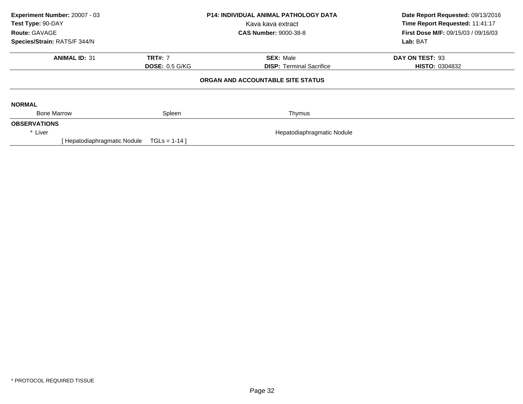| Experiment Number: 20007 - 03<br>Test Type: 90-DAY<br><b>Route: GAVAGE</b><br>Species/Strain: RATS/F 344/N |                       | <b>P14: INDIVIDUAL ANIMAL PATHOLOGY DATA</b><br>Kava kava extract<br><b>CAS Number: 9000-38-8</b> | Date Report Requested: 09/13/2016<br>Time Report Requested: 11:41:17<br><b>First Dose M/F: 09/15/03 / 09/16/03</b><br>Lab: BAT |
|------------------------------------------------------------------------------------------------------------|-----------------------|---------------------------------------------------------------------------------------------------|--------------------------------------------------------------------------------------------------------------------------------|
| <b>ANIMAL ID: 31</b>                                                                                       | <b>TRT#: 7</b>        | <b>SEX: Male</b>                                                                                  | DAY ON TEST: 93                                                                                                                |
|                                                                                                            | <b>DOSE: 0.5 G/KG</b> | <b>DISP:</b> Terminal Sacrifice                                                                   | <b>HISTO: 0304832</b>                                                                                                          |
|                                                                                                            |                       | ORGAN AND ACCOUNTABLE SITE STATUS                                                                 |                                                                                                                                |
| <b>NORMAL</b>                                                                                              |                       |                                                                                                   |                                                                                                                                |
| <b>Bone Marrow</b>                                                                                         | Spleen                | Thymus                                                                                            |                                                                                                                                |
| <b>OBSERVATIONS</b>                                                                                        |                       |                                                                                                   |                                                                                                                                |
| * Liver                                                                                                    |                       | Hepatodiaphragmatic Nodule                                                                        |                                                                                                                                |
| [ Hepatodiaphragmatic Nodule                                                                               | $TGLS = 1-14$         |                                                                                                   |                                                                                                                                |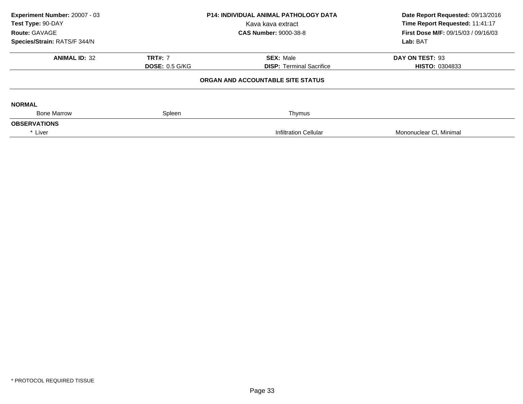| Experiment Number: 20007 - 03<br>Test Type: 90-DAY<br>Route: GAVAGE | <b>P14: INDIVIDUAL ANIMAL PATHOLOGY DATA</b><br>Kava kava extract<br><b>CAS Number: 9000-38-8</b> |                                   | Date Report Requested: 09/13/2016<br>Time Report Requested: 11:41:17<br>First Dose M/F: 09/15/03 / 09/16/03 |  |
|---------------------------------------------------------------------|---------------------------------------------------------------------------------------------------|-----------------------------------|-------------------------------------------------------------------------------------------------------------|--|
| Species/Strain: RATS/F 344/N                                        |                                                                                                   |                                   | Lab: BAT                                                                                                    |  |
| <b>ANIMAL ID: 32</b>                                                | <b>TRT#: 7</b>                                                                                    | <b>SEX: Male</b>                  | DAY ON TEST: 93                                                                                             |  |
|                                                                     | <b>DOSE: 0.5 G/KG</b>                                                                             | <b>DISP:</b> Terminal Sacrifice   | <b>HISTO: 0304833</b>                                                                                       |  |
|                                                                     |                                                                                                   | ORGAN AND ACCOUNTABLE SITE STATUS |                                                                                                             |  |
| <b>NORMAL</b>                                                       |                                                                                                   |                                   |                                                                                                             |  |
| <b>Bone Marrow</b>                                                  | Spleen                                                                                            | Thymus                            |                                                                                                             |  |
| <b>OBSERVATIONS</b>                                                 |                                                                                                   |                                   |                                                                                                             |  |
| * Liver                                                             |                                                                                                   | <b>Infiltration Cellular</b>      | Mononuclear CI, Minimal                                                                                     |  |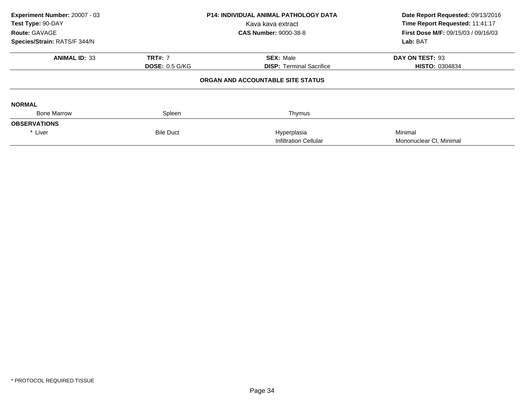| Experiment Number: 20007 - 03<br>Test Type: 90-DAY<br>Route: GAVAGE<br>Species/Strain: RATS/F 344/N | <b>P14: INDIVIDUAL ANIMAL PATHOLOGY DATA</b><br>Kava kava extract<br><b>CAS Number: 9000-38-8</b> |                                                     | Date Report Requested: 09/13/2016<br>Time Report Requested: 11:41:17<br>First Dose M/F: 09/15/03 / 09/16/03<br>Lab: BAT |
|-----------------------------------------------------------------------------------------------------|---------------------------------------------------------------------------------------------------|-----------------------------------------------------|-------------------------------------------------------------------------------------------------------------------------|
| <b>ANIMAL ID: 33</b>                                                                                | <b>TRT#: 7</b><br><b>DOSE: 0.5 G/KG</b>                                                           | <b>SEX: Male</b><br><b>DISP:</b> Terminal Sacrifice | DAY ON TEST: 93<br><b>HISTO: 0304834</b>                                                                                |
|                                                                                                     |                                                                                                   | ORGAN AND ACCOUNTABLE SITE STATUS                   |                                                                                                                         |
| <b>NORMAL</b>                                                                                       |                                                                                                   |                                                     |                                                                                                                         |
| <b>Bone Marrow</b>                                                                                  | Spleen                                                                                            | Thymus                                              |                                                                                                                         |
| <b>OBSERVATIONS</b>                                                                                 |                                                                                                   |                                                     |                                                                                                                         |
| * Liver                                                                                             | <b>Bile Duct</b>                                                                                  | Hyperplasia                                         | Minimal                                                                                                                 |
|                                                                                                     |                                                                                                   | <b>Infiltration Cellular</b>                        | Mononuclear CI, Minimal                                                                                                 |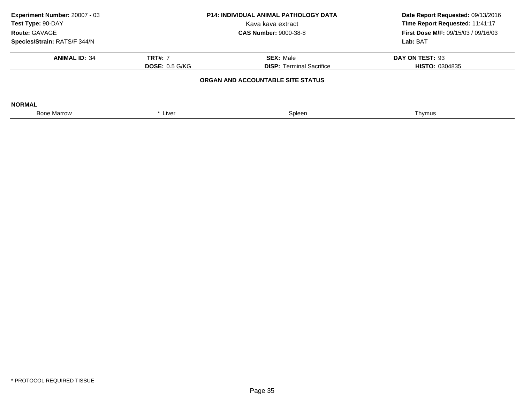| Experiment Number: 20007 - 03<br><b>P14: INDIVIDUAL ANIMAL PATHOLOGY DATA</b><br>Test Type: 90-DAY<br>Kava kava extract<br>Route: GAVAGE<br><b>CAS Number: 9000-38-8</b> |                       | Date Report Requested: 09/13/2016<br>Time Report Requested: 11:41:17<br><b>First Dose M/F: 09/15/03 / 09/16/03</b> |                       |
|--------------------------------------------------------------------------------------------------------------------------------------------------------------------------|-----------------------|--------------------------------------------------------------------------------------------------------------------|-----------------------|
| Species/Strain: RATS/F 344/N                                                                                                                                             |                       |                                                                                                                    | Lab: BAT              |
| <b>ANIMAL ID: 34</b>                                                                                                                                                     | <b>TRT#: 7</b>        | <b>SEX: Male</b>                                                                                                   | DAY ON TEST: 93       |
|                                                                                                                                                                          | <b>DOSE: 0.5 G/KG</b> | <b>DISP:</b> Terminal Sacrifice                                                                                    | <b>HISTO: 0304835</b> |
|                                                                                                                                                                          |                       | ORGAN AND ACCOUNTABLE SITE STATUS                                                                                  |                       |
| <b>NORMAL</b>                                                                                                                                                            |                       |                                                                                                                    |                       |
| <b>Bone Marrow</b>                                                                                                                                                       | * Liver               | Spleen                                                                                                             | Thymus                |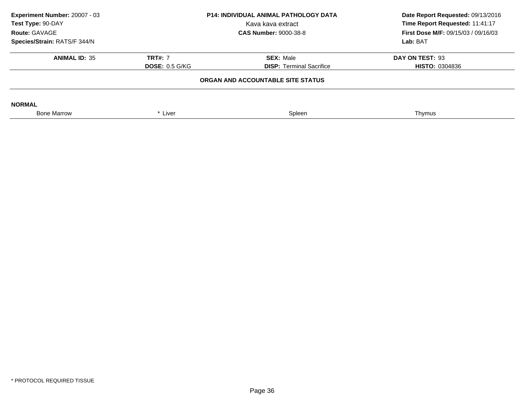| <b>P14: INDIVIDUAL ANIMAL PATHOLOGY DATA</b><br>Kava kava extract<br><b>CAS Number: 9000-38-8</b> |                                 | Experiment Number: 20007 - 03<br>Test Type: 90-DAY<br>Route: GAVAGE<br>Species/Strain: RATS/F 344/N |  | Date Report Requested: 09/13/2016<br>Time Report Requested: 11:41:17<br>First Dose M/F: 09/15/03 / 09/16/03 |
|---------------------------------------------------------------------------------------------------|---------------------------------|-----------------------------------------------------------------------------------------------------|--|-------------------------------------------------------------------------------------------------------------|
|                                                                                                   |                                 | Lab: BAT                                                                                            |  |                                                                                                             |
| <b>TRT#: 7</b>                                                                                    | <b>SEX: Male</b>                | DAY ON TEST: 93                                                                                     |  |                                                                                                             |
| <b>DOSE: 0.5 G/KG</b>                                                                             | <b>DISP: Terminal Sacrifice</b> | <b>HISTO: 0304836</b>                                                                               |  |                                                                                                             |
|                                                                                                   |                                 |                                                                                                     |  |                                                                                                             |
|                                                                                                   |                                 |                                                                                                     |  |                                                                                                             |
| * Liver                                                                                           | Spleen                          | Thymus                                                                                              |  |                                                                                                             |
|                                                                                                   |                                 | ORGAN AND ACCOUNTABLE SITE STATUS                                                                   |  |                                                                                                             |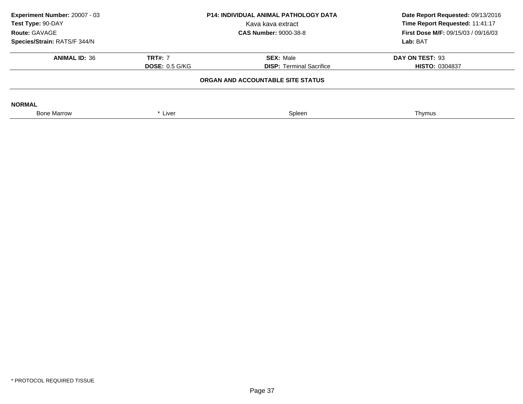| <b>P14: INDIVIDUAL ANIMAL PATHOLOGY DATA</b><br>Kava kava extract<br><b>CAS Number: 9000-38-8</b> |                                 | Date Report Requested: 09/13/2016<br>Time Report Requested: 11:41:17<br><b>First Dose M/F: 09/15/03 / 09/16/03</b> |
|---------------------------------------------------------------------------------------------------|---------------------------------|--------------------------------------------------------------------------------------------------------------------|
|                                                                                                   |                                 | Lab: BAT                                                                                                           |
| <b>TRT#: 7</b>                                                                                    | <b>SEX: Male</b>                | DAY ON TEST: 93                                                                                                    |
| <b>DOSE: 0.5 G/KG</b>                                                                             | <b>DISP: Terminal Sacrifice</b> | <b>HISTO: 0304837</b>                                                                                              |
| ORGAN AND ACCOUNTABLE SITE STATUS                                                                 |                                 |                                                                                                                    |
|                                                                                                   |                                 |                                                                                                                    |
| * Liver                                                                                           | Spleen                          | Thymus                                                                                                             |
|                                                                                                   |                                 |                                                                                                                    |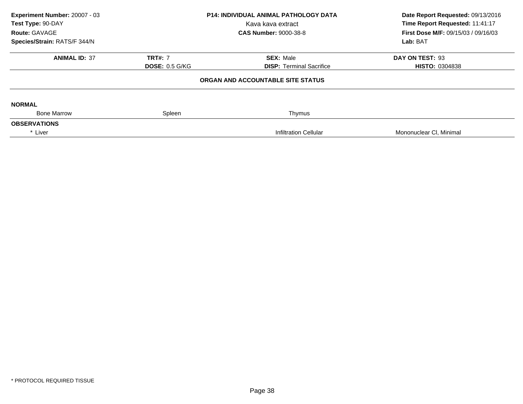| Experiment Number: 20007 - 03<br>Test Type: 90-DAY<br>Route: GAVAGE | <b>P14: INDIVIDUAL ANIMAL PATHOLOGY DATA</b><br>Kava kava extract<br><b>CAS Number: 9000-38-8</b> |                                   | Date Report Requested: 09/13/2016<br>Time Report Requested: 11:41:17<br><b>First Dose M/F: 09/15/03 / 09/16/03</b> |  |
|---------------------------------------------------------------------|---------------------------------------------------------------------------------------------------|-----------------------------------|--------------------------------------------------------------------------------------------------------------------|--|
| Species/Strain: RATS/F 344/N                                        |                                                                                                   |                                   | Lab: BAT                                                                                                           |  |
| <b>ANIMAL ID: 37</b>                                                | <b>TRT#: 7</b>                                                                                    | <b>SEX: Male</b>                  | DAY ON TEST: 93                                                                                                    |  |
|                                                                     | <b>DOSE: 0.5 G/KG</b>                                                                             | <b>DISP:</b> Terminal Sacrifice   | <b>HISTO: 0304838</b>                                                                                              |  |
|                                                                     |                                                                                                   | ORGAN AND ACCOUNTABLE SITE STATUS |                                                                                                                    |  |
| <b>NORMAL</b>                                                       |                                                                                                   |                                   |                                                                                                                    |  |
| <b>Bone Marrow</b>                                                  | Spleen                                                                                            | Thymus                            |                                                                                                                    |  |
| <b>OBSERVATIONS</b>                                                 |                                                                                                   |                                   |                                                                                                                    |  |
| * Liver                                                             |                                                                                                   | <b>Infiltration Cellular</b>      | Mononuclear CI, Minimal                                                                                            |  |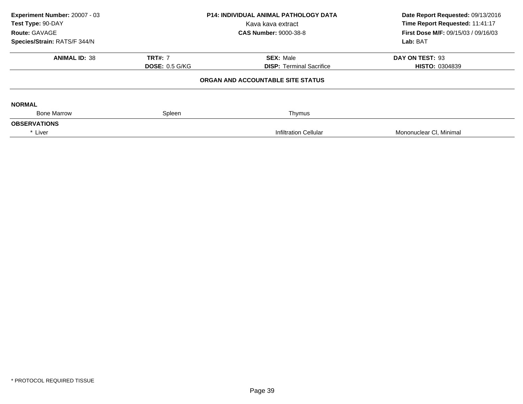| Experiment Number: 20007 - 03<br>Test Type: 90-DAY<br>Route: GAVAGE | <b>P14: INDIVIDUAL ANIMAL PATHOLOGY DATA</b><br>Kava kava extract<br><b>CAS Number: 9000-38-8</b> |                                   | Date Report Requested: 09/13/2016<br>Time Report Requested: 11:41:17<br>First Dose M/F: 09/15/03 / 09/16/03 |  |
|---------------------------------------------------------------------|---------------------------------------------------------------------------------------------------|-----------------------------------|-------------------------------------------------------------------------------------------------------------|--|
| Species/Strain: RATS/F 344/N                                        |                                                                                                   |                                   | Lab: BAT                                                                                                    |  |
| <b>ANIMAL ID: 38</b>                                                | <b>TRT#: 7</b>                                                                                    | <b>SEX: Male</b>                  | DAY ON TEST: 93                                                                                             |  |
|                                                                     | <b>DOSE: 0.5 G/KG</b>                                                                             | <b>DISP:</b> Terminal Sacrifice   | <b>HISTO: 0304839</b>                                                                                       |  |
|                                                                     |                                                                                                   | ORGAN AND ACCOUNTABLE SITE STATUS |                                                                                                             |  |
| <b>NORMAL</b>                                                       |                                                                                                   |                                   |                                                                                                             |  |
| <b>Bone Marrow</b>                                                  | Spleen                                                                                            | Thymus                            |                                                                                                             |  |
| <b>OBSERVATIONS</b>                                                 |                                                                                                   |                                   |                                                                                                             |  |
| * Liver                                                             |                                                                                                   | <b>Infiltration Cellular</b>      | Mononuclear CI, Minimal                                                                                     |  |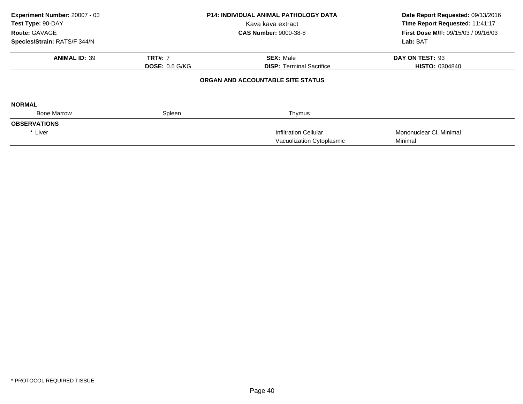| Experiment Number: 20007 - 03<br>Test Type: 90-DAY |                       | <b>P14: INDIVIDUAL ANIMAL PATHOLOGY DATA</b> | Date Report Requested: 09/13/2016<br>Time Report Requested: 11:41:17 |  |
|----------------------------------------------------|-----------------------|----------------------------------------------|----------------------------------------------------------------------|--|
|                                                    |                       | Kava kava extract                            |                                                                      |  |
| <b>Route: GAVAGE</b>                               |                       | <b>CAS Number: 9000-38-8</b>                 | <b>First Dose M/F: 09/15/03 / 09/16/03</b>                           |  |
| Species/Strain: RATS/F 344/N                       |                       |                                              | Lab: BAT                                                             |  |
| <b>ANIMAL ID: 39</b>                               | <b>TRT#: 7</b>        | <b>SEX: Male</b>                             | DAY ON TEST: 93                                                      |  |
|                                                    | <b>DOSE: 0.5 G/KG</b> | <b>DISP: Terminal Sacrifice</b>              | <b>HISTO: 0304840</b>                                                |  |
|                                                    |                       | ORGAN AND ACCOUNTABLE SITE STATUS            |                                                                      |  |
| <b>NORMAL</b>                                      |                       |                                              |                                                                      |  |
| <b>Bone Marrow</b>                                 | Spleen                | Thymus                                       |                                                                      |  |
| <b>OBSERVATIONS</b>                                |                       |                                              |                                                                      |  |
| * Liver                                            |                       | <b>Infiltration Cellular</b>                 | Mononuclear CI, Minimal                                              |  |
|                                                    |                       | Vacuolization Cytoplasmic                    | Minimal                                                              |  |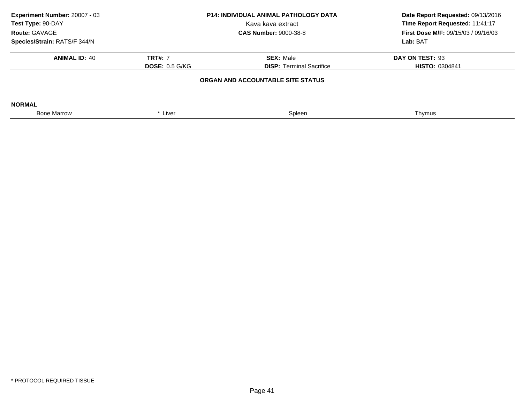| Experiment Number: 20007 - 03<br>Test Type: 90-DAY<br>Route: GAVAGE | P14: INDIVIDUAL ANIMAL PATHOLOGY DATA<br>Kava kava extract<br><b>CAS Number: 9000-38-8</b> |                                 | Date Report Requested: 09/13/2016<br>Time Report Requested: 11:41:17<br><b>First Dose M/F: 09/15/03 / 09/16/03</b> |
|---------------------------------------------------------------------|--------------------------------------------------------------------------------------------|---------------------------------|--------------------------------------------------------------------------------------------------------------------|
| Species/Strain: RATS/F 344/N                                        |                                                                                            |                                 | Lab: BAT                                                                                                           |
| <b>ANIMAL ID: 40</b>                                                | <b>TRT#: 7</b>                                                                             | <b>SEX: Male</b>                | DAY ON TEST: 93                                                                                                    |
|                                                                     | <b>DOSE: 0.5 G/KG</b>                                                                      | <b>DISP: Terminal Sacrifice</b> | <b>HISTO: 0304841</b>                                                                                              |
|                                                                     | ORGAN AND ACCOUNTABLE SITE STATUS                                                          |                                 |                                                                                                                    |
| <b>NORMAL</b>                                                       |                                                                                            |                                 |                                                                                                                    |
| <b>Bone Marrow</b>                                                  | * Liver                                                                                    | Spleen                          | Thymus                                                                                                             |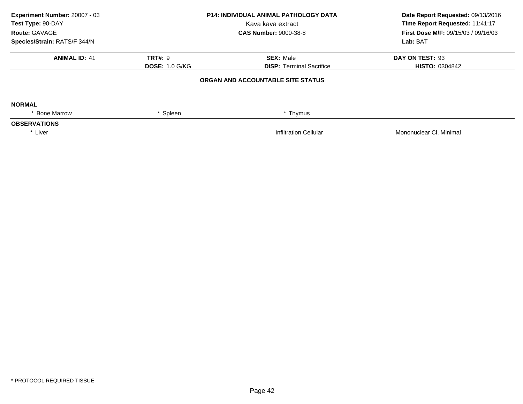| Experiment Number: 20007 - 03<br>Test Type: 90-DAY<br>Route: GAVAGE | <b>P14: INDIVIDUAL ANIMAL PATHOLOGY DATA</b><br>Kava kava extract<br><b>CAS Number: 9000-38-8</b> |                                   | Date Report Requested: 09/13/2016<br>Time Report Requested: 11:41:17<br>First Dose M/F: 09/15/03 / 09/16/03 |  |
|---------------------------------------------------------------------|---------------------------------------------------------------------------------------------------|-----------------------------------|-------------------------------------------------------------------------------------------------------------|--|
| Species/Strain: RATS/F 344/N                                        |                                                                                                   |                                   | Lab: BAT                                                                                                    |  |
| <b>ANIMAL ID: 41</b>                                                | <b>TRT#: 9</b>                                                                                    | <b>SEX: Male</b>                  | DAY ON TEST: 93                                                                                             |  |
|                                                                     | <b>DOSE: 1.0 G/KG</b>                                                                             | <b>DISP: Terminal Sacrifice</b>   | <b>HISTO: 0304842</b>                                                                                       |  |
|                                                                     |                                                                                                   | ORGAN AND ACCOUNTABLE SITE STATUS |                                                                                                             |  |
| <b>NORMAL</b>                                                       |                                                                                                   |                                   |                                                                                                             |  |
| * Bone Marrow                                                       | * Spleen                                                                                          | * Thymus                          |                                                                                                             |  |
| <b>OBSERVATIONS</b>                                                 |                                                                                                   |                                   |                                                                                                             |  |
| * Liver                                                             |                                                                                                   | <b>Infiltration Cellular</b>      | Mononuclear CI, Minimal                                                                                     |  |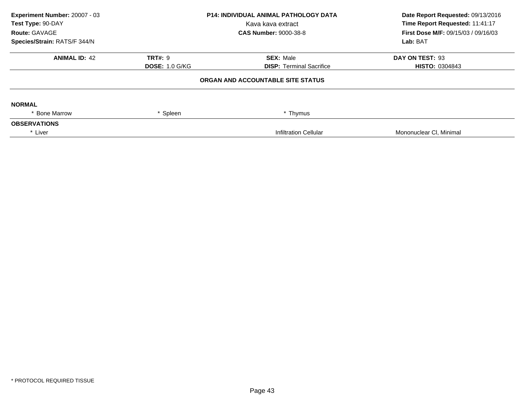| Experiment Number: 20007 - 03<br>Test Type: 90-DAY<br>Route: GAVAGE<br>Species/Strain: RATS/F 344/N |                       | <b>P14: INDIVIDUAL ANIMAL PATHOLOGY DATA</b><br>Kava kava extract<br><b>CAS Number: 9000-38-8</b> | Date Report Requested: 09/13/2016<br>Time Report Requested: 11:41:17<br>First Dose M/F: 09/15/03 / 09/16/03<br>Lab: BAT |
|-----------------------------------------------------------------------------------------------------|-----------------------|---------------------------------------------------------------------------------------------------|-------------------------------------------------------------------------------------------------------------------------|
|                                                                                                     |                       |                                                                                                   |                                                                                                                         |
| <b>ANIMAL ID: 42</b>                                                                                | <b>TRT#: 9</b>        | <b>SEX: Male</b>                                                                                  | DAY ON TEST: 93                                                                                                         |
|                                                                                                     | <b>DOSE: 1.0 G/KG</b> | <b>DISP: Terminal Sacrifice</b>                                                                   | <b>HISTO: 0304843</b>                                                                                                   |
|                                                                                                     |                       | ORGAN AND ACCOUNTABLE SITE STATUS                                                                 |                                                                                                                         |
| <b>NORMAL</b>                                                                                       |                       |                                                                                                   |                                                                                                                         |
| * Bone Marrow                                                                                       | Spleen                | * Thymus                                                                                          |                                                                                                                         |
| <b>OBSERVATIONS</b>                                                                                 |                       |                                                                                                   |                                                                                                                         |
| * Liver                                                                                             |                       | <b>Infiltration Cellular</b>                                                                      | Mononuclear CI, Minimal                                                                                                 |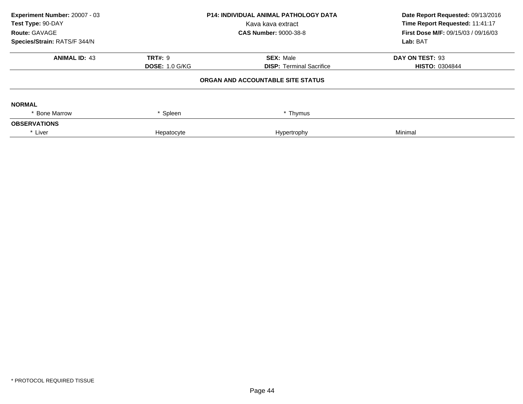| Experiment Number: 20007 - 03<br>Test Type: 90-DAY<br>Route: GAVAGE<br>Species/Strain: RATS/F 344/N | <b>P14: INDIVIDUAL ANIMAL PATHOLOGY DATA</b><br>Kava kava extract<br><b>CAS Number: 9000-38-8</b> |                                                     | Date Report Requested: 09/13/2016<br>Time Report Requested: 11:41:17<br><b>First Dose M/F: 09/15/03 / 09/16/03</b><br>Lab: BAT |
|-----------------------------------------------------------------------------------------------------|---------------------------------------------------------------------------------------------------|-----------------------------------------------------|--------------------------------------------------------------------------------------------------------------------------------|
| <b>ANIMAL ID: 43</b>                                                                                | TRT#: 9<br><b>DOSE: 1.0 G/KG</b>                                                                  | <b>SEX: Male</b><br><b>DISP: Terminal Sacrifice</b> | DAY ON TEST: 93<br><b>HISTO: 0304844</b>                                                                                       |
|                                                                                                     |                                                                                                   | ORGAN AND ACCOUNTABLE SITE STATUS                   |                                                                                                                                |
| <b>NORMAL</b><br>* Bone Marrow                                                                      | * Spleen                                                                                          | * Thymus                                            |                                                                                                                                |
| <b>OBSERVATIONS</b>                                                                                 |                                                                                                   |                                                     |                                                                                                                                |
| * Liver                                                                                             | Hepatocyte                                                                                        | Hypertrophy                                         | Minimal                                                                                                                        |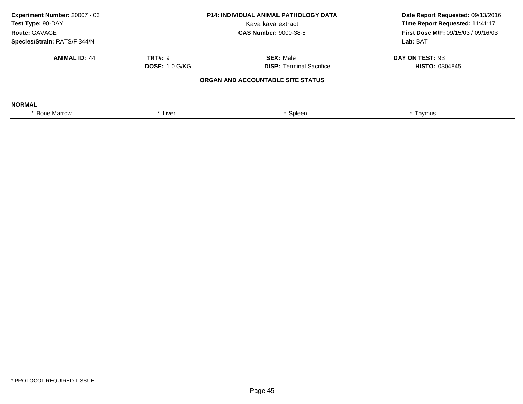| Experiment Number: 20007 - 03<br>Test Type: 90-DAY<br>Route: GAVAGE | <b>P14: INDIVIDUAL ANIMAL PATHOLOGY DATA</b><br>Kava kava extract<br><b>CAS Number: 9000-38-8</b> |                                   | Date Report Requested: 09/13/2016<br>Time Report Requested: 11:41:17<br><b>First Dose M/F: 09/15/03 / 09/16/03</b> |
|---------------------------------------------------------------------|---------------------------------------------------------------------------------------------------|-----------------------------------|--------------------------------------------------------------------------------------------------------------------|
| Species/Strain: RATS/F 344/N                                        |                                                                                                   |                                   | Lab: BAT                                                                                                           |
| <b>ANIMAL ID: 44</b>                                                | <b>TRT#: 9</b>                                                                                    | <b>SEX: Male</b>                  | DAY ON TEST: 93                                                                                                    |
|                                                                     | <b>DOSE: 1.0 G/KG</b>                                                                             | <b>DISP: Terminal Sacrifice</b>   | <b>HISTO: 0304845</b>                                                                                              |
|                                                                     |                                                                                                   | ORGAN AND ACCOUNTABLE SITE STATUS |                                                                                                                    |
| <b>NORMAL</b>                                                       |                                                                                                   |                                   |                                                                                                                    |
| * Bone Marrow                                                       | * Liver                                                                                           | Spleen                            | * Thymus                                                                                                           |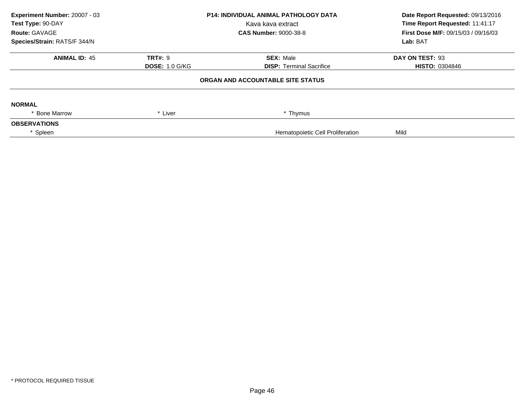| Experiment Number: 20007 - 03 |                       | <b>P14: INDIVIDUAL ANIMAL PATHOLOGY DATA</b> | Date Report Requested: 09/13/2016          |
|-------------------------------|-----------------------|----------------------------------------------|--------------------------------------------|
| Test Type: 90-DAY             |                       | Kava kava extract                            | Time Report Requested: 11:41:17            |
| Route: GAVAGE                 |                       | <b>CAS Number: 9000-38-8</b>                 | <b>First Dose M/F: 09/15/03 / 09/16/03</b> |
| Species/Strain: RATS/F 344/N  |                       |                                              | Lab: BAT                                   |
| <b>ANIMAL ID: 45</b>          | <b>TRT#: 9</b>        | <b>SEX: Male</b>                             | DAY ON TEST: 93                            |
|                               | <b>DOSE: 1.0 G/KG</b> | <b>DISP:</b> Terminal Sacrifice              | <b>HISTO: 0304846</b>                      |
|                               |                       | ORGAN AND ACCOUNTABLE SITE STATUS            |                                            |
| <b>NORMAL</b>                 |                       |                                              |                                            |
| <b>Bone Marrow</b>            | * Liver               | * Thymus                                     |                                            |
| <b>OBSERVATIONS</b>           |                       |                                              |                                            |
| * Spleen                      |                       | Hematopoietic Cell Proliferation             | Mild                                       |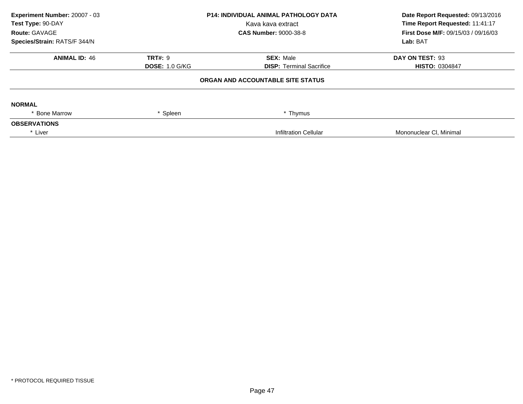| Experiment Number: 20007 - 03<br>Test Type: 90-DAY<br>Route: GAVAGE | <b>P14: INDIVIDUAL ANIMAL PATHOLOGY DATA</b><br>Kava kava extract<br><b>CAS Number: 9000-38-8</b> |                                   | Date Report Requested: 09/13/2016<br>Time Report Requested: 11:41:17<br>First Dose M/F: 09/15/03 / 09/16/03 |  |
|---------------------------------------------------------------------|---------------------------------------------------------------------------------------------------|-----------------------------------|-------------------------------------------------------------------------------------------------------------|--|
| Species/Strain: RATS/F 344/N                                        |                                                                                                   |                                   | Lab: BAT                                                                                                    |  |
| <b>ANIMAL ID: 46</b>                                                | <b>TRT#: 9</b>                                                                                    | <b>SEX: Male</b>                  | DAY ON TEST: 93                                                                                             |  |
|                                                                     | <b>DOSE: 1.0 G/KG</b>                                                                             | <b>DISP: Terminal Sacrifice</b>   | <b>HISTO: 0304847</b>                                                                                       |  |
|                                                                     |                                                                                                   | ORGAN AND ACCOUNTABLE SITE STATUS |                                                                                                             |  |
| <b>NORMAL</b>                                                       |                                                                                                   |                                   |                                                                                                             |  |
| * Bone Marrow                                                       | * Spleen                                                                                          | * Thymus                          |                                                                                                             |  |
| <b>OBSERVATIONS</b>                                                 |                                                                                                   |                                   |                                                                                                             |  |
| * Liver                                                             |                                                                                                   | <b>Infiltration Cellular</b>      | Mononuclear CI, Minimal                                                                                     |  |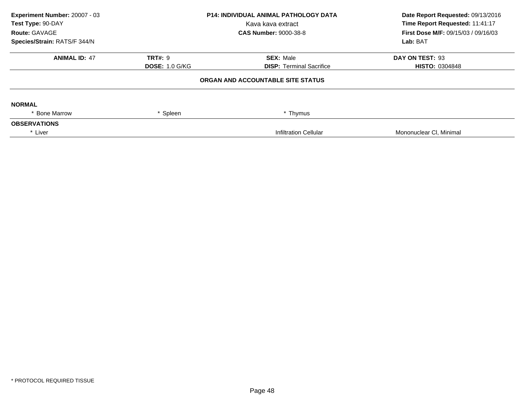| Experiment Number: 20007 - 03<br>Test Type: 90-DAY<br>Route: GAVAGE | <b>P14: INDIVIDUAL ANIMAL PATHOLOGY DATA</b><br>Kava kava extract<br><b>CAS Number: 9000-38-8</b> |                                   | Date Report Requested: 09/13/2016<br>Time Report Requested: 11:41:17<br>First Dose M/F: 09/15/03 / 09/16/03 |  |
|---------------------------------------------------------------------|---------------------------------------------------------------------------------------------------|-----------------------------------|-------------------------------------------------------------------------------------------------------------|--|
| Species/Strain: RATS/F 344/N                                        |                                                                                                   |                                   | Lab: BAT                                                                                                    |  |
| <b>ANIMAL ID: 47</b>                                                | <b>TRT#: 9</b>                                                                                    | <b>SEX: Male</b>                  | DAY ON TEST: 93                                                                                             |  |
|                                                                     | <b>DOSE: 1.0 G/KG</b>                                                                             | <b>DISP: Terminal Sacrifice</b>   | <b>HISTO: 0304848</b>                                                                                       |  |
|                                                                     |                                                                                                   | ORGAN AND ACCOUNTABLE SITE STATUS |                                                                                                             |  |
| <b>NORMAL</b>                                                       |                                                                                                   |                                   |                                                                                                             |  |
| * Bone Marrow                                                       | * Spleen                                                                                          | * Thymus                          |                                                                                                             |  |
| <b>OBSERVATIONS</b>                                                 |                                                                                                   |                                   |                                                                                                             |  |
| * Liver                                                             |                                                                                                   | <b>Infiltration Cellular</b>      | Mononuclear CI, Minimal                                                                                     |  |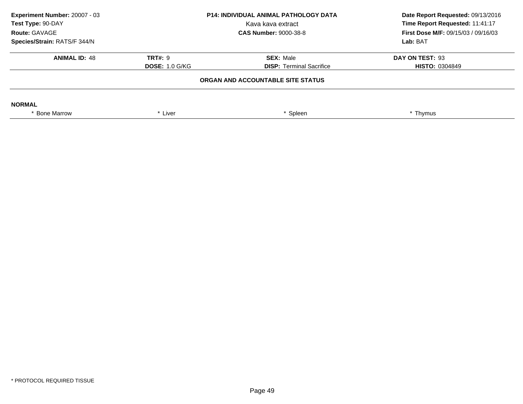| Experiment Number: 20007 - 03<br>Test Type: 90-DAY<br>Route: GAVAGE<br>Species/Strain: RATS/F 344/N | <b>P14: INDIVIDUAL ANIMAL PATHOLOGY DATA</b><br>Kava kava extract<br><b>CAS Number: 9000-38-8</b> |                                                     | Date Report Requested: 09/13/2016<br>Time Report Requested: 11:41:17<br><b>First Dose M/F: 09/15/03 / 09/16/03</b><br>Lab: BAT |
|-----------------------------------------------------------------------------------------------------|---------------------------------------------------------------------------------------------------|-----------------------------------------------------|--------------------------------------------------------------------------------------------------------------------------------|
| <b>ANIMAL ID: 48</b>                                                                                | <b>TRT#: 9</b><br><b>DOSE: 1.0 G/KG</b>                                                           | <b>SEX: Male</b><br><b>DISP:</b> Terminal Sacrifice | DAY ON TEST: 93<br><b>HISTO: 0304849</b>                                                                                       |
|                                                                                                     |                                                                                                   |                                                     |                                                                                                                                |
| <b>NORMAL</b>                                                                                       |                                                                                                   |                                                     |                                                                                                                                |
| * Bone Marrow                                                                                       | * Liver                                                                                           | Spleen                                              | * Thymus                                                                                                                       |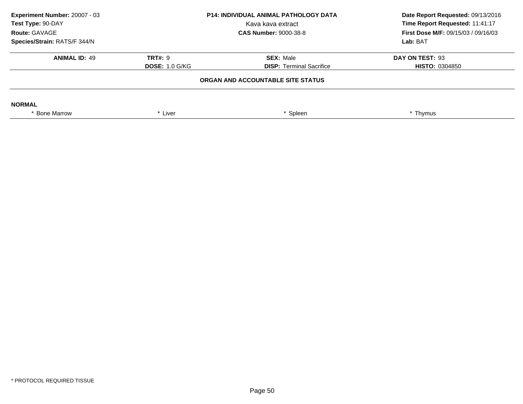| Experiment Number: 20007 - 03<br>Test Type: 90-DAY<br>Route: GAVAGE | <b>P14: INDIVIDUAL ANIMAL PATHOLOGY DATA</b><br>Kava kava extract<br><b>CAS Number: 9000-38-8</b> |                                   |                       |  |  |  | Date Report Requested: 09/13/2016<br>Time Report Requested: 11:41:17<br><b>First Dose M/F: 09/15/03 / 09/16/03</b> |
|---------------------------------------------------------------------|---------------------------------------------------------------------------------------------------|-----------------------------------|-----------------------|--|--|--|--------------------------------------------------------------------------------------------------------------------|
| Species/Strain: RATS/F 344/N                                        |                                                                                                   |                                   | Lab: BAT              |  |  |  |                                                                                                                    |
| <b>ANIMAL ID: 49</b>                                                | <b>TRT#: 9</b>                                                                                    | <b>SEX: Male</b>                  | DAY ON TEST: 93       |  |  |  |                                                                                                                    |
|                                                                     | <b>DOSE: 1.0 G/KG</b>                                                                             | <b>DISP: Terminal Sacrifice</b>   | <b>HISTO: 0304850</b> |  |  |  |                                                                                                                    |
|                                                                     |                                                                                                   | ORGAN AND ACCOUNTABLE SITE STATUS |                       |  |  |  |                                                                                                                    |
| <b>NORMAL</b>                                                       |                                                                                                   |                                   |                       |  |  |  |                                                                                                                    |
| * Bone Marrow                                                       | * Liver                                                                                           | Spleen                            | * Thymus              |  |  |  |                                                                                                                    |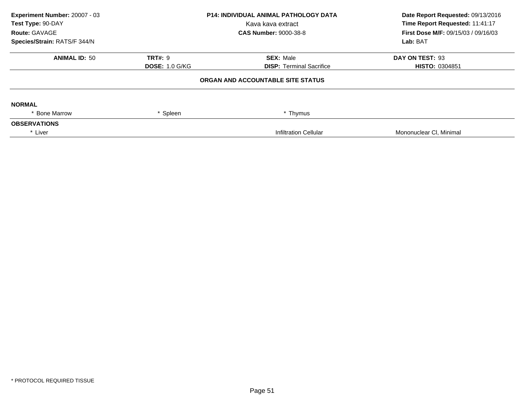| Experiment Number: 20007 - 03<br>Test Type: 90-DAY<br>Route: GAVAGE | <b>P14: INDIVIDUAL ANIMAL PATHOLOGY DATA</b><br>Kava kava extract<br><b>CAS Number: 9000-38-8</b> |                                   | Date Report Requested: 09/13/2016<br>Time Report Requested: 11:41:17<br>First Dose M/F: 09/15/03 / 09/16/03 |  |
|---------------------------------------------------------------------|---------------------------------------------------------------------------------------------------|-----------------------------------|-------------------------------------------------------------------------------------------------------------|--|
| Species/Strain: RATS/F 344/N                                        |                                                                                                   |                                   | Lab: BAT                                                                                                    |  |
| <b>ANIMAL ID: 50</b>                                                | <b>TRT#: 9</b>                                                                                    | <b>SEX: Male</b>                  | DAY ON TEST: 93                                                                                             |  |
|                                                                     | <b>DOSE: 1.0 G/KG</b>                                                                             | <b>DISP: Terminal Sacrifice</b>   | <b>HISTO: 0304851</b>                                                                                       |  |
|                                                                     |                                                                                                   | ORGAN AND ACCOUNTABLE SITE STATUS |                                                                                                             |  |
| <b>NORMAL</b>                                                       |                                                                                                   |                                   |                                                                                                             |  |
| * Bone Marrow                                                       | * Spleen                                                                                          | * Thymus                          |                                                                                                             |  |
| <b>OBSERVATIONS</b>                                                 |                                                                                                   |                                   |                                                                                                             |  |
| * Liver                                                             |                                                                                                   | <b>Infiltration Cellular</b>      | Mononuclear CI, Minimal                                                                                     |  |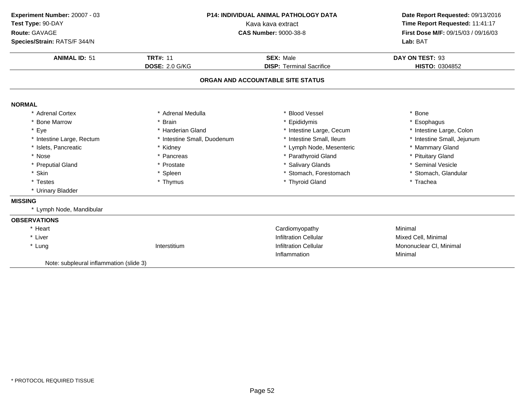| Experiment Number: 20007 - 03           | <b>P14: INDIVIDUAL ANIMAL PATHOLOGY DATA</b> |                                   | Date Report Requested: 09/13/2016   |  |
|-----------------------------------------|----------------------------------------------|-----------------------------------|-------------------------------------|--|
| Test Type: 90-DAY                       | Kava kava extract                            | Time Report Requested: 11:41:17   |                                     |  |
| Route: GAVAGE                           |                                              | <b>CAS Number: 9000-38-8</b>      | First Dose M/F: 09/15/03 / 09/16/03 |  |
| Species/Strain: RATS/F 344/N            |                                              |                                   | Lab: BAT                            |  |
| <b>ANIMAL ID: 51</b>                    | <b>TRT#: 11</b>                              | <b>SEX: Male</b>                  | DAY ON TEST: 93                     |  |
|                                         | <b>DOSE: 2.0 G/KG</b>                        | <b>DISP: Terminal Sacrifice</b>   | HISTO: 0304852                      |  |
|                                         |                                              | ORGAN AND ACCOUNTABLE SITE STATUS |                                     |  |
| <b>NORMAL</b>                           |                                              |                                   |                                     |  |
| * Adrenal Cortex                        | * Adrenal Medulla                            | * Blood Vessel                    | * Bone                              |  |
| * Bone Marrow                           | * Brain                                      | * Epididymis                      | Esophagus                           |  |
| * Eye                                   | * Harderian Gland                            | * Intestine Large, Cecum          | * Intestine Large, Colon            |  |
| * Intestine Large, Rectum               | * Intestine Small, Duodenum                  | * Intestine Small, Ileum          | * Intestine Small, Jejunum          |  |
| * Islets, Pancreatic                    | * Kidney                                     | * Lymph Node, Mesenteric          | * Mammary Gland                     |  |
| * Nose                                  | * Pancreas                                   | * Parathyroid Gland               | * Pituitary Gland                   |  |
| * Preputial Gland                       | * Prostate                                   | * Salivary Glands                 | * Seminal Vesicle                   |  |
| * Skin                                  | * Spleen                                     | * Stomach, Forestomach            | * Stomach, Glandular                |  |
| * Testes                                | * Thymus                                     | * Thyroid Gland                   | * Trachea                           |  |
| * Urinary Bladder                       |                                              |                                   |                                     |  |
| <b>MISSING</b>                          |                                              |                                   |                                     |  |
| * Lymph Node, Mandibular                |                                              |                                   |                                     |  |
| <b>OBSERVATIONS</b>                     |                                              |                                   |                                     |  |
| * Heart                                 |                                              | Cardiomyopathy                    | Minimal                             |  |
| * Liver                                 |                                              | <b>Infiltration Cellular</b>      | Mixed Cell, Minimal                 |  |
| * Lung                                  | Interstitium                                 | <b>Infiltration Cellular</b>      | Mononuclear CI, Minimal             |  |
|                                         |                                              | Inflammation                      | Minimal                             |  |
| Note: subpleural inflammation (slide 3) |                                              |                                   |                                     |  |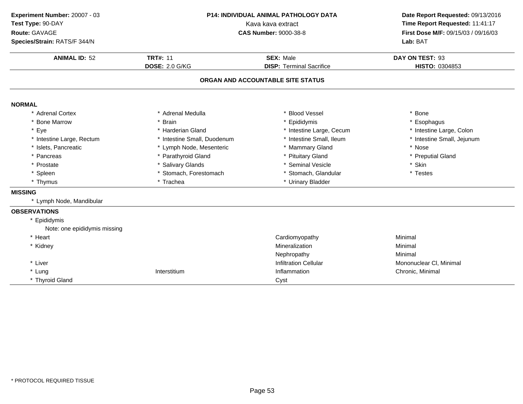| Experiment Number: 20007 - 03 | <b>P14: INDIVIDUAL ANIMAL PATHOLOGY DATA</b><br>Kava kava extract |                                   | Date Report Requested: 09/13/2016<br>Time Report Requested: 11:41:17 |  |
|-------------------------------|-------------------------------------------------------------------|-----------------------------------|----------------------------------------------------------------------|--|
| Test Type: 90-DAY             |                                                                   |                                   |                                                                      |  |
| Route: GAVAGE                 |                                                                   | <b>CAS Number: 9000-38-8</b>      | First Dose M/F: 09/15/03 / 09/16/03<br>Lab: BAT                      |  |
| Species/Strain: RATS/F 344/N  |                                                                   |                                   |                                                                      |  |
| <b>ANIMAL ID: 52</b>          | <b>TRT#: 11</b>                                                   | <b>SEX: Male</b>                  | DAY ON TEST: 93                                                      |  |
|                               | <b>DOSE: 2.0 G/KG</b>                                             | <b>DISP: Terminal Sacrifice</b>   | HISTO: 0304853                                                       |  |
|                               |                                                                   | ORGAN AND ACCOUNTABLE SITE STATUS |                                                                      |  |
| <b>NORMAL</b>                 |                                                                   |                                   |                                                                      |  |
| * Adrenal Cortex              | * Adrenal Medulla                                                 | * Blood Vessel                    | * Bone                                                               |  |
| * Bone Marrow                 | * Brain                                                           | * Epididymis                      | * Esophagus                                                          |  |
| * Eye                         | * Harderian Gland                                                 | * Intestine Large, Cecum          | * Intestine Large, Colon                                             |  |
| * Intestine Large, Rectum     | * Intestine Small, Duodenum                                       | * Intestine Small, Ileum          | * Intestine Small, Jejunum                                           |  |
| * Islets, Pancreatic          | * Lymph Node, Mesenteric                                          | * Mammary Gland                   | * Nose                                                               |  |
| * Pancreas                    | * Parathyroid Gland                                               | * Pituitary Gland                 | * Preputial Gland                                                    |  |
| * Prostate                    | * Salivary Glands                                                 | * Seminal Vesicle                 | * Skin                                                               |  |
| * Spleen                      | * Stomach, Forestomach                                            | * Stomach, Glandular              | * Testes                                                             |  |
| * Thymus                      | * Trachea                                                         | * Urinary Bladder                 |                                                                      |  |
| <b>MISSING</b>                |                                                                   |                                   |                                                                      |  |
| * Lymph Node, Mandibular      |                                                                   |                                   |                                                                      |  |
| <b>OBSERVATIONS</b>           |                                                                   |                                   |                                                                      |  |
| * Epididymis                  |                                                                   |                                   |                                                                      |  |
| Note: one epididymis missing  |                                                                   |                                   |                                                                      |  |
| * Heart                       |                                                                   | Cardiomyopathy                    | Minimal                                                              |  |
| * Kidney                      |                                                                   | Mineralization                    | Minimal                                                              |  |
|                               |                                                                   | Nephropathy                       | Minimal                                                              |  |
| * Liver                       |                                                                   | <b>Infiltration Cellular</b>      | Mononuclear CI, Minimal                                              |  |
| * Lung                        | Interstitium                                                      | Inflammation                      | Chronic, Minimal                                                     |  |
| * Thyroid Gland               |                                                                   | Cyst                              |                                                                      |  |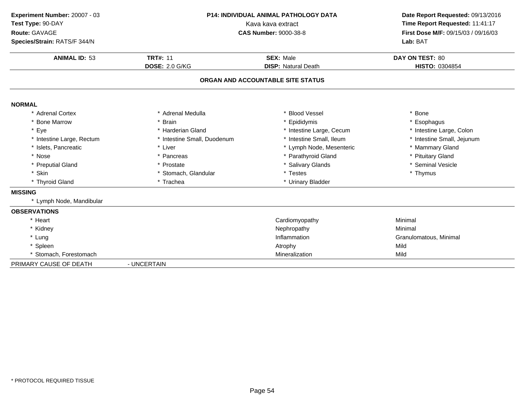| Experiment Number: 20007 - 03<br>Test Type: 90-DAY<br>Route: GAVAGE<br>Species/Strain: RATS/F 344/N | <b>P14: INDIVIDUAL ANIMAL PATHOLOGY DATA</b><br>Kava kava extract<br><b>CAS Number: 9000-38-8</b> |                                                | Date Report Requested: 09/13/2016<br>Time Report Requested: 11:41:17<br>First Dose M/F: 09/15/03 / 09/16/03<br>Lab: BAT |
|-----------------------------------------------------------------------------------------------------|---------------------------------------------------------------------------------------------------|------------------------------------------------|-------------------------------------------------------------------------------------------------------------------------|
| <b>ANIMAL ID: 53</b>                                                                                | <b>TRT#: 11</b><br><b>DOSE: 2.0 G/KG</b>                                                          | <b>SEX: Male</b><br><b>DISP: Natural Death</b> | DAY ON TEST: 80<br>HISTO: 0304854                                                                                       |
|                                                                                                     |                                                                                                   |                                                |                                                                                                                         |
|                                                                                                     |                                                                                                   | ORGAN AND ACCOUNTABLE SITE STATUS              |                                                                                                                         |
| <b>NORMAL</b>                                                                                       |                                                                                                   |                                                |                                                                                                                         |
| * Adrenal Cortex                                                                                    | * Adrenal Medulla                                                                                 | * Blood Vessel                                 | * Bone                                                                                                                  |
| * Bone Marrow                                                                                       | * Brain                                                                                           | * Epididymis                                   | * Esophagus                                                                                                             |
| * Eye                                                                                               | * Harderian Gland                                                                                 | * Intestine Large, Cecum                       | * Intestine Large, Colon                                                                                                |
| * Intestine Large, Rectum                                                                           | * Intestine Small, Duodenum                                                                       | * Intestine Small, Ileum                       | * Intestine Small, Jejunum                                                                                              |
| * Islets, Pancreatic                                                                                | * Liver                                                                                           | * Lymph Node, Mesenteric                       | * Mammary Gland                                                                                                         |
| * Nose                                                                                              | * Pancreas                                                                                        | * Parathyroid Gland                            | * Pituitary Gland                                                                                                       |
| * Preputial Gland                                                                                   | * Prostate                                                                                        | * Salivary Glands                              | * Seminal Vesicle                                                                                                       |
| * Skin                                                                                              | * Stomach, Glandular                                                                              | * Testes                                       | * Thymus                                                                                                                |
| * Thyroid Gland                                                                                     | * Trachea                                                                                         | * Urinary Bladder                              |                                                                                                                         |
| <b>MISSING</b>                                                                                      |                                                                                                   |                                                |                                                                                                                         |
| * Lymph Node, Mandibular                                                                            |                                                                                                   |                                                |                                                                                                                         |
| <b>OBSERVATIONS</b>                                                                                 |                                                                                                   |                                                |                                                                                                                         |
| * Heart                                                                                             |                                                                                                   | Cardiomyopathy                                 | Minimal                                                                                                                 |
| * Kidney                                                                                            |                                                                                                   | Nephropathy                                    | Minimal                                                                                                                 |
| * Lung                                                                                              |                                                                                                   | Inflammation                                   | Granulomatous, Minimal                                                                                                  |
| * Spleen                                                                                            |                                                                                                   | Atrophy                                        | Mild                                                                                                                    |
| * Stomach, Forestomach                                                                              |                                                                                                   | Mineralization                                 | Mild                                                                                                                    |
| PRIMARY CAUSE OF DEATH                                                                              | - UNCERTAIN                                                                                       |                                                |                                                                                                                         |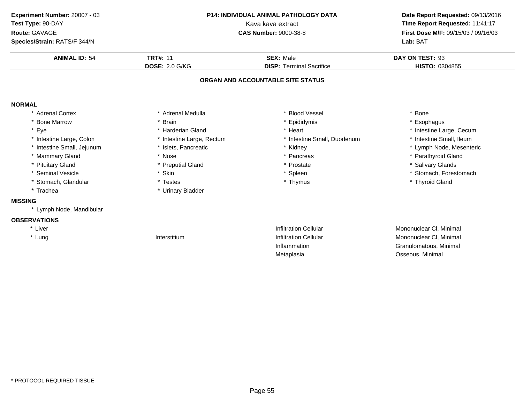| Experiment Number: 20007 - 03<br>Test Type: 90-DAY<br>Route: GAVAGE<br>Species/Strain: RATS/F 344/N | <b>P14: INDIVIDUAL ANIMAL PATHOLOGY DATA</b><br>Kava kava extract<br><b>CAS Number: 9000-38-8</b> |                                   | Date Report Requested: 09/13/2016<br>Time Report Requested: 11:41:17<br>First Dose M/F: 09/15/03 / 09/16/03<br>Lab: BAT |  |
|-----------------------------------------------------------------------------------------------------|---------------------------------------------------------------------------------------------------|-----------------------------------|-------------------------------------------------------------------------------------------------------------------------|--|
| <b>ANIMAL ID: 54</b>                                                                                | <b>TRT#: 11</b>                                                                                   | <b>SEX: Male</b>                  | DAY ON TEST: 93                                                                                                         |  |
|                                                                                                     | <b>DOSE: 2.0 G/KG</b>                                                                             | <b>DISP: Terminal Sacrifice</b>   | <b>HISTO: 0304855</b>                                                                                                   |  |
|                                                                                                     |                                                                                                   | ORGAN AND ACCOUNTABLE SITE STATUS |                                                                                                                         |  |
| <b>NORMAL</b>                                                                                       |                                                                                                   |                                   |                                                                                                                         |  |
| * Adrenal Cortex                                                                                    | * Adrenal Medulla                                                                                 | * Blood Vessel                    | * Bone                                                                                                                  |  |
| * Bone Marrow                                                                                       | * Brain                                                                                           | * Epididymis                      | Esophagus                                                                                                               |  |
| * Eye                                                                                               | * Harderian Gland                                                                                 | * Heart                           | * Intestine Large, Cecum                                                                                                |  |
| * Intestine Large, Colon                                                                            | * Intestine Large, Rectum                                                                         | * Intestine Small, Duodenum       | * Intestine Small, Ileum                                                                                                |  |
| * Intestine Small, Jejunum                                                                          | * Islets, Pancreatic                                                                              | * Kidney                          | * Lymph Node, Mesenteric                                                                                                |  |
| * Mammary Gland                                                                                     | * Nose                                                                                            | * Pancreas                        | * Parathyroid Gland                                                                                                     |  |
| * Pituitary Gland                                                                                   | * Preputial Gland                                                                                 | * Prostate                        | * Salivary Glands                                                                                                       |  |
| * Seminal Vesicle                                                                                   | * Skin                                                                                            | * Spleen                          | * Stomach, Forestomach                                                                                                  |  |
| * Stomach, Glandular                                                                                | * Testes                                                                                          | * Thymus                          | * Thyroid Gland                                                                                                         |  |
| * Trachea                                                                                           | * Urinary Bladder                                                                                 |                                   |                                                                                                                         |  |
| <b>MISSING</b>                                                                                      |                                                                                                   |                                   |                                                                                                                         |  |
| * Lymph Node, Mandibular                                                                            |                                                                                                   |                                   |                                                                                                                         |  |
| <b>OBSERVATIONS</b>                                                                                 |                                                                                                   |                                   |                                                                                                                         |  |
| * Liver                                                                                             |                                                                                                   | <b>Infiltration Cellular</b>      | Mononuclear CI, Minimal                                                                                                 |  |
| * Lung                                                                                              | Interstitium                                                                                      | <b>Infiltration Cellular</b>      | Mononuclear CI, Minimal                                                                                                 |  |
|                                                                                                     |                                                                                                   | Inflammation                      | Granulomatous, Minimal                                                                                                  |  |
|                                                                                                     |                                                                                                   | Metaplasia                        | Osseous, Minimal                                                                                                        |  |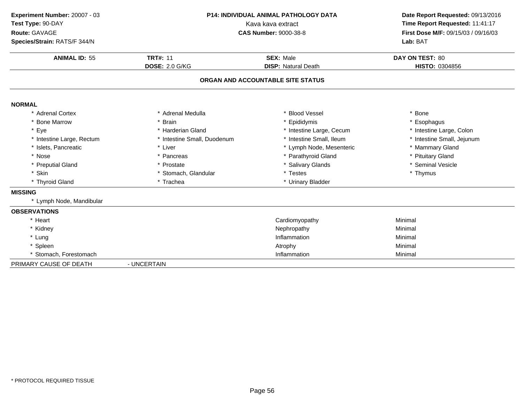| Experiment Number: 20007 - 03<br>Test Type: 90-DAY<br>Route: GAVAGE<br>Species/Strain: RATS/F 344/N | P14: INDIVIDUAL ANIMAL PATHOLOGY DATA<br>Kava kava extract<br><b>CAS Number: 9000-38-8</b> |                                                | Date Report Requested: 09/13/2016<br>Time Report Requested: 11:41:17<br>First Dose M/F: 09/15/03 / 09/16/03<br>Lab: BAT |
|-----------------------------------------------------------------------------------------------------|--------------------------------------------------------------------------------------------|------------------------------------------------|-------------------------------------------------------------------------------------------------------------------------|
| <b>ANIMAL ID: 55</b>                                                                                | <b>TRT#: 11</b><br><b>DOSE: 2.0 G/KG</b>                                                   | <b>SEX: Male</b><br><b>DISP: Natural Death</b> | DAY ON TEST: 80<br>HISTO: 0304856                                                                                       |
|                                                                                                     |                                                                                            | ORGAN AND ACCOUNTABLE SITE STATUS              |                                                                                                                         |
| <b>NORMAL</b>                                                                                       |                                                                                            |                                                |                                                                                                                         |
| * Adrenal Cortex                                                                                    | * Adrenal Medulla                                                                          | * Blood Vessel                                 | * Bone                                                                                                                  |
| * Bone Marrow                                                                                       | * Brain                                                                                    | * Epididymis                                   | * Esophagus                                                                                                             |
| * Eye                                                                                               | * Harderian Gland                                                                          | * Intestine Large, Cecum                       | * Intestine Large, Colon                                                                                                |
| * Intestine Large, Rectum                                                                           | * Intestine Small, Duodenum                                                                | * Intestine Small, Ileum                       | * Intestine Small, Jejunum                                                                                              |
| * Islets, Pancreatic                                                                                | * Liver                                                                                    | * Lymph Node, Mesenteric                       | * Mammary Gland                                                                                                         |
| * Nose                                                                                              | * Pancreas                                                                                 | * Parathyroid Gland                            | * Pituitary Gland                                                                                                       |
| * Preputial Gland                                                                                   | * Prostate                                                                                 | * Salivary Glands                              | * Seminal Vesicle                                                                                                       |
| * Skin                                                                                              | * Stomach, Glandular                                                                       | * Testes                                       | * Thymus                                                                                                                |
| * Thyroid Gland                                                                                     | * Trachea                                                                                  | * Urinary Bladder                              |                                                                                                                         |
| <b>MISSING</b>                                                                                      |                                                                                            |                                                |                                                                                                                         |
| * Lymph Node, Mandibular                                                                            |                                                                                            |                                                |                                                                                                                         |
| <b>OBSERVATIONS</b>                                                                                 |                                                                                            |                                                |                                                                                                                         |
| * Heart                                                                                             |                                                                                            | Cardiomyopathy                                 | Minimal                                                                                                                 |
| * Kidney                                                                                            |                                                                                            | Nephropathy                                    | Minimal                                                                                                                 |
| * Lung                                                                                              |                                                                                            | Inflammation                                   | Minimal                                                                                                                 |
| * Spleen                                                                                            |                                                                                            | Atrophy                                        | Minimal                                                                                                                 |
| * Stomach, Forestomach                                                                              |                                                                                            | Inflammation                                   | Minimal                                                                                                                 |
| PRIMARY CAUSE OF DEATH                                                                              | - UNCERTAIN                                                                                |                                                |                                                                                                                         |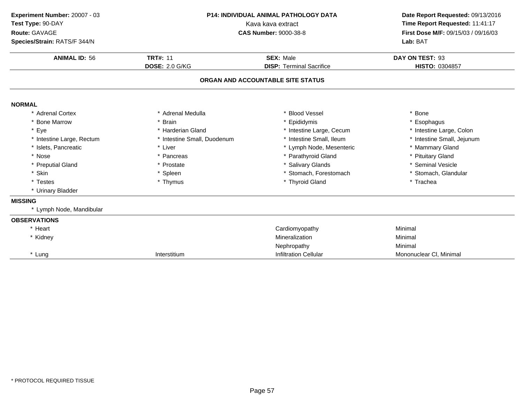| Experiment Number: 20007 - 03 | <b>P14: INDIVIDUAL ANIMAL PATHOLOGY DATA</b> | Date Report Requested: 09/13/2016 |                                     |  |
|-------------------------------|----------------------------------------------|-----------------------------------|-------------------------------------|--|
| Test Type: 90-DAY             |                                              | Kava kava extract                 | Time Report Requested: 11:41:17     |  |
| Route: GAVAGE                 |                                              | <b>CAS Number: 9000-38-8</b>      | First Dose M/F: 09/15/03 / 09/16/03 |  |
| Species/Strain: RATS/F 344/N  |                                              |                                   | Lab: BAT                            |  |
| <b>ANIMAL ID: 56</b>          | <b>TRT#: 11</b>                              | <b>SEX: Male</b>                  | DAY ON TEST: 93                     |  |
|                               | <b>DOSE: 2.0 G/KG</b>                        | <b>DISP: Terminal Sacrifice</b>   | HISTO: 0304857                      |  |
|                               |                                              | ORGAN AND ACCOUNTABLE SITE STATUS |                                     |  |
| <b>NORMAL</b>                 |                                              |                                   |                                     |  |
| * Adrenal Cortex              | * Adrenal Medulla                            | <b>Blood Vessel</b>               | * Bone                              |  |
| * Bone Marrow                 | * Brain                                      | * Epididymis                      | * Esophagus                         |  |
| * Eye                         | * Harderian Gland                            | * Intestine Large, Cecum          | * Intestine Large, Colon            |  |
| * Intestine Large, Rectum     | * Intestine Small, Duodenum                  | * Intestine Small, Ileum          | * Intestine Small, Jejunum          |  |
| * Islets, Pancreatic          | * Liver                                      | * Lymph Node, Mesenteric          | * Mammary Gland                     |  |
| * Nose                        | * Pancreas                                   | * Parathyroid Gland               | * Pituitary Gland                   |  |
| * Preputial Gland             | * Prostate                                   | * Salivary Glands                 | * Seminal Vesicle                   |  |
| * Skin                        | * Spleen                                     | * Stomach, Forestomach            | * Stomach, Glandular                |  |
| * Testes                      | * Thymus                                     | * Thyroid Gland                   | * Trachea                           |  |
| * Urinary Bladder             |                                              |                                   |                                     |  |
| <b>MISSING</b>                |                                              |                                   |                                     |  |
| * Lymph Node, Mandibular      |                                              |                                   |                                     |  |
| <b>OBSERVATIONS</b>           |                                              |                                   |                                     |  |
| * Heart                       |                                              | Cardiomyopathy                    | Minimal                             |  |
| * Kidney                      |                                              | Mineralization                    | Minimal                             |  |
|                               |                                              | Nephropathy                       | Minimal                             |  |
| * Lung                        | Interstitium                                 | <b>Infiltration Cellular</b>      | Mononuclear CI, Minimal             |  |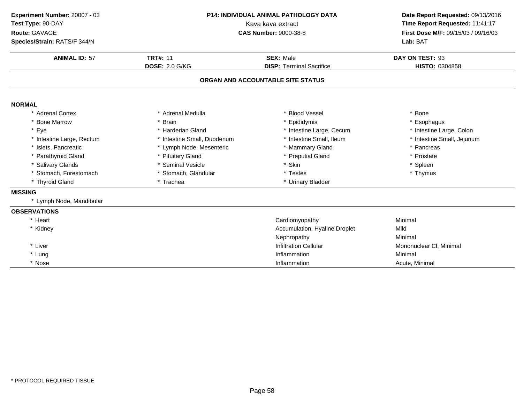| Experiment Number: 20007 - 03<br>Test Type: 90-DAY<br>Route: GAVAGE<br>Species/Strain: RATS/F 344/N | P14: INDIVIDUAL ANIMAL PATHOLOGY DATA<br>Kava kava extract<br><b>CAS Number: 9000-38-8</b> |                                   | Date Report Requested: 09/13/2016<br>Time Report Requested: 11:41:17<br>First Dose M/F: 09/15/03 / 09/16/03<br>Lab: BAT |
|-----------------------------------------------------------------------------------------------------|--------------------------------------------------------------------------------------------|-----------------------------------|-------------------------------------------------------------------------------------------------------------------------|
| <b>ANIMAL ID: 57</b>                                                                                | <b>TRT#: 11</b><br><b>DOSE: 2.0 G/KG</b>                                                   | <b>SEX: Male</b>                  | DAY ON TEST: 93                                                                                                         |
|                                                                                                     |                                                                                            | <b>DISP: Terminal Sacrifice</b>   | HISTO: 0304858                                                                                                          |
|                                                                                                     |                                                                                            | ORGAN AND ACCOUNTABLE SITE STATUS |                                                                                                                         |
| <b>NORMAL</b>                                                                                       |                                                                                            |                                   |                                                                                                                         |
| * Adrenal Cortex                                                                                    | * Adrenal Medulla                                                                          | * Blood Vessel                    | * Bone                                                                                                                  |
| <b>Bone Marrow</b>                                                                                  | * Brain                                                                                    | * Epididymis                      | * Esophagus                                                                                                             |
| * Eye                                                                                               | * Harderian Gland                                                                          | * Intestine Large, Cecum          | * Intestine Large, Colon                                                                                                |
| * Intestine Large, Rectum                                                                           | * Intestine Small, Duodenum                                                                | * Intestine Small, Ileum          | * Intestine Small, Jejunum                                                                                              |
| * Islets, Pancreatic                                                                                | * Lymph Node, Mesenteric                                                                   | * Mammary Gland                   | * Pancreas                                                                                                              |
| * Parathyroid Gland                                                                                 | * Pituitary Gland                                                                          | * Preputial Gland                 | * Prostate                                                                                                              |
| * Salivary Glands                                                                                   | * Seminal Vesicle                                                                          | * Skin                            | * Spleen                                                                                                                |
| * Stomach, Forestomach                                                                              | * Stomach, Glandular                                                                       | * Testes                          | * Thymus                                                                                                                |
| * Thyroid Gland                                                                                     | * Trachea                                                                                  | * Urinary Bladder                 |                                                                                                                         |
| <b>MISSING</b>                                                                                      |                                                                                            |                                   |                                                                                                                         |
| * Lymph Node, Mandibular                                                                            |                                                                                            |                                   |                                                                                                                         |
| <b>OBSERVATIONS</b>                                                                                 |                                                                                            |                                   |                                                                                                                         |
| * Heart                                                                                             |                                                                                            | Cardiomyopathy                    | Minimal                                                                                                                 |
| * Kidney                                                                                            |                                                                                            | Accumulation, Hyaline Droplet     | Mild                                                                                                                    |
|                                                                                                     |                                                                                            | Nephropathy                       | Minimal                                                                                                                 |
| * Liver                                                                                             |                                                                                            | <b>Infiltration Cellular</b>      | Mononuclear CI, Minimal                                                                                                 |
| * Lung                                                                                              |                                                                                            | Inflammation                      | Minimal                                                                                                                 |
| * Nose                                                                                              |                                                                                            | Inflammation                      | Acute, Minimal                                                                                                          |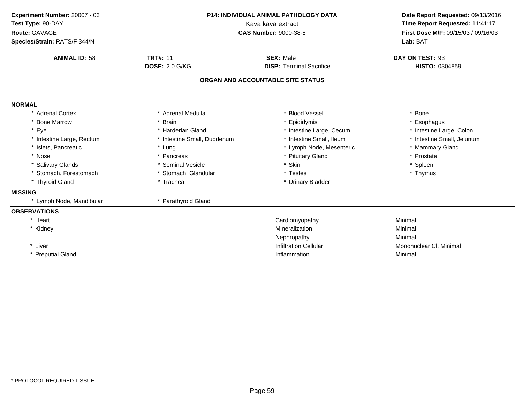| Experiment Number: 20007 - 03<br>Test Type: 90-DAY<br>Route: GAVAGE<br>Species/Strain: RATS/F 344/N | <b>P14: INDIVIDUAL ANIMAL PATHOLOGY DATA</b><br>Kava kava extract<br><b>CAS Number: 9000-38-8</b> |                                                     | Date Report Requested: 09/13/2016<br>Time Report Requested: 11:41:17<br>First Dose M/F: 09/15/03 / 09/16/03<br>Lab: BAT |
|-----------------------------------------------------------------------------------------------------|---------------------------------------------------------------------------------------------------|-----------------------------------------------------|-------------------------------------------------------------------------------------------------------------------------|
| <b>ANIMAL ID: 58</b>                                                                                | <b>TRT#: 11</b><br><b>DOSE: 2.0 G/KG</b>                                                          | <b>SEX: Male</b><br><b>DISP: Terminal Sacrifice</b> | DAY ON TEST: 93<br>HISTO: 0304859                                                                                       |
|                                                                                                     |                                                                                                   | ORGAN AND ACCOUNTABLE SITE STATUS                   |                                                                                                                         |
| <b>NORMAL</b>                                                                                       |                                                                                                   |                                                     |                                                                                                                         |
| * Adrenal Cortex                                                                                    | * Adrenal Medulla                                                                                 | * Blood Vessel                                      | * Bone                                                                                                                  |
| * Bone Marrow                                                                                       | * Brain                                                                                           | * Epididymis                                        | * Esophagus                                                                                                             |
| * Eye                                                                                               | * Harderian Gland                                                                                 | * Intestine Large, Cecum                            | * Intestine Large, Colon                                                                                                |
| * Intestine Large, Rectum                                                                           | * Intestine Small, Duodenum                                                                       | * Intestine Small, Ileum                            | * Intestine Small, Jejunum                                                                                              |
| * Islets, Pancreatic                                                                                | * Lung                                                                                            | * Lymph Node, Mesenteric                            | * Mammary Gland                                                                                                         |
| * Nose                                                                                              | * Pancreas                                                                                        | * Pituitary Gland                                   | * Prostate                                                                                                              |
| * Salivary Glands                                                                                   | * Seminal Vesicle                                                                                 | * Skin                                              | * Spleen                                                                                                                |
| * Stomach, Forestomach                                                                              | * Stomach, Glandular                                                                              | * Testes                                            | * Thymus                                                                                                                |
| * Thyroid Gland                                                                                     | * Trachea                                                                                         | * Urinary Bladder                                   |                                                                                                                         |
| <b>MISSING</b>                                                                                      |                                                                                                   |                                                     |                                                                                                                         |
| * Lymph Node, Mandibular                                                                            | * Parathyroid Gland                                                                               |                                                     |                                                                                                                         |
| <b>OBSERVATIONS</b>                                                                                 |                                                                                                   |                                                     |                                                                                                                         |
| * Heart                                                                                             |                                                                                                   | Cardiomyopathy                                      | Minimal                                                                                                                 |
| * Kidney                                                                                            |                                                                                                   | Mineralization                                      | Minimal                                                                                                                 |
|                                                                                                     |                                                                                                   | Nephropathy                                         | Minimal                                                                                                                 |
| * Liver                                                                                             |                                                                                                   | <b>Infiltration Cellular</b>                        | Mononuclear CI, Minimal                                                                                                 |
| * Preputial Gland                                                                                   |                                                                                                   | Inflammation                                        | Minimal                                                                                                                 |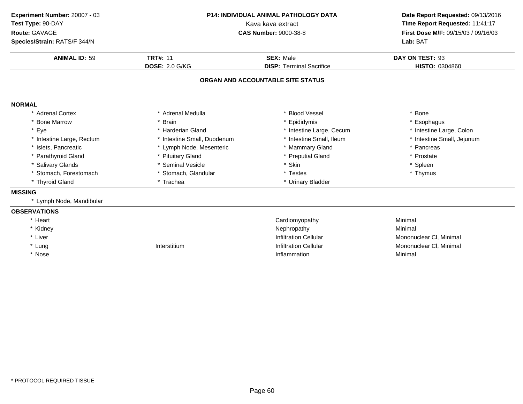| Experiment Number: 20007 - 03<br>Test Type: 90-DAY<br>Route: GAVAGE<br>Species/Strain: RATS/F 344/N | P14: INDIVIDUAL ANIMAL PATHOLOGY DATA<br>Kava kava extract<br><b>CAS Number: 9000-38-8</b> |                                                     | Date Report Requested: 09/13/2016<br>Time Report Requested: 11:41:17<br>First Dose M/F: 09/15/03 / 09/16/03<br>Lab: BAT |
|-----------------------------------------------------------------------------------------------------|--------------------------------------------------------------------------------------------|-----------------------------------------------------|-------------------------------------------------------------------------------------------------------------------------|
| <b>ANIMAL ID: 59</b>                                                                                | <b>TRT#: 11</b><br><b>DOSE: 2.0 G/KG</b>                                                   | <b>SEX: Male</b><br><b>DISP: Terminal Sacrifice</b> |                                                                                                                         |
|                                                                                                     |                                                                                            | ORGAN AND ACCOUNTABLE SITE STATUS                   |                                                                                                                         |
| <b>NORMAL</b>                                                                                       |                                                                                            |                                                     |                                                                                                                         |
| * Adrenal Cortex                                                                                    | * Adrenal Medulla                                                                          | * Blood Vessel                                      | * Bone                                                                                                                  |
| <b>Bone Marrow</b>                                                                                  | * Brain                                                                                    | * Epididymis                                        | * Esophagus                                                                                                             |
| * Eye                                                                                               | * Harderian Gland                                                                          | * Intestine Large, Cecum                            | * Intestine Large, Colon                                                                                                |
| * Intestine Large, Rectum                                                                           | * Intestine Small, Duodenum                                                                | * Intestine Small, Ileum                            | * Intestine Small, Jejunum                                                                                              |
| * Islets, Pancreatic                                                                                | * Lymph Node, Mesenteric                                                                   | * Mammary Gland                                     | * Pancreas                                                                                                              |
| * Parathyroid Gland                                                                                 | * Pituitary Gland                                                                          | * Preputial Gland                                   | * Prostate                                                                                                              |
| * Salivary Glands                                                                                   | * Seminal Vesicle                                                                          | * Skin                                              | * Spleen                                                                                                                |
| Stomach, Forestomach                                                                                | * Stomach, Glandular                                                                       | * Testes                                            | * Thymus                                                                                                                |
| * Thyroid Gland                                                                                     | * Trachea                                                                                  | * Urinary Bladder                                   |                                                                                                                         |
| <b>MISSING</b>                                                                                      |                                                                                            |                                                     |                                                                                                                         |
| * Lymph Node, Mandibular                                                                            |                                                                                            |                                                     |                                                                                                                         |
| <b>OBSERVATIONS</b>                                                                                 |                                                                                            |                                                     |                                                                                                                         |
| * Heart                                                                                             |                                                                                            | Cardiomyopathy                                      | Minimal                                                                                                                 |
| * Kidney                                                                                            |                                                                                            | Nephropathy                                         | Minimal                                                                                                                 |
| * Liver                                                                                             |                                                                                            | <b>Infiltration Cellular</b>                        | Mononuclear CI, Minimal                                                                                                 |
| * Lung                                                                                              | Interstitium                                                                               | <b>Infiltration Cellular</b>                        | Mononuclear CI, Minimal                                                                                                 |
| * Nose                                                                                              |                                                                                            | Inflammation                                        | Minimal                                                                                                                 |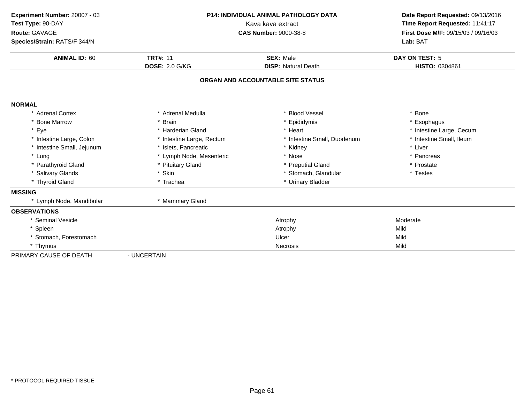| Experiment Number: 20007 - 03<br>Test Type: 90-DAY<br>Route: GAVAGE<br>Species/Strain: RATS/F 344/N<br><b>ANIMAL ID: 60</b> | P14: INDIVIDUAL ANIMAL PATHOLOGY DATA<br>Kava kava extract<br><b>CAS Number: 9000-38-8</b><br><b>TRT#: 11</b><br><b>SEX: Male</b> |                                   | Date Report Requested: 09/13/2016<br>Time Report Requested: 11:41:17<br>First Dose M/F: 09/15/03 / 09/16/03<br>Lab: BAT<br>DAY ON TEST: 5 |
|-----------------------------------------------------------------------------------------------------------------------------|-----------------------------------------------------------------------------------------------------------------------------------|-----------------------------------|-------------------------------------------------------------------------------------------------------------------------------------------|
|                                                                                                                             | <b>DOSE: 2.0 G/KG</b>                                                                                                             | <b>DISP: Natural Death</b>        | HISTO: 0304861                                                                                                                            |
|                                                                                                                             |                                                                                                                                   | ORGAN AND ACCOUNTABLE SITE STATUS |                                                                                                                                           |
| <b>NORMAL</b>                                                                                                               |                                                                                                                                   |                                   |                                                                                                                                           |
| * Adrenal Cortex                                                                                                            | * Adrenal Medulla                                                                                                                 | <b>Blood Vessel</b>               | * Bone                                                                                                                                    |
| * Bone Marrow                                                                                                               | * Brain                                                                                                                           | Epididymis                        | * Esophagus                                                                                                                               |
| * Eye                                                                                                                       | * Harderian Gland                                                                                                                 | * Heart                           | * Intestine Large, Cecum                                                                                                                  |
| * Intestine Large, Colon                                                                                                    | * Intestine Large, Rectum                                                                                                         | * Intestine Small, Duodenum       | * Intestine Small, Ileum                                                                                                                  |
| * Intestine Small, Jejunum                                                                                                  | * Islets, Pancreatic                                                                                                              | * Kidney                          | * Liver                                                                                                                                   |
| * Lung                                                                                                                      | * Lymph Node, Mesenteric                                                                                                          | * Nose                            | * Pancreas                                                                                                                                |
| * Parathyroid Gland                                                                                                         | * Pituitary Gland                                                                                                                 | * Preputial Gland                 | * Prostate                                                                                                                                |
| * Salivary Glands                                                                                                           | * Skin                                                                                                                            | * Stomach, Glandular              | * Testes                                                                                                                                  |
| * Thyroid Gland                                                                                                             | * Trachea                                                                                                                         | * Urinary Bladder                 |                                                                                                                                           |
| <b>MISSING</b>                                                                                                              |                                                                                                                                   |                                   |                                                                                                                                           |
| * Lymph Node, Mandibular                                                                                                    | * Mammary Gland                                                                                                                   |                                   |                                                                                                                                           |
| <b>OBSERVATIONS</b>                                                                                                         |                                                                                                                                   |                                   |                                                                                                                                           |
| * Seminal Vesicle                                                                                                           |                                                                                                                                   | Atrophy                           | Moderate                                                                                                                                  |
| * Spleen                                                                                                                    |                                                                                                                                   | Atrophy                           | Mild                                                                                                                                      |
| * Stomach, Forestomach                                                                                                      |                                                                                                                                   | Ulcer                             | Mild                                                                                                                                      |
| * Thymus                                                                                                                    |                                                                                                                                   | Necrosis                          | Mild                                                                                                                                      |
| PRIMARY CAUSE OF DEATH                                                                                                      | - UNCERTAIN                                                                                                                       |                                   |                                                                                                                                           |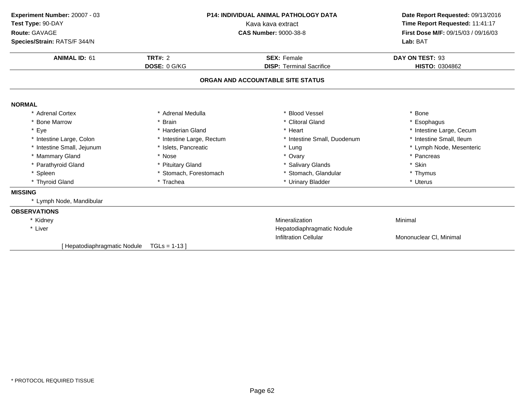| Experiment Number: 20007 - 03<br>Test Type: 90-DAY<br>Route: GAVAGE<br>Species/Strain: RATS/F 344/N | <b>P14: INDIVIDUAL ANIMAL PATHOLOGY DATA</b><br>Kava kava extract<br><b>CAS Number: 9000-38-8</b> |                                                                      | Date Report Requested: 09/13/2016<br>Time Report Requested: 11:41:17<br>First Dose M/F: 09/15/03 / 09/16/03<br>Lab: BAT |
|-----------------------------------------------------------------------------------------------------|---------------------------------------------------------------------------------------------------|----------------------------------------------------------------------|-------------------------------------------------------------------------------------------------------------------------|
| <b>ANIMAL ID: 61</b>                                                                                | <b>TRT#: 2</b>                                                                                    | <b>SEX: Female</b>                                                   | DAY ON TEST: 93                                                                                                         |
|                                                                                                     | DOSE: 0 G/KG                                                                                      | <b>DISP: Terminal Sacrifice</b><br>ORGAN AND ACCOUNTABLE SITE STATUS | HISTO: 0304862                                                                                                          |
| <b>NORMAL</b>                                                                                       |                                                                                                   |                                                                      |                                                                                                                         |
| * Adrenal Cortex                                                                                    | * Adrenal Medulla                                                                                 | * Blood Vessel                                                       | * Bone                                                                                                                  |
| <b>Bone Marrow</b>                                                                                  | <b>Brain</b>                                                                                      | * Clitoral Gland                                                     | * Esophagus                                                                                                             |
| * Eye                                                                                               | * Harderian Gland                                                                                 | * Heart                                                              | * Intestine Large, Cecum                                                                                                |
| * Intestine Large, Colon                                                                            | * Intestine Large, Rectum                                                                         | * Intestine Small, Duodenum                                          | * Intestine Small, Ileum                                                                                                |
| * Intestine Small, Jejunum                                                                          | * Islets, Pancreatic                                                                              | * Lung                                                               | * Lymph Node, Mesenteric                                                                                                |
| * Mammary Gland                                                                                     | * Nose                                                                                            | * Ovary                                                              | * Pancreas                                                                                                              |
| * Parathyroid Gland                                                                                 | * Pituitary Gland                                                                                 | * Salivary Glands                                                    | * Skin                                                                                                                  |
| * Spleen                                                                                            | * Stomach, Forestomach                                                                            | * Stomach, Glandular                                                 | * Thymus                                                                                                                |
| * Thyroid Gland                                                                                     | * Trachea                                                                                         | * Urinary Bladder                                                    | * Uterus                                                                                                                |
| <b>MISSING</b>                                                                                      |                                                                                                   |                                                                      |                                                                                                                         |
| * Lymph Node, Mandibular                                                                            |                                                                                                   |                                                                      |                                                                                                                         |
| <b>OBSERVATIONS</b>                                                                                 |                                                                                                   |                                                                      |                                                                                                                         |
| * Kidney                                                                                            |                                                                                                   | Mineralization                                                       | Minimal                                                                                                                 |
| * Liver                                                                                             |                                                                                                   | Hepatodiaphragmatic Nodule                                           |                                                                                                                         |
|                                                                                                     |                                                                                                   | <b>Infiltration Cellular</b>                                         | Mononuclear CI, Minimal                                                                                                 |
| [Hepatodiaphragmatic Nodule                                                                         | $TGLs = 1-13$                                                                                     |                                                                      |                                                                                                                         |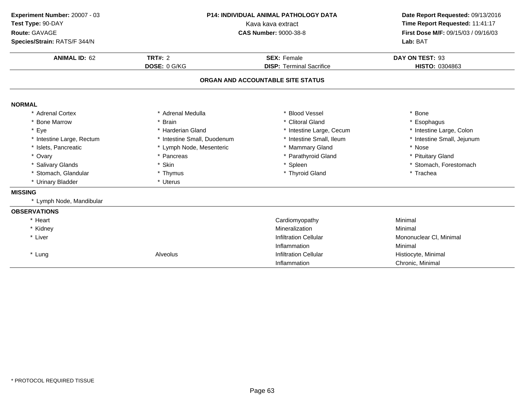| Experiment Number: 20007 - 03<br>Test Type: 90-DAY<br>Route: GAVAGE<br>Species/Strain: RATS/F 344/N | <b>P14: INDIVIDUAL ANIMAL PATHOLOGY DATA</b><br>Kava kava extract<br><b>CAS Number: 9000-38-8</b> |                                                       | Date Report Requested: 09/13/2016<br>Time Report Requested: 11:41:17<br>First Dose M/F: 09/15/03 / 09/16/03<br>Lab: BAT |
|-----------------------------------------------------------------------------------------------------|---------------------------------------------------------------------------------------------------|-------------------------------------------------------|-------------------------------------------------------------------------------------------------------------------------|
| <b>ANIMAL ID: 62</b>                                                                                | TRT#: $2$<br>DOSE: 0 G/KG                                                                         | <b>SEX: Female</b><br><b>DISP: Terminal Sacrifice</b> | DAY ON TEST: 93<br>HISTO: 0304863                                                                                       |
|                                                                                                     |                                                                                                   | ORGAN AND ACCOUNTABLE SITE STATUS                     |                                                                                                                         |
| <b>NORMAL</b>                                                                                       |                                                                                                   |                                                       |                                                                                                                         |
| * Adrenal Cortex                                                                                    | * Adrenal Medulla                                                                                 | * Blood Vessel                                        | * Bone                                                                                                                  |
| <b>Bone Marrow</b>                                                                                  | * Brain                                                                                           | * Clitoral Gland                                      | * Esophagus                                                                                                             |
| * Eye                                                                                               | * Harderian Gland                                                                                 | * Intestine Large, Cecum                              | * Intestine Large, Colon                                                                                                |
| * Intestine Large, Rectum                                                                           | * Intestine Small, Duodenum                                                                       | * Intestine Small, Ileum                              | * Intestine Small, Jejunum                                                                                              |
| * Islets, Pancreatic                                                                                | * Lymph Node, Mesenteric                                                                          | * Mammary Gland                                       | * Nose                                                                                                                  |
| * Ovary                                                                                             | * Pancreas                                                                                        | * Parathyroid Gland                                   | * Pituitary Gland                                                                                                       |
| * Salivary Glands                                                                                   | * Skin                                                                                            | * Spleen                                              | * Stomach, Forestomach                                                                                                  |
| * Stomach, Glandular                                                                                | * Thymus                                                                                          | * Thyroid Gland                                       | * Trachea                                                                                                               |
| * Urinary Bladder                                                                                   | * Uterus                                                                                          |                                                       |                                                                                                                         |
| <b>MISSING</b>                                                                                      |                                                                                                   |                                                       |                                                                                                                         |
| * Lymph Node, Mandibular                                                                            |                                                                                                   |                                                       |                                                                                                                         |
| <b>OBSERVATIONS</b>                                                                                 |                                                                                                   |                                                       |                                                                                                                         |
| * Heart                                                                                             |                                                                                                   | Cardiomyopathy                                        | Minimal                                                                                                                 |
| * Kidney                                                                                            |                                                                                                   | Mineralization                                        | Minimal                                                                                                                 |
| * Liver                                                                                             |                                                                                                   | <b>Infiltration Cellular</b>                          | Mononuclear CI, Minimal                                                                                                 |
|                                                                                                     |                                                                                                   | Inflammation                                          | Minimal                                                                                                                 |
| * Lung                                                                                              | Alveolus                                                                                          | <b>Infiltration Cellular</b>                          | Histiocyte, Minimal                                                                                                     |
|                                                                                                     |                                                                                                   | Inflammation                                          | Chronic, Minimal                                                                                                        |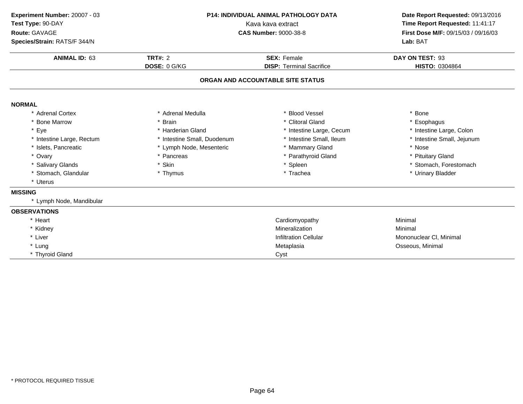| Experiment Number: 20007 - 03<br>Test Type: 90-DAY<br>Route: GAVAGE<br>Species/Strain: RATS/F 344/N<br><b>ANIMAL ID: 63</b> | P14: INDIVIDUAL ANIMAL PATHOLOGY DATA<br>Kava kava extract<br><b>CAS Number: 9000-38-8</b><br>TRT#: $2$<br><b>SEX: Female</b> |                                   | Date Report Requested: 09/13/2016<br>Time Report Requested: 11:41:17<br>First Dose M/F: 09/15/03 / 09/16/03<br>Lab: BAT<br>DAY ON TEST: 93 |
|-----------------------------------------------------------------------------------------------------------------------------|-------------------------------------------------------------------------------------------------------------------------------|-----------------------------------|--------------------------------------------------------------------------------------------------------------------------------------------|
|                                                                                                                             | DOSE: 0 G/KG                                                                                                                  | <b>DISP: Terminal Sacrifice</b>   | HISTO: 0304864                                                                                                                             |
|                                                                                                                             |                                                                                                                               | ORGAN AND ACCOUNTABLE SITE STATUS |                                                                                                                                            |
| <b>NORMAL</b>                                                                                                               |                                                                                                                               |                                   |                                                                                                                                            |
| * Adrenal Cortex                                                                                                            | * Adrenal Medulla                                                                                                             | * Blood Vessel                    | * Bone                                                                                                                                     |
| <b>Bone Marrow</b>                                                                                                          | * Brain                                                                                                                       | * Clitoral Gland                  | * Esophagus                                                                                                                                |
| * Eye                                                                                                                       | * Harderian Gland                                                                                                             | * Intestine Large, Cecum          | * Intestine Large, Colon                                                                                                                   |
| * Intestine Large, Rectum                                                                                                   | * Intestine Small, Duodenum                                                                                                   | * Intestine Small, Ileum          | * Intestine Small, Jejunum                                                                                                                 |
| * Islets, Pancreatic                                                                                                        | * Lymph Node, Mesenteric                                                                                                      | * Mammary Gland                   | * Nose                                                                                                                                     |
| * Ovary                                                                                                                     | * Pancreas                                                                                                                    | * Parathyroid Gland               | * Pituitary Gland                                                                                                                          |
| * Salivary Glands                                                                                                           | * Skin                                                                                                                        | * Spleen                          | * Stomach, Forestomach                                                                                                                     |
| * Stomach, Glandular                                                                                                        | * Thymus                                                                                                                      | * Trachea                         | * Urinary Bladder                                                                                                                          |
| * Uterus                                                                                                                    |                                                                                                                               |                                   |                                                                                                                                            |
| <b>MISSING</b>                                                                                                              |                                                                                                                               |                                   |                                                                                                                                            |
| * Lymph Node, Mandibular                                                                                                    |                                                                                                                               |                                   |                                                                                                                                            |
| <b>OBSERVATIONS</b>                                                                                                         |                                                                                                                               |                                   |                                                                                                                                            |
| * Heart                                                                                                                     |                                                                                                                               | Cardiomyopathy                    | Minimal                                                                                                                                    |
| * Kidney                                                                                                                    |                                                                                                                               | Mineralization                    | Minimal                                                                                                                                    |
| * Liver                                                                                                                     |                                                                                                                               | <b>Infiltration Cellular</b>      | Mononuclear CI, Minimal                                                                                                                    |
| * Lung                                                                                                                      |                                                                                                                               | Metaplasia                        | Osseous, Minimal                                                                                                                           |
| * Thyroid Gland                                                                                                             |                                                                                                                               | Cyst                              |                                                                                                                                            |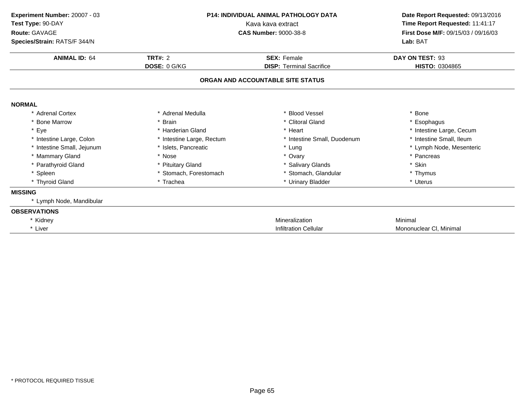| Experiment Number: 20007 - 03<br>Test Type: 90-DAY<br>Route: GAVAGE<br>Species/Strain: RATS/F 344/N |                           | <b>P14: INDIVIDUAL ANIMAL PATHOLOGY DATA</b><br>Kava kava extract<br><b>CAS Number: 9000-38-8</b> | Date Report Requested: 09/13/2016<br>Time Report Requested: 11:41:17<br>First Dose M/F: 09/15/03 / 09/16/03<br>Lab: BAT |
|-----------------------------------------------------------------------------------------------------|---------------------------|---------------------------------------------------------------------------------------------------|-------------------------------------------------------------------------------------------------------------------------|
| <b>ANIMAL ID: 64</b>                                                                                | TRT#: $2$                 | <b>SEX: Female</b>                                                                                | DAY ON TEST: 93                                                                                                         |
|                                                                                                     | DOSE: 0 G/KG              | <b>DISP: Terminal Sacrifice</b>                                                                   | HISTO: 0304865                                                                                                          |
|                                                                                                     |                           | ORGAN AND ACCOUNTABLE SITE STATUS                                                                 |                                                                                                                         |
| <b>NORMAL</b>                                                                                       |                           |                                                                                                   |                                                                                                                         |
| * Adrenal Cortex                                                                                    | * Adrenal Medulla         | <b>Blood Vessel</b>                                                                               | * Bone                                                                                                                  |
| * Bone Marrow                                                                                       | * Brain                   | * Clitoral Gland                                                                                  | * Esophagus                                                                                                             |
| * Eye                                                                                               | * Harderian Gland         | * Heart                                                                                           | * Intestine Large, Cecum                                                                                                |
| * Intestine Large, Colon                                                                            | * Intestine Large, Rectum | * Intestine Small, Duodenum                                                                       | * Intestine Small, Ileum                                                                                                |
| * Intestine Small, Jejunum                                                                          | * Islets, Pancreatic      | * Lung                                                                                            | * Lymph Node, Mesenteric                                                                                                |
| * Mammary Gland                                                                                     | * Nose                    | * Ovary                                                                                           | * Pancreas                                                                                                              |
| * Parathyroid Gland                                                                                 | * Pituitary Gland         | * Salivary Glands                                                                                 | * Skin                                                                                                                  |
| * Spleen                                                                                            | * Stomach, Forestomach    | * Stomach, Glandular                                                                              | * Thymus                                                                                                                |
| * Thyroid Gland                                                                                     | * Trachea                 | * Urinary Bladder                                                                                 | * Uterus                                                                                                                |
| <b>MISSING</b>                                                                                      |                           |                                                                                                   |                                                                                                                         |
| * Lymph Node, Mandibular                                                                            |                           |                                                                                                   |                                                                                                                         |
| <b>OBSERVATIONS</b>                                                                                 |                           |                                                                                                   |                                                                                                                         |
| * Kidney                                                                                            |                           | Mineralization                                                                                    | Minimal                                                                                                                 |
| * Liver                                                                                             |                           | <b>Infiltration Cellular</b>                                                                      | Mononuclear CI, Minimal                                                                                                 |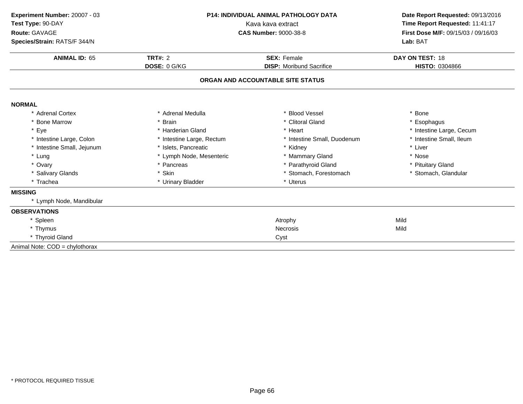| Experiment Number: 20007 - 03<br>Test Type: 90-DAY<br>Route: GAVAGE | <b>P14: INDIVIDUAL ANIMAL PATHOLOGY DATA</b><br>Kava kava extract<br><b>CAS Number: 9000-38-8</b> |                                   | Date Report Requested: 09/13/2016<br>Time Report Requested: 11:41:17<br>First Dose M/F: 09/15/03 / 09/16/03 |  |
|---------------------------------------------------------------------|---------------------------------------------------------------------------------------------------|-----------------------------------|-------------------------------------------------------------------------------------------------------------|--|
| Species/Strain: RATS/F 344/N                                        |                                                                                                   |                                   | Lab: BAT                                                                                                    |  |
| <b>ANIMAL ID: 65</b>                                                | <b>TRT#: 2</b>                                                                                    | <b>SEX: Female</b>                | DAY ON TEST: 18                                                                                             |  |
|                                                                     | DOSE: 0 G/KG                                                                                      | <b>DISP:</b> Moribund Sacrifice   | HISTO: 0304866                                                                                              |  |
|                                                                     |                                                                                                   | ORGAN AND ACCOUNTABLE SITE STATUS |                                                                                                             |  |
| <b>NORMAL</b>                                                       |                                                                                                   |                                   |                                                                                                             |  |
| * Adrenal Cortex                                                    | * Adrenal Medulla                                                                                 | * Blood Vessel                    | * Bone                                                                                                      |  |
| <b>Bone Marrow</b>                                                  | * Brain                                                                                           | * Clitoral Gland                  | * Esophagus                                                                                                 |  |
| * Eye                                                               | * Harderian Gland                                                                                 | * Heart                           | * Intestine Large, Cecum                                                                                    |  |
| * Intestine Large, Colon                                            | * Intestine Large, Rectum                                                                         | * Intestine Small, Duodenum       | * Intestine Small, Ileum                                                                                    |  |
| * Intestine Small, Jejunum                                          | * Islets, Pancreatic                                                                              | * Kidney                          | * Liver                                                                                                     |  |
| * Lung                                                              | * Lymph Node, Mesenteric                                                                          | * Mammary Gland                   | * Nose                                                                                                      |  |
| * Ovary                                                             | * Pancreas                                                                                        | * Parathyroid Gland               | * Pituitary Gland                                                                                           |  |
| * Salivary Glands                                                   | * Skin                                                                                            | * Stomach, Forestomach            | * Stomach, Glandular                                                                                        |  |
| * Trachea                                                           | * Urinary Bladder                                                                                 | * Uterus                          |                                                                                                             |  |
| <b>MISSING</b>                                                      |                                                                                                   |                                   |                                                                                                             |  |
| * Lymph Node, Mandibular                                            |                                                                                                   |                                   |                                                                                                             |  |
| <b>OBSERVATIONS</b>                                                 |                                                                                                   |                                   |                                                                                                             |  |
| * Spleen                                                            |                                                                                                   | Atrophy                           | Mild                                                                                                        |  |
| * Thymus                                                            |                                                                                                   | Necrosis                          | Mild                                                                                                        |  |
| * Thyroid Gland                                                     | Cyst                                                                                              |                                   |                                                                                                             |  |
| Animal Note: COD = chylothorax                                      |                                                                                                   |                                   |                                                                                                             |  |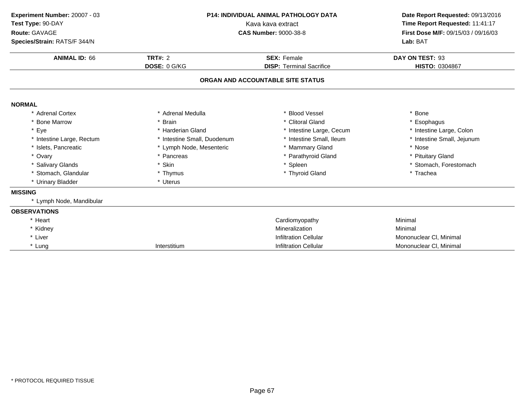| Experiment Number: 20007 - 03 | <b>P14: INDIVIDUAL ANIMAL PATHOLOGY DATA</b><br>Kava kava extract |                                   | Date Report Requested: 09/13/2016   |  |
|-------------------------------|-------------------------------------------------------------------|-----------------------------------|-------------------------------------|--|
| Test Type: 90-DAY             |                                                                   |                                   | Time Report Requested: 11:41:17     |  |
| Route: GAVAGE                 |                                                                   | <b>CAS Number: 9000-38-8</b>      | First Dose M/F: 09/15/03 / 09/16/03 |  |
| Species/Strain: RATS/F 344/N  |                                                                   |                                   | Lab: BAT                            |  |
| <b>ANIMAL ID: 66</b>          | <b>TRT#: 2</b>                                                    | <b>SEX: Female</b>                | DAY ON TEST: 93                     |  |
|                               | DOSE: 0 G/KG                                                      | <b>DISP: Terminal Sacrifice</b>   | <b>HISTO: 0304867</b>               |  |
|                               |                                                                   | ORGAN AND ACCOUNTABLE SITE STATUS |                                     |  |
| <b>NORMAL</b>                 |                                                                   |                                   |                                     |  |
| * Adrenal Cortex              | * Adrenal Medulla                                                 | * Blood Vessel                    | * Bone                              |  |
| * Bone Marrow                 | <b>Brain</b>                                                      | * Clitoral Gland                  | * Esophagus                         |  |
| * Eye                         | * Harderian Gland                                                 | * Intestine Large, Cecum          | * Intestine Large, Colon            |  |
| * Intestine Large, Rectum     | * Intestine Small, Duodenum                                       | * Intestine Small, Ileum          | * Intestine Small, Jejunum          |  |
| * Islets, Pancreatic          | * Lymph Node, Mesenteric                                          | * Mammary Gland                   | * Nose                              |  |
| * Ovary                       | * Pancreas                                                        | * Parathyroid Gland               | * Pituitary Gland                   |  |
| * Salivary Glands             | * Skin                                                            | * Spleen                          | * Stomach, Forestomach              |  |
| * Stomach, Glandular          | * Thymus                                                          | * Thyroid Gland                   | * Trachea                           |  |
| * Urinary Bladder             | * Uterus                                                          |                                   |                                     |  |
| <b>MISSING</b>                |                                                                   |                                   |                                     |  |
| * Lymph Node, Mandibular      |                                                                   |                                   |                                     |  |
| <b>OBSERVATIONS</b>           |                                                                   |                                   |                                     |  |
| * Heart                       |                                                                   | Cardiomyopathy                    | Minimal                             |  |
| * Kidney                      |                                                                   | Mineralization                    | Minimal                             |  |
| * Liver                       |                                                                   | <b>Infiltration Cellular</b>      | Mononuclear CI, Minimal             |  |
| * Lung                        | Interstitium                                                      | <b>Infiltration Cellular</b>      | Mononuclear CI, Minimal             |  |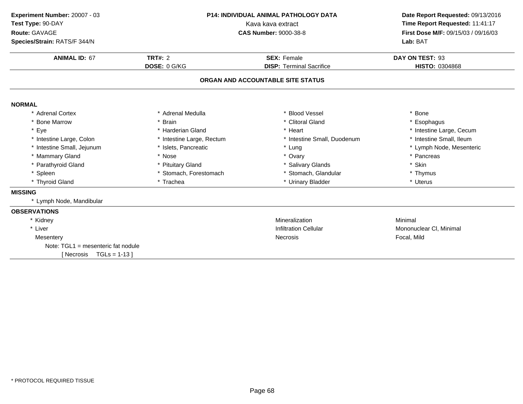| Experiment Number: 20007 - 03<br>Test Type: 90-DAY<br>Route: GAVAGE<br>Species/Strain: RATS/F 344/N | P14: INDIVIDUAL ANIMAL PATHOLOGY DATA<br>Kava kava extract<br><b>CAS Number: 9000-38-8</b> |                                                       | Date Report Requested: 09/13/2016<br>Time Report Requested: 11:41:17<br>First Dose M/F: 09/15/03 / 09/16/03<br>Lab: BAT |  |
|-----------------------------------------------------------------------------------------------------|--------------------------------------------------------------------------------------------|-------------------------------------------------------|-------------------------------------------------------------------------------------------------------------------------|--|
| <b>ANIMAL ID: 67</b>                                                                                | <b>TRT#: 2</b><br>DOSE: 0 G/KG                                                             | <b>SEX: Female</b><br><b>DISP: Terminal Sacrifice</b> | DAY ON TEST: 93<br>HISTO: 0304868                                                                                       |  |
|                                                                                                     |                                                                                            | ORGAN AND ACCOUNTABLE SITE STATUS                     |                                                                                                                         |  |
| <b>NORMAL</b>                                                                                       |                                                                                            |                                                       |                                                                                                                         |  |
| * Adrenal Cortex                                                                                    | * Adrenal Medulla                                                                          | * Blood Vessel                                        | <b>Bone</b>                                                                                                             |  |
| * Bone Marrow                                                                                       | * Brain                                                                                    | * Clitoral Gland                                      | Esophagus                                                                                                               |  |
| * Eye                                                                                               | * Harderian Gland                                                                          | * Heart                                               | * Intestine Large, Cecum                                                                                                |  |
| * Intestine Large, Colon                                                                            | * Intestine Large, Rectum                                                                  | * Intestine Small, Duodenum                           | * Intestine Small, Ileum                                                                                                |  |
| * Intestine Small, Jejunum                                                                          | * Islets, Pancreatic                                                                       | * Lung                                                | * Lymph Node, Mesenteric                                                                                                |  |
| * Mammary Gland                                                                                     | * Nose                                                                                     | * Ovary                                               | * Pancreas                                                                                                              |  |
| * Parathyroid Gland                                                                                 | * Pituitary Gland                                                                          | * Salivary Glands                                     | * Skin                                                                                                                  |  |
| * Spleen                                                                                            | * Stomach, Forestomach                                                                     | * Stomach, Glandular                                  | * Thymus                                                                                                                |  |
| * Thyroid Gland                                                                                     | * Trachea                                                                                  | * Urinary Bladder                                     | * Uterus                                                                                                                |  |
| <b>MISSING</b>                                                                                      |                                                                                            |                                                       |                                                                                                                         |  |
| * Lymph Node, Mandibular                                                                            |                                                                                            |                                                       |                                                                                                                         |  |
| <b>OBSERVATIONS</b>                                                                                 |                                                                                            |                                                       |                                                                                                                         |  |
| * Kidney                                                                                            |                                                                                            | Mineralization                                        | Minimal                                                                                                                 |  |
| * Liver                                                                                             |                                                                                            | <b>Infiltration Cellular</b>                          | Mononuclear CI, Minimal                                                                                                 |  |
| Mesentery                                                                                           | Necrosis                                                                                   |                                                       | Focal, Mild                                                                                                             |  |
| Note: $TGL1$ = mesenteric fat nodule                                                                |                                                                                            |                                                       |                                                                                                                         |  |
| $TGLs = 1-13$<br>[ Necrosis                                                                         |                                                                                            |                                                       |                                                                                                                         |  |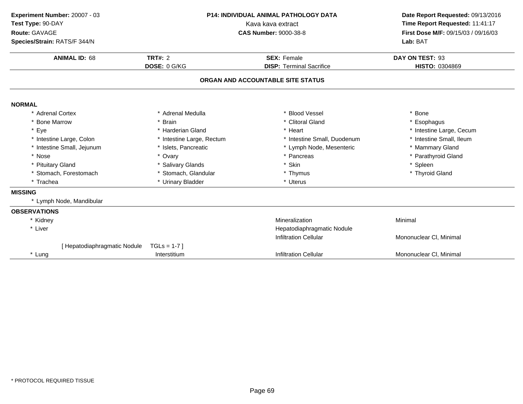| Experiment Number: 20007 - 03<br><b>P14: INDIVIDUAL ANIMAL PATHOLOGY DATA</b><br>Test Type: 90-DAY<br>Kava kava extract<br>Route: GAVAGE<br><b>CAS Number: 9000-38-8</b><br>Species/Strain: RATS/F 344/N |                           | Date Report Requested: 09/13/2016<br>Time Report Requested: 11:41:17<br>First Dose M/F: 09/15/03 / 09/16/03<br>Lab: BAT |                          |
|----------------------------------------------------------------------------------------------------------------------------------------------------------------------------------------------------------|---------------------------|-------------------------------------------------------------------------------------------------------------------------|--------------------------|
| <b>ANIMAL ID: 68</b>                                                                                                                                                                                     | <b>TRT#: 2</b>            | <b>SEX: Female</b>                                                                                                      | DAY ON TEST: 93          |
|                                                                                                                                                                                                          | DOSE: 0 G/KG              | <b>DISP: Terminal Sacrifice</b><br>ORGAN AND ACCOUNTABLE SITE STATUS                                                    | HISTO: 0304869           |
| <b>NORMAL</b>                                                                                                                                                                                            |                           |                                                                                                                         |                          |
| * Adrenal Cortex                                                                                                                                                                                         | * Adrenal Medulla         | * Blood Vessel                                                                                                          | * Bone                   |
| <b>Bone Marrow</b>                                                                                                                                                                                       | * Brain                   | * Clitoral Gland                                                                                                        | * Esophagus              |
| * Eye                                                                                                                                                                                                    | * Harderian Gland         | * Heart                                                                                                                 | * Intestine Large, Cecum |
| * Intestine Large, Colon                                                                                                                                                                                 | * Intestine Large, Rectum | * Intestine Small, Duodenum                                                                                             | * Intestine Small, Ileum |
| * Intestine Small, Jejunum                                                                                                                                                                               | * Islets, Pancreatic      | * Lymph Node, Mesenteric                                                                                                | * Mammary Gland          |
| * Nose                                                                                                                                                                                                   | * Ovary                   | * Pancreas                                                                                                              | * Parathyroid Gland      |
| * Pituitary Gland                                                                                                                                                                                        | * Salivary Glands         | * Skin                                                                                                                  | * Spleen                 |
| * Stomach, Forestomach                                                                                                                                                                                   | * Stomach, Glandular      | * Thymus                                                                                                                | * Thyroid Gland          |
| * Trachea                                                                                                                                                                                                | * Urinary Bladder         | * Uterus                                                                                                                |                          |
| <b>MISSING</b>                                                                                                                                                                                           |                           |                                                                                                                         |                          |
| Lymph Node, Mandibular                                                                                                                                                                                   |                           |                                                                                                                         |                          |
| <b>OBSERVATIONS</b>                                                                                                                                                                                      |                           |                                                                                                                         |                          |
| * Kidney                                                                                                                                                                                                 |                           | Mineralization                                                                                                          | Minimal                  |
| * Liver                                                                                                                                                                                                  |                           | Hepatodiaphragmatic Nodule                                                                                              |                          |
|                                                                                                                                                                                                          |                           | <b>Infiltration Cellular</b>                                                                                            | Mononuclear CI, Minimal  |
| [ Hepatodiaphragmatic Nodule                                                                                                                                                                             | $TGLS = 1-7$              |                                                                                                                         |                          |
| * Lung                                                                                                                                                                                                   | Interstitium              | <b>Infiltration Cellular</b>                                                                                            | Mononuclear CI, Minimal  |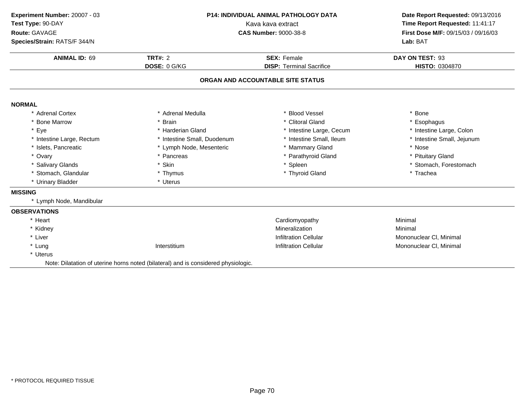| Experiment Number: 20007 - 03 | <b>P14: INDIVIDUAL ANIMAL PATHOLOGY DATA</b><br>Kava kava extract                  |                                   | Date Report Requested: 09/13/2016   |  |
|-------------------------------|------------------------------------------------------------------------------------|-----------------------------------|-------------------------------------|--|
| Test Type: 90-DAY             |                                                                                    |                                   | Time Report Requested: 11:41:17     |  |
| Route: GAVAGE                 |                                                                                    | <b>CAS Number: 9000-38-8</b>      | First Dose M/F: 09/15/03 / 09/16/03 |  |
| Species/Strain: RATS/F 344/N  |                                                                                    |                                   | Lab: BAT                            |  |
| <b>ANIMAL ID: 69</b>          | <b>TRT#: 2</b>                                                                     | <b>SEX: Female</b>                | DAY ON TEST: 93                     |  |
|                               | DOSE: 0 G/KG                                                                       | <b>DISP: Terminal Sacrifice</b>   | HISTO: 0304870                      |  |
|                               |                                                                                    | ORGAN AND ACCOUNTABLE SITE STATUS |                                     |  |
| <b>NORMAL</b>                 |                                                                                    |                                   |                                     |  |
| * Adrenal Cortex              | * Adrenal Medulla                                                                  | * Blood Vessel                    | * Bone                              |  |
| * Bone Marrow                 | * Brain                                                                            | * Clitoral Gland                  | * Esophagus                         |  |
| * Eye                         | * Harderian Gland                                                                  | * Intestine Large, Cecum          | * Intestine Large, Colon            |  |
| * Intestine Large, Rectum     | * Intestine Small, Duodenum                                                        | * Intestine Small, Ileum          | * Intestine Small, Jejunum          |  |
| * Islets, Pancreatic          | * Lymph Node, Mesenteric                                                           | * Mammary Gland                   | * Nose                              |  |
| * Ovary                       | * Pancreas                                                                         | Parathyroid Gland                 | * Pituitary Gland                   |  |
| * Salivary Glands             | * Skin                                                                             | * Spleen                          | * Stomach, Forestomach              |  |
| * Stomach, Glandular          | * Thymus                                                                           | * Thyroid Gland                   | * Trachea                           |  |
| * Urinary Bladder             | * Uterus                                                                           |                                   |                                     |  |
| <b>MISSING</b>                |                                                                                    |                                   |                                     |  |
| * Lymph Node, Mandibular      |                                                                                    |                                   |                                     |  |
| <b>OBSERVATIONS</b>           |                                                                                    |                                   |                                     |  |
| * Heart                       |                                                                                    | Cardiomyopathy                    | Minimal                             |  |
| * Kidney                      |                                                                                    | Mineralization                    | Minimal                             |  |
| * Liver                       |                                                                                    | <b>Infiltration Cellular</b>      | Mononuclear CI, Minimal             |  |
| * Lung                        | Interstitium                                                                       | <b>Infiltration Cellular</b>      | Mononuclear CI, Minimal             |  |
| * Uterus                      |                                                                                    |                                   |                                     |  |
|                               | Note: Dilatation of uterine horns noted (bilateral) and is considered physiologic. |                                   |                                     |  |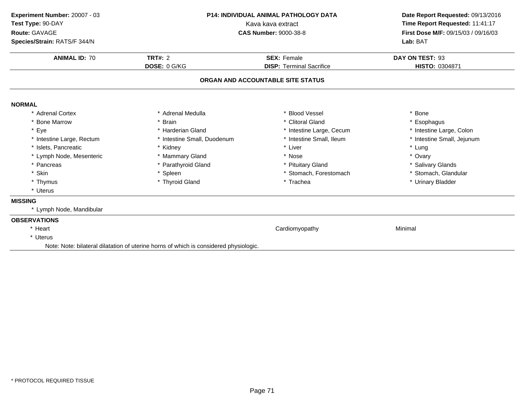| Experiment Number: 20007 - 03<br>Test Type: 90-DAY<br>Route: GAVAGE<br>Species/Strain: RATS/F 344/N | <b>P14: INDIVIDUAL ANIMAL PATHOLOGY DATA</b><br>Kava kava extract<br><b>CAS Number: 9000-38-8</b><br>TRT#: $2$<br><b>SEX: Female</b><br>DOSE: 0 G/KG<br><b>DISP: Terminal Sacrifice</b> |                                   | Date Report Requested: 09/13/2016<br>Time Report Requested: 11:41:17<br>First Dose M/F: 09/15/03 / 09/16/03<br>Lab: BAT |  |
|-----------------------------------------------------------------------------------------------------|-----------------------------------------------------------------------------------------------------------------------------------------------------------------------------------------|-----------------------------------|-------------------------------------------------------------------------------------------------------------------------|--|
| <b>ANIMAL ID: 70</b>                                                                                |                                                                                                                                                                                         |                                   | DAY ON TEST: 93<br>HISTO: 0304871                                                                                       |  |
|                                                                                                     |                                                                                                                                                                                         | ORGAN AND ACCOUNTABLE SITE STATUS |                                                                                                                         |  |
| <b>NORMAL</b>                                                                                       |                                                                                                                                                                                         |                                   |                                                                                                                         |  |
| * Adrenal Cortex                                                                                    | * Adrenal Medulla                                                                                                                                                                       | * Blood Vessel                    | * Bone                                                                                                                  |  |
| * Bone Marrow                                                                                       | * Brain                                                                                                                                                                                 | * Clitoral Gland                  | * Esophagus                                                                                                             |  |
| * Eye                                                                                               | * Harderian Gland                                                                                                                                                                       | * Intestine Large, Cecum          | * Intestine Large, Colon                                                                                                |  |
| * Intestine Large, Rectum                                                                           | * Intestine Small, Duodenum                                                                                                                                                             | * Intestine Small, Ileum          | * Intestine Small, Jejunum                                                                                              |  |
| * Islets, Pancreatic                                                                                | * Kidney                                                                                                                                                                                | * Liver                           | * Lung                                                                                                                  |  |
| * Lymph Node, Mesenteric                                                                            | * Mammary Gland                                                                                                                                                                         | * Nose                            | * Ovary                                                                                                                 |  |
| * Pancreas                                                                                          | * Parathyroid Gland                                                                                                                                                                     | * Pituitary Gland                 | * Salivary Glands                                                                                                       |  |
| * Skin                                                                                              | * Spleen                                                                                                                                                                                | * Stomach, Forestomach            | * Stomach, Glandular                                                                                                    |  |
| * Thymus                                                                                            | * Thyroid Gland                                                                                                                                                                         | * Trachea                         | * Urinary Bladder                                                                                                       |  |
| * Uterus                                                                                            |                                                                                                                                                                                         |                                   |                                                                                                                         |  |
| <b>MISSING</b>                                                                                      |                                                                                                                                                                                         |                                   |                                                                                                                         |  |
| * Lymph Node, Mandibular                                                                            |                                                                                                                                                                                         |                                   |                                                                                                                         |  |
| <b>OBSERVATIONS</b>                                                                                 |                                                                                                                                                                                         |                                   |                                                                                                                         |  |
| * Heart                                                                                             |                                                                                                                                                                                         | Cardiomyopathy                    | Minimal                                                                                                                 |  |
| * Uterus                                                                                            |                                                                                                                                                                                         |                                   |                                                                                                                         |  |
|                                                                                                     | Note: Note: bilateral dilatation of uterine horns of which is considered physiologic.                                                                                                   |                                   |                                                                                                                         |  |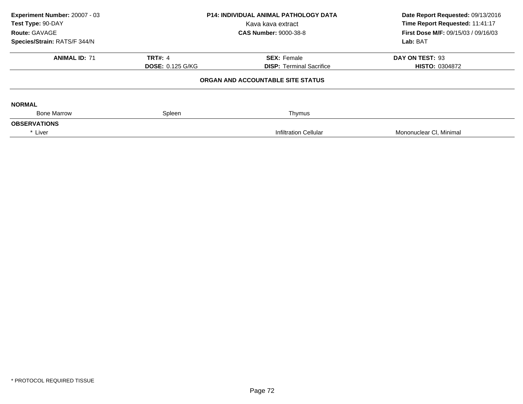| Experiment Number: 20007 - 03<br>Test Type: 90-DAY<br>Route: GAVAGE | <b>P14: INDIVIDUAL ANIMAL PATHOLOGY DATA</b><br>Kava kava extract<br><b>CAS Number: 9000-38-8</b> |                                                       | Date Report Requested: 09/13/2016<br>Time Report Requested: 11:41:17<br>First Dose M/F: 09/15/03 / 09/16/03<br>Lab: BAT |
|---------------------------------------------------------------------|---------------------------------------------------------------------------------------------------|-------------------------------------------------------|-------------------------------------------------------------------------------------------------------------------------|
| Species/Strain: RATS/F 344/N                                        |                                                                                                   |                                                       |                                                                                                                         |
| <b>ANIMAL ID: 71</b>                                                | <b>TRT#: 4</b><br><b>DOSE: 0.125 G/KG</b>                                                         | <b>SEX: Female</b><br><b>DISP:</b> Terminal Sacrifice | DAY ON TEST: 93<br><b>HISTO: 0304872</b>                                                                                |
|                                                                     |                                                                                                   | ORGAN AND ACCOUNTABLE SITE STATUS                     |                                                                                                                         |
| <b>NORMAL</b>                                                       |                                                                                                   |                                                       |                                                                                                                         |
| <b>Bone Marrow</b>                                                  | Spleen                                                                                            | Thymus                                                |                                                                                                                         |
| <b>OBSERVATIONS</b>                                                 |                                                                                                   |                                                       |                                                                                                                         |
| * Liver                                                             |                                                                                                   | <b>Infiltration Cellular</b>                          | Mononuclear CI, Minimal                                                                                                 |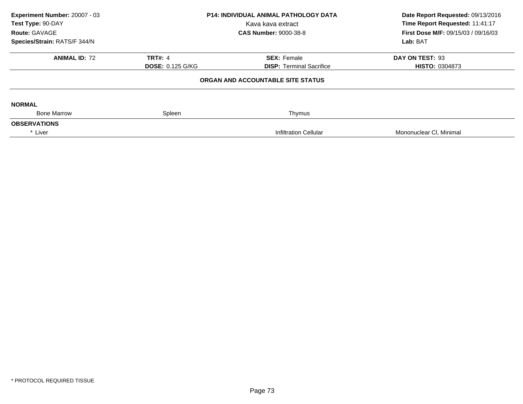| Experiment Number: 20007 - 03 |                         | <b>P14: INDIVIDUAL ANIMAL PATHOLOGY DATA</b> | Date Report Requested: 09/13/2016<br>Time Report Requested: 11:41:17 |
|-------------------------------|-------------------------|----------------------------------------------|----------------------------------------------------------------------|
| Test Type: 90-DAY             |                         | Kava kava extract                            |                                                                      |
| Route: GAVAGE                 |                         | <b>CAS Number: 9000-38-8</b>                 | First Dose M/F: 09/15/03 / 09/16/03                                  |
| Species/Strain: RATS/F 344/N  |                         |                                              | Lab: BAT                                                             |
| <b>ANIMAL ID: 72</b>          | <b>TRT#: 4</b>          | <b>SEX: Female</b>                           | DAY ON TEST: 93                                                      |
|                               | <b>DOSE: 0.125 G/KG</b> | <b>DISP: Terminal Sacrifice</b>              | <b>HISTO: 0304873</b>                                                |
|                               |                         | ORGAN AND ACCOUNTABLE SITE STATUS            |                                                                      |
| <b>NORMAL</b>                 |                         |                                              |                                                                      |
| <b>Bone Marrow</b>            | Spleen                  | Thymus                                       |                                                                      |
| <b>OBSERVATIONS</b>           |                         |                                              |                                                                      |
| * Liver                       |                         | <b>Infiltration Cellular</b>                 | Mononuclear CI, Minimal                                              |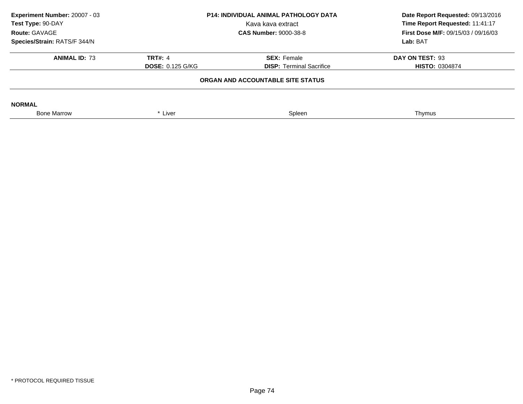| Experiment Number: 20007 - 03<br>Test Type: 90-DAY<br>Route: GAVAGE | <b>P14: INDIVIDUAL ANIMAL PATHOLOGY DATA</b><br>Kava kava extract<br><b>CAS Number: 9000-38-8</b> |                                 | Date Report Requested: 09/13/2016<br>Time Report Requested: 11:41:17<br>First Dose M/F: 09/15/03 / 09/16/03 |
|---------------------------------------------------------------------|---------------------------------------------------------------------------------------------------|---------------------------------|-------------------------------------------------------------------------------------------------------------|
| Species/Strain: RATS/F 344/N                                        |                                                                                                   |                                 | Lab: BAT                                                                                                    |
| <b>ANIMAL ID: 73</b>                                                | <b>TRT#: 4</b>                                                                                    | <b>SEX: Female</b>              | DAY ON TEST: 93                                                                                             |
|                                                                     | <b>DOSE: 0.125 G/KG</b>                                                                           | <b>DISP: Terminal Sacrifice</b> | <b>HISTO: 0304874</b>                                                                                       |
|                                                                     | ORGAN AND ACCOUNTABLE SITE STATUS                                                                 |                                 |                                                                                                             |
| <b>NORMAL</b>                                                       |                                                                                                   |                                 |                                                                                                             |
| <b>Bone Marrow</b>                                                  | * Liver                                                                                           | Spleen                          | Thymus                                                                                                      |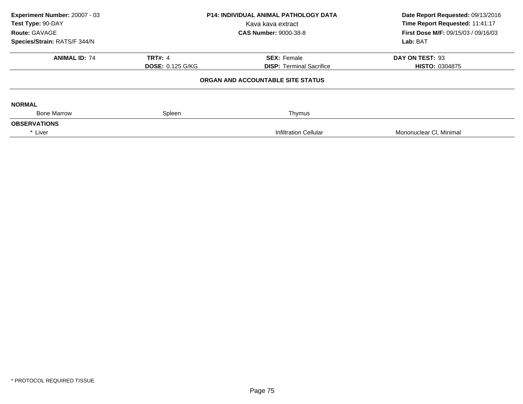| Experiment Number: 20007 - 03 |                              | <b>P14: INDIVIDUAL ANIMAL PATHOLOGY DATA</b> | Date Report Requested: 09/13/2016<br>Time Report Requested: 11:41:17 |
|-------------------------------|------------------------------|----------------------------------------------|----------------------------------------------------------------------|
| Test Type: 90-DAY             |                              | Kava kava extract                            |                                                                      |
| Route: GAVAGE                 | <b>CAS Number: 9000-38-8</b> |                                              | First Dose M/F: 09/15/03 / 09/16/03                                  |
| Species/Strain: RATS/F 344/N  |                              |                                              | Lab: BAT                                                             |
| <b>ANIMAL ID: 74</b>          | <b>TRT#: 4</b>               | <b>SEX: Female</b>                           | DAY ON TEST: 93                                                      |
|                               | <b>DOSE: 0.125 G/KG</b>      | <b>DISP: Terminal Sacrifice</b>              | <b>HISTO: 0304875</b>                                                |
|                               |                              | ORGAN AND ACCOUNTABLE SITE STATUS            |                                                                      |
| <b>NORMAL</b>                 |                              |                                              |                                                                      |
| <b>Bone Marrow</b>            | Spleen                       | Thymus                                       |                                                                      |
| <b>OBSERVATIONS</b>           |                              |                                              |                                                                      |
| * Liver                       |                              | <b>Infiltration Cellular</b>                 | Mononuclear CI, Minimal                                              |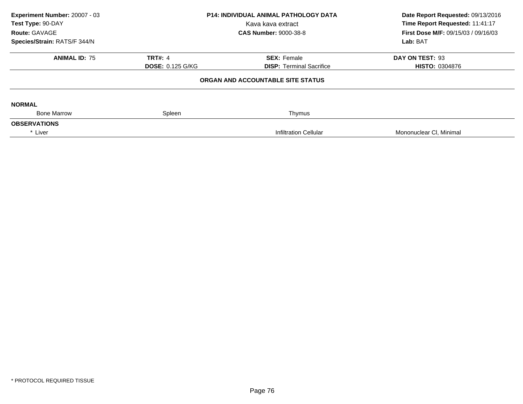| Experiment Number: 20007 - 03 |                         | <b>P14: INDIVIDUAL ANIMAL PATHOLOGY DATA</b> | Date Report Requested: 09/13/2016   |  |
|-------------------------------|-------------------------|----------------------------------------------|-------------------------------------|--|
| Test Type: 90-DAY             |                         | Kava kava extract                            | Time Report Requested: 11:41:17     |  |
| Route: GAVAGE                 |                         | <b>CAS Number: 9000-38-8</b>                 | First Dose M/F: 09/15/03 / 09/16/03 |  |
| Species/Strain: RATS/F 344/N  |                         |                                              | Lab: BAT                            |  |
| <b>ANIMAL ID: 75</b>          | <b>TRT#: 4</b>          | <b>SEX: Female</b>                           | DAY ON TEST: 93                     |  |
|                               | <b>DOSE: 0.125 G/KG</b> | <b>DISP: Terminal Sacrifice</b>              | <b>HISTO: 0304876</b>               |  |
|                               |                         | ORGAN AND ACCOUNTABLE SITE STATUS            |                                     |  |
| <b>NORMAL</b>                 |                         |                                              |                                     |  |
| <b>Bone Marrow</b>            | Spleen                  | Thymus                                       |                                     |  |
| <b>OBSERVATIONS</b>           |                         |                                              |                                     |  |
| * Liver                       |                         | <b>Infiltration Cellular</b>                 | Mononuclear CI, Minimal             |  |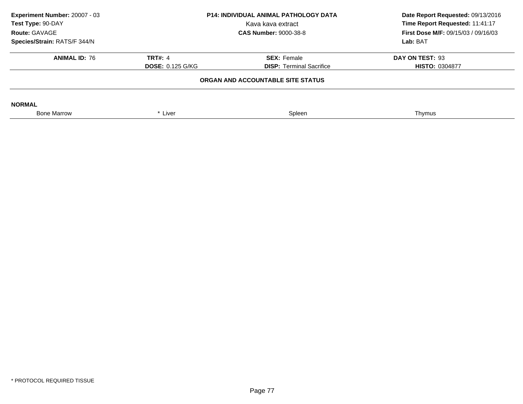| Experiment Number: 20007 - 03<br>Test Type: 90-DAY | <b>P14: INDIVIDUAL ANIMAL PATHOLOGY DATA</b><br>Kava kava extract |                                 | Date Report Requested: 09/13/2016<br>Time Report Requested: 11:41:17 |
|----------------------------------------------------|-------------------------------------------------------------------|---------------------------------|----------------------------------------------------------------------|
| Route: GAVAGE                                      |                                                                   | <b>CAS Number: 9000-38-8</b>    | <b>First Dose M/F: 09/15/03 / 09/16/03</b>                           |
| Species/Strain: RATS/F 344/N                       |                                                                   |                                 | Lab: BAT                                                             |
| <b>ANIMAL ID: 76</b>                               | <b>TRT#: 4</b>                                                    | <b>SEX: Female</b>              | DAY ON TEST: 93                                                      |
|                                                    | <b>DOSE: 0.125 G/KG</b>                                           | <b>DISP: Terminal Sacrifice</b> | <b>HISTO: 0304877</b>                                                |
|                                                    | ORGAN AND ACCOUNTABLE SITE STATUS                                 |                                 |                                                                      |
| <b>NORMAL</b>                                      |                                                                   |                                 |                                                                      |
| <b>Bone Marrow</b>                                 | * Liver                                                           | Spleen                          | Thymus                                                               |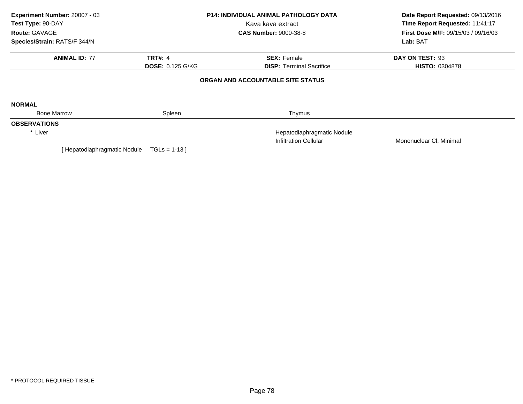| Experiment Number: 20007 - 03<br>Test Type: 90-DAY |                            | <b>P14: INDIVIDUAL ANIMAL PATHOLOGY DATA</b><br>Kava kava extract | Date Report Requested: 09/13/2016<br>Time Report Requested: 11:41:17 |
|----------------------------------------------------|----------------------------|-------------------------------------------------------------------|----------------------------------------------------------------------|
| <b>Route: GAVAGE</b>                               |                            | <b>CAS Number: 9000-38-8</b>                                      | <b>First Dose M/F: 09/15/03 / 09/16/03</b>                           |
| Species/Strain: RATS/F 344/N                       |                            |                                                                   | Lab: BAT                                                             |
| <b>ANIMAL ID: 77</b>                               | <b>TRT#: 4</b>             | <b>SEX: Female</b>                                                | DAY ON TEST: 93                                                      |
|                                                    | <b>DOSE: 0.125 G/KG</b>    | <b>DISP:</b> Terminal Sacrifice                                   | <b>HISTO: 0304878</b>                                                |
|                                                    |                            | ORGAN AND ACCOUNTABLE SITE STATUS                                 |                                                                      |
| <b>NORMAL</b>                                      |                            |                                                                   |                                                                      |
| <b>Bone Marrow</b>                                 | Spleen                     | Thymus                                                            |                                                                      |
| <b>OBSERVATIONS</b>                                |                            |                                                                   |                                                                      |
| * Liver                                            | Hepatodiaphragmatic Nodule |                                                                   |                                                                      |
|                                                    |                            | <b>Infiltration Cellular</b>                                      | Mononuclear CI, Minimal                                              |
| Hepatodiaphragmatic Nodule                         | $TGLs = 1-13$              |                                                                   |                                                                      |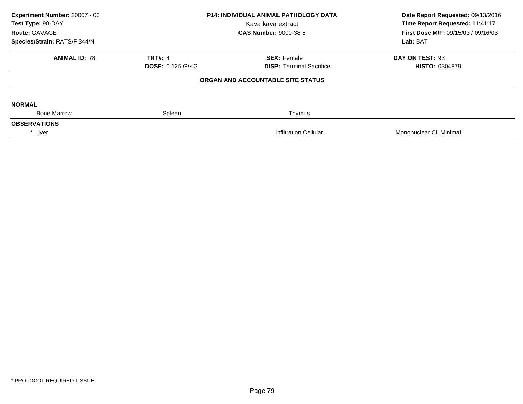| Experiment Number: 20007 - 03<br>Test Type: 90-DAY |                         | <b>P14: INDIVIDUAL ANIMAL PATHOLOGY DATA</b><br>Kava kava extract | Date Report Requested: 09/13/2016<br>Time Report Requested: 11:41:17 |
|----------------------------------------------------|-------------------------|-------------------------------------------------------------------|----------------------------------------------------------------------|
| Route: GAVAGE                                      |                         | <b>CAS Number: 9000-38-8</b>                                      | <b>First Dose M/F: 09/15/03 / 09/16/03</b>                           |
| Species/Strain: RATS/F 344/N                       |                         |                                                                   | Lab: BAT                                                             |
| <b>ANIMAL ID: 78</b>                               | <b>TRT#: 4</b>          | <b>SEX: Female</b>                                                | DAY ON TEST: 93                                                      |
|                                                    | <b>DOSE: 0.125 G/KG</b> | <b>DISP: Terminal Sacrifice</b>                                   | <b>HISTO: 0304879</b>                                                |
|                                                    |                         | ORGAN AND ACCOUNTABLE SITE STATUS                                 |                                                                      |
| <b>NORMAL</b>                                      |                         |                                                                   |                                                                      |
| <b>Bone Marrow</b>                                 | Spleen                  | Thymus                                                            |                                                                      |
| <b>OBSERVATIONS</b>                                |                         |                                                                   |                                                                      |
| * Liver                                            |                         | <b>Infiltration Cellular</b>                                      | Mononuclear CI, Minimal                                              |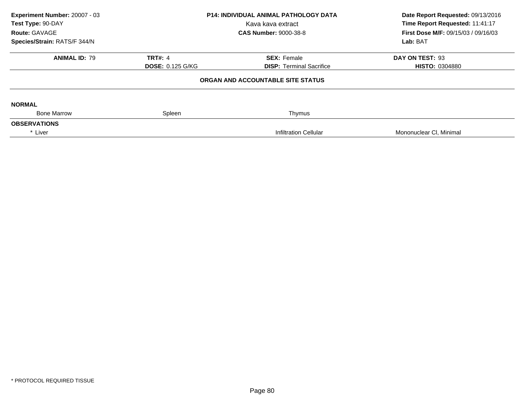| Experiment Number: 20007 - 03<br>Test Type: 90-DAY |                         | <b>P14: INDIVIDUAL ANIMAL PATHOLOGY DATA</b><br>Kava kava extract | Date Report Requested: 09/13/2016<br>Time Report Requested: 11:41:17 |
|----------------------------------------------------|-------------------------|-------------------------------------------------------------------|----------------------------------------------------------------------|
| Route: GAVAGE                                      |                         | <b>CAS Number: 9000-38-8</b>                                      | <b>First Dose M/F: 09/15/03 / 09/16/03</b>                           |
| Species/Strain: RATS/F 344/N                       |                         |                                                                   | Lab: BAT                                                             |
| <b>ANIMAL ID: 79</b>                               | <b>TRT#: 4</b>          | <b>SEX: Female</b>                                                | DAY ON TEST: 93                                                      |
|                                                    | <b>DOSE: 0.125 G/KG</b> | <b>DISP: Terminal Sacrifice</b>                                   | <b>HISTO: 0304880</b>                                                |
|                                                    |                         | ORGAN AND ACCOUNTABLE SITE STATUS                                 |                                                                      |
| <b>NORMAL</b>                                      |                         |                                                                   |                                                                      |
| <b>Bone Marrow</b>                                 | Spleen                  | Thymus                                                            |                                                                      |
| <b>OBSERVATIONS</b>                                |                         |                                                                   |                                                                      |
| * Liver                                            |                         | <b>Infiltration Cellular</b>                                      | Mononuclear CI, Minimal                                              |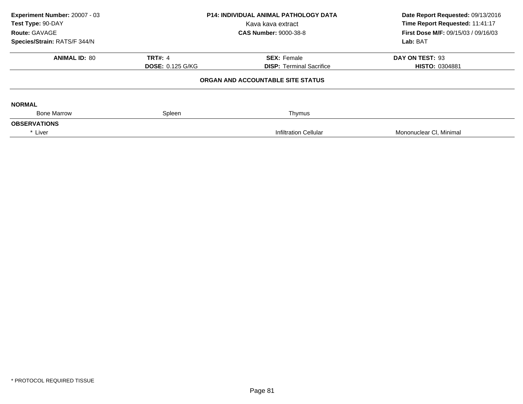| Experiment Number: 20007 - 03<br>Test Type: 90-DAY<br>Route: GAVAGE<br>Species/Strain: RATS/F 344/N | P14: INDIVIDUAL ANIMAL PATHOLOGY DATA<br>Kava kava extract<br><b>CAS Number: 9000-38-8</b> |                                                       | Date Report Requested: 09/13/2016<br>Time Report Requested: 11:41:17<br>First Dose M/F: 09/15/03 / 09/16/03<br>Lab: BAT |
|-----------------------------------------------------------------------------------------------------|--------------------------------------------------------------------------------------------|-------------------------------------------------------|-------------------------------------------------------------------------------------------------------------------------|
| <b>ANIMAL ID: 80</b>                                                                                | <b>TRT#: 4</b><br><b>DOSE: 0.125 G/KG</b>                                                  | <b>SEX: Female</b><br><b>DISP: Terminal Sacrifice</b> | DAY ON TEST: 93<br><b>HISTO: 0304881</b>                                                                                |
|                                                                                                     |                                                                                            | ORGAN AND ACCOUNTABLE SITE STATUS                     |                                                                                                                         |
| <b>NORMAL</b>                                                                                       |                                                                                            |                                                       |                                                                                                                         |
| <b>Bone Marrow</b><br><b>OBSERVATIONS</b>                                                           | Spleen                                                                                     | Thymus                                                |                                                                                                                         |
| * Liver                                                                                             |                                                                                            | <b>Infiltration Cellular</b>                          | Mononuclear CI, Minimal                                                                                                 |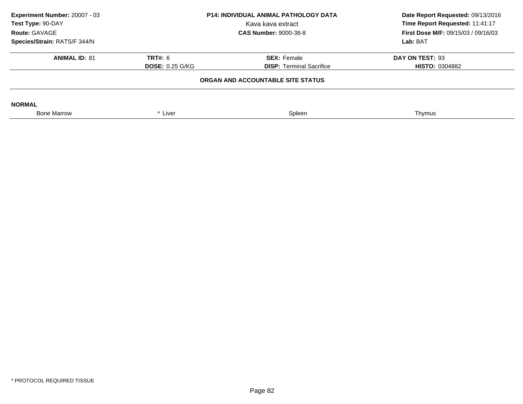| Experiment Number: 20007 - 03<br>Test Type: 90-DAY<br>Route: GAVAGE | <b>P14: INDIVIDUAL ANIMAL PATHOLOGY DATA</b><br>Kava kava extract<br><b>CAS Number: 9000-38-8</b> |                                   | Date Report Requested: 09/13/2016<br>Time Report Requested: 11:41:17<br><b>First Dose M/F: 09/15/03 / 09/16/03</b><br>Lab: BAT |
|---------------------------------------------------------------------|---------------------------------------------------------------------------------------------------|-----------------------------------|--------------------------------------------------------------------------------------------------------------------------------|
| Species/Strain: RATS/F 344/N                                        |                                                                                                   |                                   |                                                                                                                                |
| <b>ANIMAL ID: 81</b>                                                | <b>TRT#: 6</b>                                                                                    | <b>SEX: Female</b>                | DAY ON TEST: 93                                                                                                                |
|                                                                     | <b>DOSE: 0.25 G/KG</b>                                                                            | <b>DISP:</b> Terminal Sacrifice   | <b>HISTO: 0304882</b>                                                                                                          |
|                                                                     |                                                                                                   | ORGAN AND ACCOUNTABLE SITE STATUS |                                                                                                                                |
| <b>NORMAL</b>                                                       |                                                                                                   |                                   |                                                                                                                                |
| <b>Bone Marrow</b>                                                  | * Liver                                                                                           | Spleen                            | Thymus                                                                                                                         |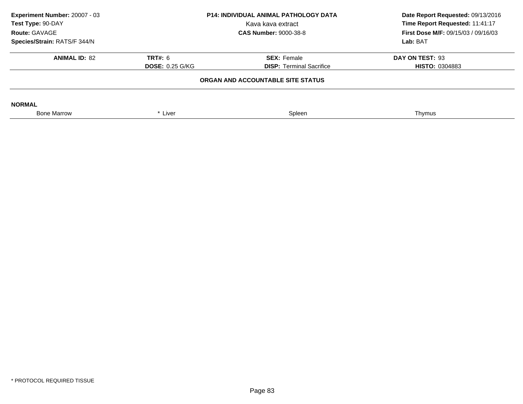| Experiment Number: 20007 - 03<br>Test Type: 90-DAY<br>Route: GAVAGE | <b>P14: INDIVIDUAL ANIMAL PATHOLOGY DATA</b><br>Kava kava extract<br><b>CAS Number: 9000-38-8</b> |                                   | Date Report Requested: 09/13/2016<br>Time Report Requested: 11:41:17<br><b>First Dose M/F: 09/15/03 / 09/16/03</b><br>Lab: BAT |
|---------------------------------------------------------------------|---------------------------------------------------------------------------------------------------|-----------------------------------|--------------------------------------------------------------------------------------------------------------------------------|
| Species/Strain: RATS/F 344/N                                        |                                                                                                   |                                   |                                                                                                                                |
| <b>ANIMAL ID: 82</b>                                                | <b>TRT#: 6</b>                                                                                    | <b>SEX: Female</b>                | DAY ON TEST: 93                                                                                                                |
|                                                                     | <b>DOSE: 0.25 G/KG</b>                                                                            | <b>DISP:</b> Terminal Sacrifice   | <b>HISTO: 0304883</b>                                                                                                          |
|                                                                     |                                                                                                   | ORGAN AND ACCOUNTABLE SITE STATUS |                                                                                                                                |
| <b>NORMAL</b>                                                       |                                                                                                   |                                   |                                                                                                                                |
| <b>Bone Marrow</b>                                                  | * Liver                                                                                           | Spleen                            | Thymus                                                                                                                         |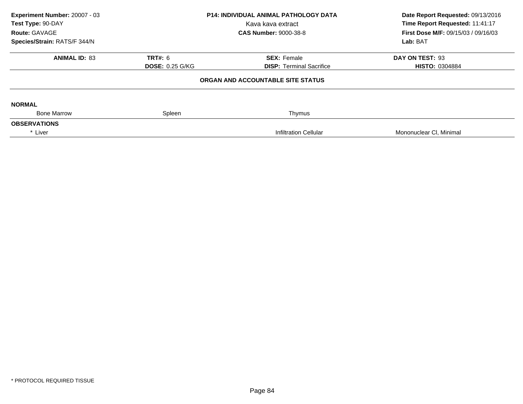| Experiment Number: 20007 - 03 |                        | <b>P14: INDIVIDUAL ANIMAL PATHOLOGY DATA</b> | Date Report Requested: 09/13/2016          |  |
|-------------------------------|------------------------|----------------------------------------------|--------------------------------------------|--|
| Test Type: 90-DAY             |                        | Kava kava extract                            | Time Report Requested: 11:41:17            |  |
| Route: GAVAGE                 |                        | <b>CAS Number: 9000-38-8</b>                 | <b>First Dose M/F: 09/15/03 / 09/16/03</b> |  |
| Species/Strain: RATS/F 344/N  |                        |                                              | Lab: BAT                                   |  |
| <b>ANIMAL ID: 83</b>          | <b>TRT#: 6</b>         | <b>SEX: Female</b>                           | DAY ON TEST: 93                            |  |
|                               | <b>DOSE: 0.25 G/KG</b> | <b>DISP: Terminal Sacrifice</b>              | <b>HISTO: 0304884</b>                      |  |
|                               |                        | ORGAN AND ACCOUNTABLE SITE STATUS            |                                            |  |
| <b>NORMAL</b>                 |                        |                                              |                                            |  |
| <b>Bone Marrow</b>            | Spleen                 | Thymus                                       |                                            |  |
| <b>OBSERVATIONS</b>           |                        |                                              |                                            |  |
| * Liver                       |                        | <b>Infiltration Cellular</b>                 | Mononuclear CI, Minimal                    |  |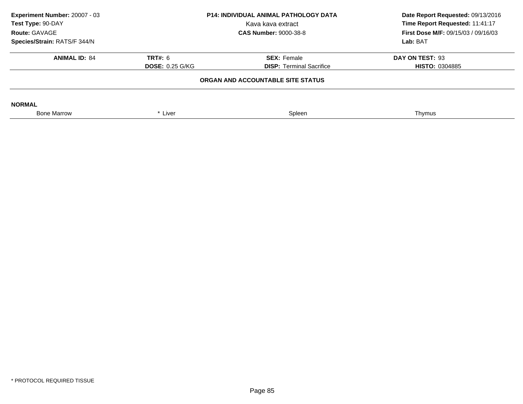| Experiment Number: 20007 - 03<br>Test Type: 90-DAY<br>Route: GAVAGE | <b>P14: INDIVIDUAL ANIMAL PATHOLOGY DATA</b><br>Kava kava extract<br><b>CAS Number: 9000-38-8</b> |                                 | Date Report Requested: 09/13/2016<br>Time Report Requested: 11:41:17<br><b>First Dose M/F: 09/15/03 / 09/16/03</b><br>Lab: BAT |  |  |
|---------------------------------------------------------------------|---------------------------------------------------------------------------------------------------|---------------------------------|--------------------------------------------------------------------------------------------------------------------------------|--|--|
| Species/Strain: RATS/F 344/N                                        |                                                                                                   |                                 |                                                                                                                                |  |  |
| <b>ANIMAL ID: 84</b>                                                | <b>TRT#: 6</b>                                                                                    | <b>SEX: Female</b>              | DAY ON TEST: 93                                                                                                                |  |  |
|                                                                     | <b>DOSE: 0.25 G/KG</b>                                                                            | <b>DISP:</b> Terminal Sacrifice | <b>HISTO: 0304885</b>                                                                                                          |  |  |
| ORGAN AND ACCOUNTABLE SITE STATUS                                   |                                                                                                   |                                 |                                                                                                                                |  |  |
| <b>NORMAL</b>                                                       |                                                                                                   |                                 |                                                                                                                                |  |  |
| <b>Bone Marrow</b>                                                  | * Liver                                                                                           | Spleen                          | Thymus                                                                                                                         |  |  |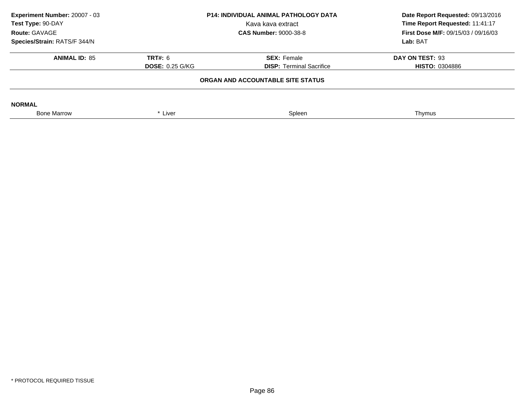| Experiment Number: 20007 - 03<br>Test Type: 90-DAY | <b>P14: INDIVIDUAL ANIMAL PATHOLOGY DATA</b><br>Kava kava extract |                                 | Date Report Requested: 09/13/2016<br>Time Report Requested: 11:41:17 |  |  |
|----------------------------------------------------|-------------------------------------------------------------------|---------------------------------|----------------------------------------------------------------------|--|--|
| Route: GAVAGE<br>Species/Strain: RATS/F 344/N      |                                                                   | <b>CAS Number: 9000-38-8</b>    | <b>First Dose M/F: 09/15/03 / 09/16/03</b><br>Lab: BAT               |  |  |
|                                                    |                                                                   |                                 |                                                                      |  |  |
| <b>ANIMAL ID: 85</b>                               | <b>TRT#: 6</b>                                                    | <b>SEX: Female</b>              | DAY ON TEST: 93                                                      |  |  |
|                                                    | <b>DOSE: 0.25 G/KG</b>                                            | <b>DISP:</b> Terminal Sacrifice | <b>HISTO: 0304886</b>                                                |  |  |
| ORGAN AND ACCOUNTABLE SITE STATUS                  |                                                                   |                                 |                                                                      |  |  |
| <b>NORMAL</b>                                      |                                                                   |                                 |                                                                      |  |  |
| <b>Bone Marrow</b>                                 | * Liver                                                           | Spleen                          | Thymus                                                               |  |  |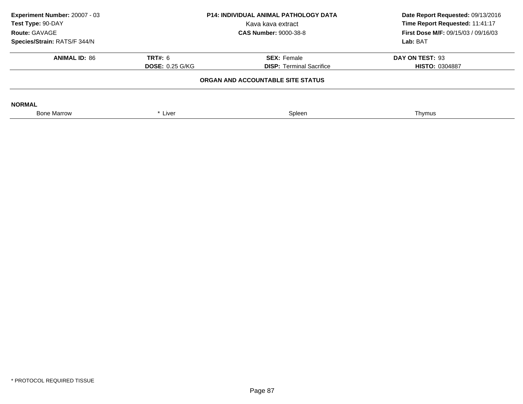| Experiment Number: 20007 - 03<br>Test Type: 90-DAY<br>Route: GAVAGE | <b>P14: INDIVIDUAL ANIMAL PATHOLOGY DATA</b><br>Kava kava extract<br><b>CAS Number: 9000-38-8</b> |                                                       | Date Report Requested: 09/13/2016<br>Time Report Requested: 11:41:17<br><b>First Dose M/F: 09/15/03 / 09/16/03</b><br>Lab: BAT |
|---------------------------------------------------------------------|---------------------------------------------------------------------------------------------------|-------------------------------------------------------|--------------------------------------------------------------------------------------------------------------------------------|
| Species/Strain: RATS/F 344/N                                        |                                                                                                   |                                                       |                                                                                                                                |
| <b>ANIMAL ID: 86</b>                                                | <b>TRT#: 6</b><br><b>DOSE: 0.25 G/KG</b>                                                          | <b>SEX: Female</b><br><b>DISP:</b> Terminal Sacrifice | DAY ON TEST: 93<br><b>HISTO: 0304887</b>                                                                                       |
|                                                                     |                                                                                                   | ORGAN AND ACCOUNTABLE SITE STATUS                     |                                                                                                                                |
| <b>NORMAL</b>                                                       |                                                                                                   |                                                       |                                                                                                                                |
| <b>Bone Marrow</b>                                                  | * Liver                                                                                           | Spleen                                                | Thymus                                                                                                                         |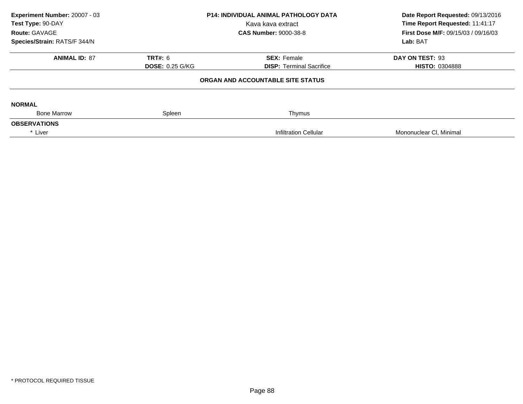| Experiment Number: 20007 - 03<br>Test Type: 90-DAY |                        | <b>P14: INDIVIDUAL ANIMAL PATHOLOGY DATA</b><br>Kava kava extract | Date Report Requested: 09/13/2016<br>Time Report Requested: 11:41:17 |
|----------------------------------------------------|------------------------|-------------------------------------------------------------------|----------------------------------------------------------------------|
| Route: GAVAGE                                      |                        | <b>CAS Number: 9000-38-8</b>                                      | <b>First Dose M/F: 09/15/03 / 09/16/03</b>                           |
| Species/Strain: RATS/F 344/N                       |                        |                                                                   | Lab: BAT                                                             |
| <b>ANIMAL ID: 87</b>                               | <b>TRT#: 6</b>         | <b>SEX: Female</b>                                                | DAY ON TEST: 93                                                      |
|                                                    | <b>DOSE: 0.25 G/KG</b> | <b>DISP: Terminal Sacrifice</b>                                   | <b>HISTO: 0304888</b>                                                |
|                                                    |                        | ORGAN AND ACCOUNTABLE SITE STATUS                                 |                                                                      |
| <b>NORMAL</b>                                      |                        |                                                                   |                                                                      |
| <b>Bone Marrow</b>                                 | Spleen                 | Thymus                                                            |                                                                      |
| <b>OBSERVATIONS</b>                                |                        |                                                                   |                                                                      |
| * Liver                                            |                        | <b>Infiltration Cellular</b>                                      | Mononuclear CI, Minimal                                              |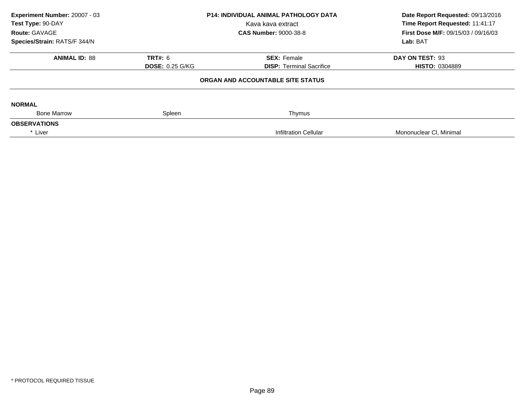| Experiment Number: 20007 - 03<br>Test Type: 90-DAY<br>Route: GAVAGE | P14: INDIVIDUAL ANIMAL PATHOLOGY DATA<br>Kava kava extract<br><b>CAS Number: 9000-38-8</b> |                                   | Date Report Requested: 09/13/2016<br>Time Report Requested: 11:41:17<br><b>First Dose M/F: 09/15/03 / 09/16/03</b> |  |
|---------------------------------------------------------------------|--------------------------------------------------------------------------------------------|-----------------------------------|--------------------------------------------------------------------------------------------------------------------|--|
| Species/Strain: RATS/F 344/N                                        |                                                                                            |                                   | Lab: BAT                                                                                                           |  |
| <b>ANIMAL ID: 88</b>                                                | <b>TRT#: 6</b>                                                                             | <b>SEX: Female</b>                | DAY ON TEST: 93                                                                                                    |  |
|                                                                     | <b>DOSE: 0.25 G/KG</b>                                                                     | <b>DISP: Terminal Sacrifice</b>   | <b>HISTO: 0304889</b>                                                                                              |  |
|                                                                     |                                                                                            | ORGAN AND ACCOUNTABLE SITE STATUS |                                                                                                                    |  |
| <b>NORMAL</b>                                                       |                                                                                            |                                   |                                                                                                                    |  |
| <b>Bone Marrow</b>                                                  | Spleen                                                                                     | Thymus                            |                                                                                                                    |  |
| <b>OBSERVATIONS</b>                                                 |                                                                                            |                                   |                                                                                                                    |  |
| * Liver                                                             |                                                                                            | <b>Infiltration Cellular</b>      | Mononuclear CI, Minimal                                                                                            |  |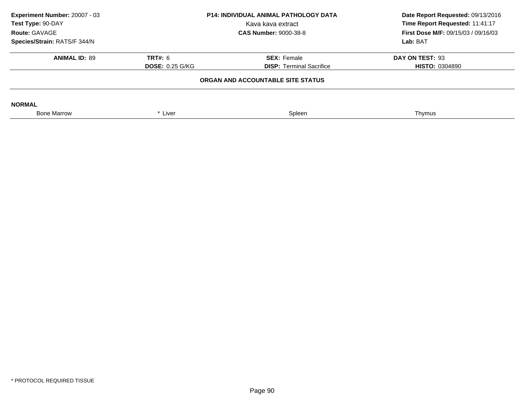| Experiment Number: 20007 - 03<br>Test Type: 90-DAY<br>Route: GAVAGE | <b>P14: INDIVIDUAL ANIMAL PATHOLOGY DATA</b><br>Kava kava extract<br><b>CAS Number: 9000-38-8</b> |                                                       | Date Report Requested: 09/13/2016<br>Time Report Requested: 11:41:17<br><b>First Dose M/F: 09/15/03 / 09/16/03</b> |
|---------------------------------------------------------------------|---------------------------------------------------------------------------------------------------|-------------------------------------------------------|--------------------------------------------------------------------------------------------------------------------|
| Species/Strain: RATS/F 344/N                                        |                                                                                                   |                                                       | Lab: BAT                                                                                                           |
| <b>ANIMAL ID: 89</b>                                                | <b>TRT#: 6</b><br><b>DOSE: 0.25 G/KG</b>                                                          | <b>SEX: Female</b><br><b>DISP:</b> Terminal Sacrifice | DAY ON TEST: 93<br><b>HISTO: 0304890</b>                                                                           |
|                                                                     |                                                                                                   | ORGAN AND ACCOUNTABLE SITE STATUS                     |                                                                                                                    |
| <b>NORMAL</b>                                                       |                                                                                                   |                                                       |                                                                                                                    |
| <b>Bone Marrow</b>                                                  | * Liver                                                                                           | Spleen                                                | Thymus                                                                                                             |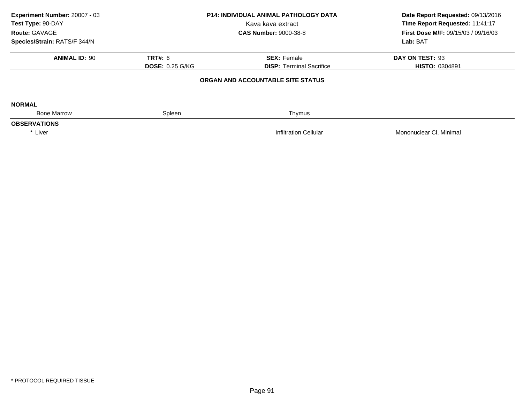| Experiment Number: 20007 - 03<br>Test Type: 90-DAY<br>Route: GAVAGE |                        | <b>P14: INDIVIDUAL ANIMAL PATHOLOGY DATA</b><br>Kava kava extract | Date Report Requested: 09/13/2016<br>Time Report Requested: 11:41:17<br><b>First Dose M/F: 09/15/03 / 09/16/03</b> |
|---------------------------------------------------------------------|------------------------|-------------------------------------------------------------------|--------------------------------------------------------------------------------------------------------------------|
|                                                                     |                        | <b>CAS Number: 9000-38-8</b>                                      |                                                                                                                    |
| Species/Strain: RATS/F 344/N                                        |                        |                                                                   | Lab: BAT                                                                                                           |
| <b>ANIMAL ID: 90</b>                                                | <b>TRT#: 6</b>         | <b>SEX: Female</b>                                                | DAY ON TEST: 93                                                                                                    |
|                                                                     | <b>DOSE: 0.25 G/KG</b> | <b>DISP: Terminal Sacrifice</b>                                   | <b>HISTO: 0304891</b>                                                                                              |
|                                                                     |                        | ORGAN AND ACCOUNTABLE SITE STATUS                                 |                                                                                                                    |
| <b>NORMAL</b>                                                       |                        |                                                                   |                                                                                                                    |
| <b>Bone Marrow</b>                                                  | Spleen                 | Thymus                                                            |                                                                                                                    |
| <b>OBSERVATIONS</b>                                                 |                        |                                                                   |                                                                                                                    |
| * Liver                                                             |                        | <b>Infiltration Cellular</b>                                      | Mononuclear CI, Minimal                                                                                            |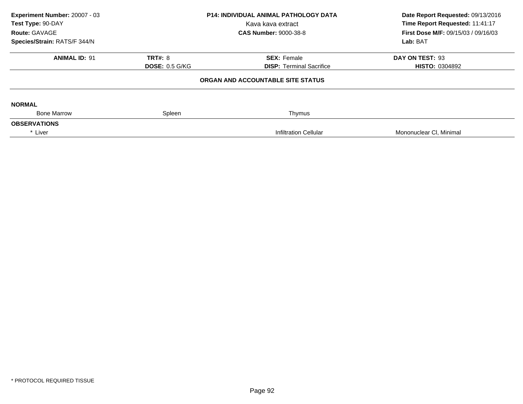| Experiment Number: 20007 - 03<br>Test Type: 90-DAY<br>Route: GAVAGE<br>Species/Strain: RATS/F 344/N |                       | P14: INDIVIDUAL ANIMAL PATHOLOGY DATA<br>Kava kava extract<br><b>CAS Number: 9000-38-8</b> | Date Report Requested: 09/13/2016<br>Time Report Requested: 11:41:17<br><b>First Dose M/F: 09/15/03 / 09/16/03</b><br>Lab: BAT |
|-----------------------------------------------------------------------------------------------------|-----------------------|--------------------------------------------------------------------------------------------|--------------------------------------------------------------------------------------------------------------------------------|
|                                                                                                     |                       |                                                                                            |                                                                                                                                |
| <b>ANIMAL ID: 91</b>                                                                                | <b>TRT#: 8</b>        | <b>SEX: Female</b>                                                                         | DAY ON TEST: 93                                                                                                                |
|                                                                                                     | <b>DOSE: 0.5 G/KG</b> | <b>DISP: Terminal Sacrifice</b>                                                            | <b>HISTO: 0304892</b>                                                                                                          |
|                                                                                                     |                       | ORGAN AND ACCOUNTABLE SITE STATUS                                                          |                                                                                                                                |
| <b>NORMAL</b>                                                                                       |                       |                                                                                            |                                                                                                                                |
| <b>Bone Marrow</b>                                                                                  | Spleen                | Thymus                                                                                     |                                                                                                                                |
| <b>OBSERVATIONS</b>                                                                                 |                       |                                                                                            |                                                                                                                                |
| * Liver                                                                                             |                       | <b>Infiltration Cellular</b>                                                               | Mononuclear CI, Minimal                                                                                                        |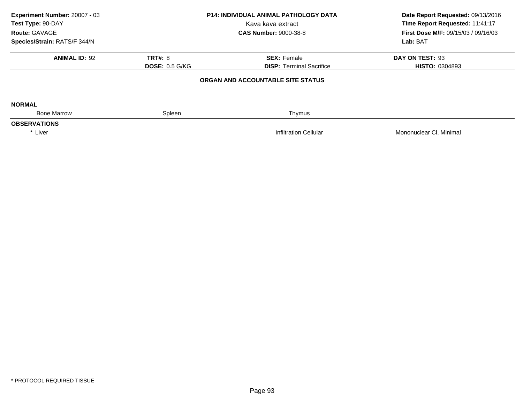| Experiment Number: 20007 - 03<br>Test Type: 90-DAY<br>Route: GAVAGE<br>Species/Strain: RATS/F 344/N |                       | P14: INDIVIDUAL ANIMAL PATHOLOGY DATA<br>Kava kava extract<br><b>CAS Number: 9000-38-8</b> | Date Report Requested: 09/13/2016<br>Time Report Requested: 11:41:17<br><b>First Dose M/F: 09/15/03 / 09/16/03</b><br>Lab: BAT |
|-----------------------------------------------------------------------------------------------------|-----------------------|--------------------------------------------------------------------------------------------|--------------------------------------------------------------------------------------------------------------------------------|
|                                                                                                     |                       |                                                                                            |                                                                                                                                |
| <b>ANIMAL ID: 92</b>                                                                                | <b>TRT#: 8</b>        | <b>SEX: Female</b>                                                                         | DAY ON TEST: 93                                                                                                                |
|                                                                                                     | <b>DOSE: 0.5 G/KG</b> | <b>DISP: Terminal Sacrifice</b>                                                            | <b>HISTO: 0304893</b>                                                                                                          |
|                                                                                                     |                       | ORGAN AND ACCOUNTABLE SITE STATUS                                                          |                                                                                                                                |
| <b>NORMAL</b>                                                                                       |                       |                                                                                            |                                                                                                                                |
| <b>Bone Marrow</b>                                                                                  | Spleen                | Thymus                                                                                     |                                                                                                                                |
| <b>OBSERVATIONS</b>                                                                                 |                       |                                                                                            |                                                                                                                                |
| * Liver                                                                                             |                       | <b>Infiltration Cellular</b>                                                               | Mononuclear CI, Minimal                                                                                                        |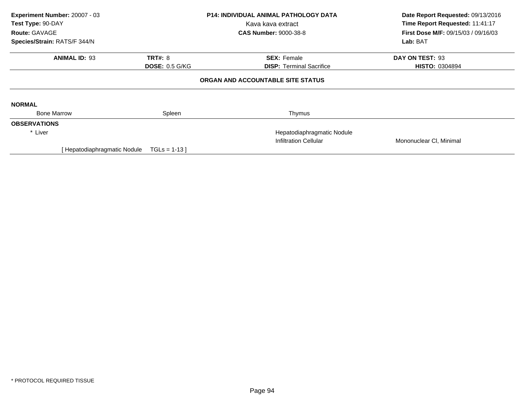| Experiment Number: 20007 - 03<br>Test Type: 90-DAY |                       | <b>P14: INDIVIDUAL ANIMAL PATHOLOGY DATA</b> | Date Report Requested: 09/13/2016   |
|----------------------------------------------------|-----------------------|----------------------------------------------|-------------------------------------|
|                                                    |                       | Kava kava extract                            | Time Report Requested: 11:41:17     |
| Route: GAVAGE                                      |                       | <b>CAS Number: 9000-38-8</b>                 | First Dose M/F: 09/15/03 / 09/16/03 |
| Species/Strain: RATS/F 344/N                       |                       |                                              | Lab: BAT                            |
| <b>ANIMAL ID: 93</b>                               | <b>TRT#: 8</b>        | <b>SEX: Female</b>                           | DAY ON TEST: 93                     |
|                                                    | <b>DOSE: 0.5 G/KG</b> | <b>DISP:</b> Terminal Sacrifice              | <b>HISTO: 0304894</b>               |
|                                                    |                       | ORGAN AND ACCOUNTABLE SITE STATUS            |                                     |
| <b>NORMAL</b>                                      |                       |                                              |                                     |
| <b>Bone Marrow</b>                                 | Spleen                | Thymus                                       |                                     |
| <b>OBSERVATIONS</b>                                |                       |                                              |                                     |
| * Liver                                            |                       | Hepatodiaphragmatic Nodule                   |                                     |
|                                                    |                       | <b>Infiltration Cellular</b>                 | Mononuclear CI, Minimal             |
| [ Hepatodiaphragmatic Nodule                       | $TGLs = 1-13$ ]       |                                              |                                     |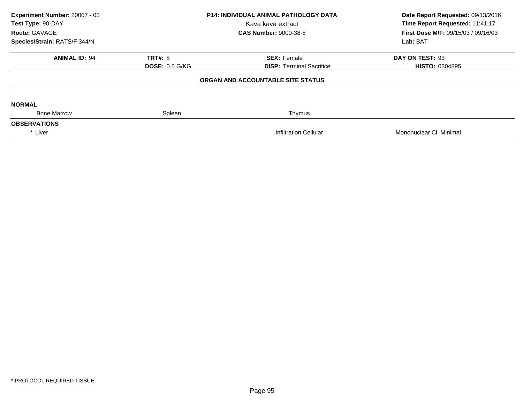| Experiment Number: 20007 - 03<br>Test Type: 90-DAY |                       | <b>P14: INDIVIDUAL ANIMAL PATHOLOGY DATA</b> | Date Report Requested: 09/13/2016<br>Time Report Requested: 11:41:17 |  |
|----------------------------------------------------|-----------------------|----------------------------------------------|----------------------------------------------------------------------|--|
|                                                    |                       | Kava kava extract                            |                                                                      |  |
| Route: GAVAGE                                      |                       | <b>CAS Number: 9000-38-8</b>                 | <b>First Dose M/F: 09/15/03 / 09/16/03</b>                           |  |
| Species/Strain: RATS/F 344/N                       |                       |                                              | Lab: BAT                                                             |  |
| <b>ANIMAL ID: 94</b>                               | <b>TRT#: 8</b>        | <b>SEX: Female</b>                           | DAY ON TEST: 93                                                      |  |
|                                                    | <b>DOSE: 0.5 G/KG</b> | <b>DISP: Terminal Sacrifice</b>              | <b>HISTO: 0304895</b>                                                |  |
|                                                    |                       | ORGAN AND ACCOUNTABLE SITE STATUS            |                                                                      |  |
| <b>NORMAL</b>                                      |                       |                                              |                                                                      |  |
| <b>Bone Marrow</b>                                 | Spleen                | Thymus                                       |                                                                      |  |
| <b>OBSERVATIONS</b>                                |                       |                                              |                                                                      |  |
| * Liver                                            |                       | <b>Infiltration Cellular</b>                 | Mononuclear CI, Minimal                                              |  |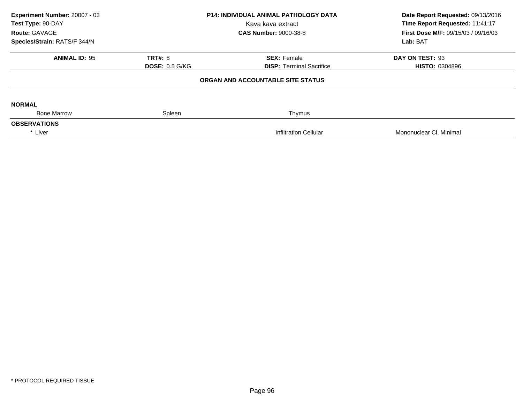| Experiment Number: 20007 - 03<br>Test Type: 90-DAY<br>Route: GAVAGE<br>Species/Strain: RATS/F 344/N |                       | <b>P14: INDIVIDUAL ANIMAL PATHOLOGY DATA</b><br>Kava kava extract<br><b>CAS Number: 9000-38-8</b> | Date Report Requested: 09/13/2016<br>Time Report Requested: 11:41:17<br><b>First Dose M/F: 09/15/03 / 09/16/03</b><br>Lab: BAT |
|-----------------------------------------------------------------------------------------------------|-----------------------|---------------------------------------------------------------------------------------------------|--------------------------------------------------------------------------------------------------------------------------------|
|                                                                                                     |                       |                                                                                                   |                                                                                                                                |
| <b>ANIMAL ID: 95</b>                                                                                | <b>TRT#: 8</b>        | <b>SEX: Female</b>                                                                                | DAY ON TEST: 93                                                                                                                |
|                                                                                                     | <b>DOSE: 0.5 G/KG</b> | <b>DISP:</b> Terminal Sacrifice                                                                   | <b>HISTO: 0304896</b>                                                                                                          |
|                                                                                                     |                       | ORGAN AND ACCOUNTABLE SITE STATUS                                                                 |                                                                                                                                |
| <b>NORMAL</b>                                                                                       |                       |                                                                                                   |                                                                                                                                |
| <b>Bone Marrow</b>                                                                                  | Spleen                | Thymus                                                                                            |                                                                                                                                |
| <b>OBSERVATIONS</b>                                                                                 |                       |                                                                                                   |                                                                                                                                |
| * Liver                                                                                             |                       | Infiltration Cellular                                                                             | Mononuclear CI, Minimal                                                                                                        |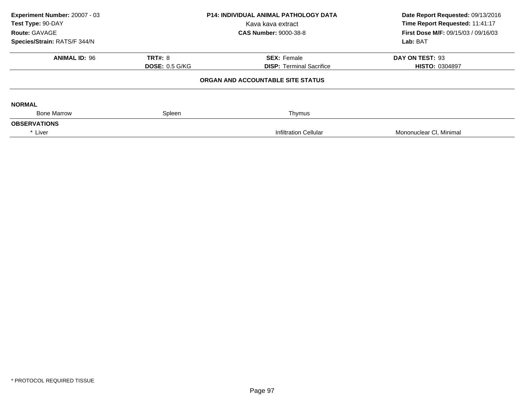| Experiment Number: 20007 - 03<br>Test Type: 90-DAY<br>Route: GAVAGE<br>Species/Strain: RATS/F 344/N |                       | <b>P14: INDIVIDUAL ANIMAL PATHOLOGY DATA</b><br>Kava kava extract<br><b>CAS Number: 9000-38-8</b> | Date Report Requested: 09/13/2016<br>Time Report Requested: 11:41:17<br><b>First Dose M/F: 09/15/03 / 09/16/03</b><br>Lab: BAT |
|-----------------------------------------------------------------------------------------------------|-----------------------|---------------------------------------------------------------------------------------------------|--------------------------------------------------------------------------------------------------------------------------------|
|                                                                                                     |                       |                                                                                                   |                                                                                                                                |
| <b>ANIMAL ID: 96</b>                                                                                | <b>TRT#: 8</b>        | <b>SEX: Female</b>                                                                                | DAY ON TEST: 93                                                                                                                |
|                                                                                                     | <b>DOSE: 0.5 G/KG</b> | <b>DISP: Terminal Sacrifice</b>                                                                   | <b>HISTO: 0304897</b>                                                                                                          |
|                                                                                                     |                       | ORGAN AND ACCOUNTABLE SITE STATUS                                                                 |                                                                                                                                |
| <b>NORMAL</b>                                                                                       |                       |                                                                                                   |                                                                                                                                |
| <b>Bone Marrow</b>                                                                                  | Spleen                | Thymus                                                                                            |                                                                                                                                |
| <b>OBSERVATIONS</b>                                                                                 |                       |                                                                                                   |                                                                                                                                |
| * Liver                                                                                             |                       | Infiltration Cellular                                                                             | Mononuclear CI, Minimal                                                                                                        |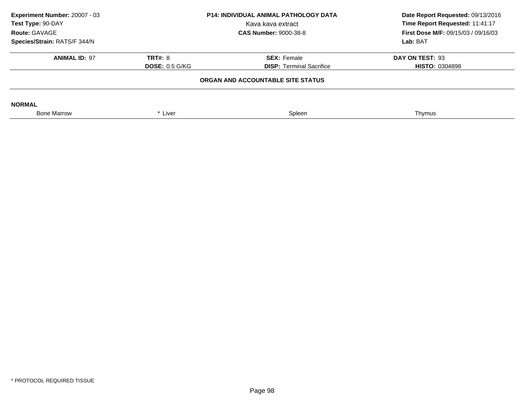| Experiment Number: 20007 - 03<br>Test Type: 90-DAY<br>Route: GAVAGE | <b>P14: INDIVIDUAL ANIMAL PATHOLOGY DATA</b><br>Kava kava extract |                                 | Date Report Requested: 09/13/2016<br>Time Report Requested: 11:41:17 |
|---------------------------------------------------------------------|-------------------------------------------------------------------|---------------------------------|----------------------------------------------------------------------|
| Species/Strain: RATS/F 344/N                                        |                                                                   | <b>CAS Number: 9000-38-8</b>    | <b>First Dose M/F: 09/15/03 / 09/16/03</b><br>Lab: BAT               |
|                                                                     |                                                                   |                                 |                                                                      |
| <b>ANIMAL ID: 97</b>                                                | <b>TRT#: 8</b>                                                    | <b>SEX: Female</b>              | DAY ON TEST: 93                                                      |
|                                                                     | <b>DOSE: 0.5 G/KG</b>                                             | <b>DISP:</b> Terminal Sacrifice | <b>HISTO: 0304898</b>                                                |
|                                                                     | ORGAN AND ACCOUNTABLE SITE STATUS                                 |                                 |                                                                      |
| <b>NORMAL</b>                                                       |                                                                   |                                 |                                                                      |
| <b>Bone Marrow</b>                                                  | * Liver                                                           | Spleen                          | Thymus                                                               |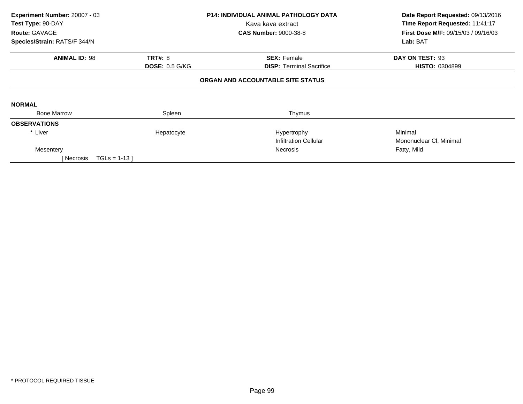| Experiment Number: 20007 - 03<br>Test Type: 90-DAY |                       | <b>P14: INDIVIDUAL ANIMAL PATHOLOGY DATA</b><br>Kava kava extract | Date Report Requested: 09/13/2016<br>Time Report Requested: 11:41:17 |  |
|----------------------------------------------------|-----------------------|-------------------------------------------------------------------|----------------------------------------------------------------------|--|
| Route: GAVAGE                                      |                       | <b>CAS Number: 9000-38-8</b>                                      | First Dose M/F: 09/15/03 / 09/16/03                                  |  |
| Species/Strain: RATS/F 344/N                       |                       |                                                                   | Lab: BAT                                                             |  |
| <b>ANIMAL ID: 98</b>                               | <b>TRT#: 8</b>        | <b>SEX: Female</b>                                                | DAY ON TEST: 93                                                      |  |
|                                                    | <b>DOSE: 0.5 G/KG</b> | <b>DISP:</b> Terminal Sacrifice                                   | <b>HISTO: 0304899</b>                                                |  |
|                                                    |                       | ORGAN AND ACCOUNTABLE SITE STATUS                                 |                                                                      |  |
| <b>NORMAL</b>                                      |                       |                                                                   |                                                                      |  |
| <b>Bone Marrow</b>                                 | Spleen                | Thymus                                                            |                                                                      |  |
| <b>OBSERVATIONS</b>                                |                       |                                                                   |                                                                      |  |
| * Liver                                            | Hepatocyte            | Hypertrophy                                                       | Minimal                                                              |  |
|                                                    |                       | <b>Infiltration Cellular</b>                                      | Mononuclear CI, Minimal                                              |  |
| Mesentery                                          |                       | Necrosis                                                          | Fatty, Mild                                                          |  |
| $TGLs = 1-13$<br>[ Necrosis                        |                       |                                                                   |                                                                      |  |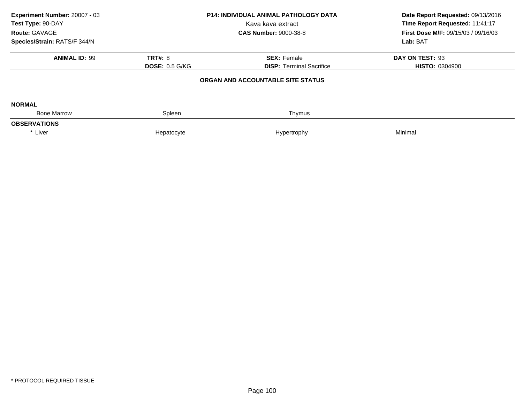| Experiment Number: 20007 - 03<br>Test Type: 90-DAY<br>Route: GAVAGE | <b>P14: INDIVIDUAL ANIMAL PATHOLOGY DATA</b><br>Kava kava extract<br><b>CAS Number: 9000-38-8</b> |                                   | Date Report Requested: 09/13/2016<br>Time Report Requested: 11:41:17<br><b>First Dose M/F: 09/15/03 / 09/16/03</b> |
|---------------------------------------------------------------------|---------------------------------------------------------------------------------------------------|-----------------------------------|--------------------------------------------------------------------------------------------------------------------|
| Species/Strain: RATS/F 344/N                                        |                                                                                                   |                                   | Lab: BAT                                                                                                           |
| <b>ANIMAL ID: 99</b>                                                | <b>TRT#: 8</b>                                                                                    | <b>SEX: Female</b>                | DAY ON TEST: 93                                                                                                    |
|                                                                     | <b>DOSE: 0.5 G/KG</b>                                                                             | <b>DISP: Terminal Sacrifice</b>   | <b>HISTO: 0304900</b>                                                                                              |
|                                                                     |                                                                                                   | ORGAN AND ACCOUNTABLE SITE STATUS |                                                                                                                    |
| <b>NORMAL</b>                                                       |                                                                                                   |                                   |                                                                                                                    |
| <b>Bone Marrow</b>                                                  | Spleen                                                                                            | Thymus                            |                                                                                                                    |
| <b>OBSERVATIONS</b>                                                 |                                                                                                   |                                   |                                                                                                                    |
| * Liver                                                             | Hepatocyte                                                                                        | Hypertrophy                       | Minimal                                                                                                            |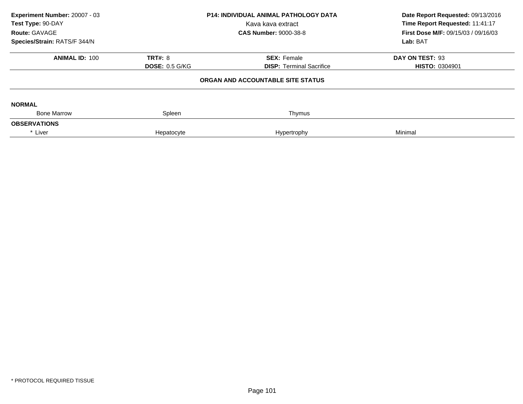| Experiment Number: 20007 - 03<br>Test Type: 90-DAY<br>Route: GAVAGE | <b>P14: INDIVIDUAL ANIMAL PATHOLOGY DATA</b><br>Kava kava extract<br><b>CAS Number: 9000-38-8</b> |                                   | Date Report Requested: 09/13/2016<br>Time Report Requested: 11:41:17<br><b>First Dose M/F: 09/15/03 / 09/16/03</b> |
|---------------------------------------------------------------------|---------------------------------------------------------------------------------------------------|-----------------------------------|--------------------------------------------------------------------------------------------------------------------|
| Species/Strain: RATS/F 344/N                                        |                                                                                                   |                                   | Lab: BAT                                                                                                           |
| <b>ANIMAL ID: 100</b>                                               | <b>TRT#: 8</b>                                                                                    | <b>SEX: Female</b>                | DAY ON TEST: 93                                                                                                    |
|                                                                     | <b>DOSE: 0.5 G/KG</b>                                                                             | <b>DISP:</b> Terminal Sacrifice   | <b>HISTO: 0304901</b>                                                                                              |
|                                                                     |                                                                                                   | ORGAN AND ACCOUNTABLE SITE STATUS |                                                                                                                    |
| <b>NORMAL</b>                                                       |                                                                                                   |                                   |                                                                                                                    |
| <b>Bone Marrow</b>                                                  | Spleen                                                                                            | Thymus                            |                                                                                                                    |
| <b>OBSERVATIONS</b>                                                 |                                                                                                   |                                   |                                                                                                                    |
| * Liver                                                             | Hepatocyte                                                                                        | Hypertrophy                       | Minimal                                                                                                            |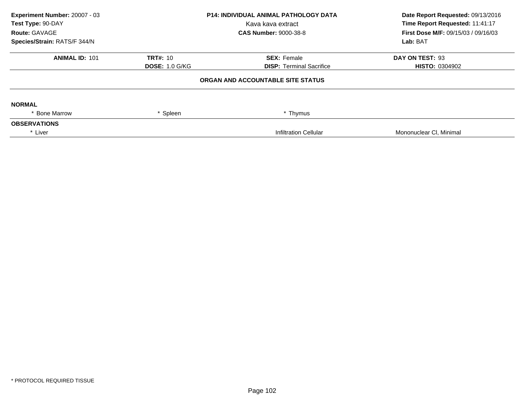| Experiment Number: 20007 - 03<br>Test Type: 90-DAY |                       | P14: INDIVIDUAL ANIMAL PATHOLOGY DATA<br>Kava kava extract | Date Report Requested: 09/13/2016<br>Time Report Requested: 11:41:17 |
|----------------------------------------------------|-----------------------|------------------------------------------------------------|----------------------------------------------------------------------|
| Route: GAVAGE                                      |                       | <b>CAS Number: 9000-38-8</b>                               | <b>First Dose M/F: 09/15/03 / 09/16/03</b>                           |
| Species/Strain: RATS/F 344/N                       |                       |                                                            | Lab: BAT                                                             |
| <b>ANIMAL ID: 101</b>                              | <b>TRT#: 10</b>       | <b>SEX: Female</b>                                         | DAY ON TEST: 93                                                      |
|                                                    | <b>DOSE: 1.0 G/KG</b> | <b>DISP:</b> Terminal Sacrifice                            | <b>HISTO: 0304902</b>                                                |
|                                                    |                       | ORGAN AND ACCOUNTABLE SITE STATUS                          |                                                                      |
| <b>NORMAL</b>                                      |                       |                                                            |                                                                      |
| * Bone Marrow                                      | * Spleen              | * Thymus                                                   |                                                                      |
| <b>OBSERVATIONS</b>                                |                       |                                                            |                                                                      |
| * Liver                                            |                       | <b>Infiltration Cellular</b>                               | Mononuclear CI, Minimal                                              |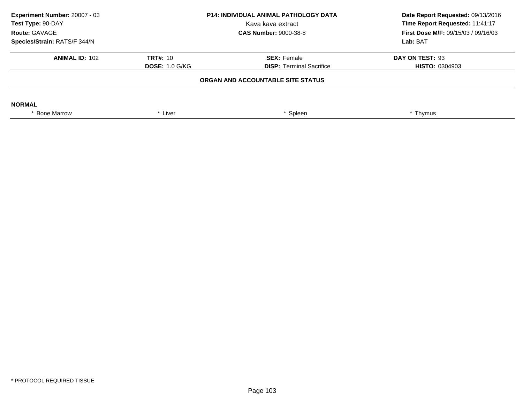| Experiment Number: 20007 - 03<br>Test Type: 90-DAY<br>Route: GAVAGE<br>Species/Strain: RATS/F 344/N | <b>P14: INDIVIDUAL ANIMAL PATHOLOGY DATA</b><br>Kava kava extract<br><b>CAS Number: 9000-38-8</b> |                                                       | Date Report Requested: 09/13/2016<br>Time Report Requested: 11:41:17<br><b>First Dose M/F: 09/15/03 / 09/16/03</b><br>Lab: BAT |
|-----------------------------------------------------------------------------------------------------|---------------------------------------------------------------------------------------------------|-------------------------------------------------------|--------------------------------------------------------------------------------------------------------------------------------|
| <b>ANIMAL ID: 102</b>                                                                               | <b>TRT#: 10</b><br><b>DOSE: 1.0 G/KG</b>                                                          | <b>SEX: Female</b><br><b>DISP: Terminal Sacrifice</b> | DAY ON TEST: 93<br><b>HISTO: 0304903</b>                                                                                       |
|                                                                                                     | ORGAN AND ACCOUNTABLE SITE STATUS                                                                 |                                                       |                                                                                                                                |
| <b>NORMAL</b>                                                                                       |                                                                                                   |                                                       |                                                                                                                                |
| * Bone Marrow                                                                                       | * Liver                                                                                           | Spleen                                                | * Thymus                                                                                                                       |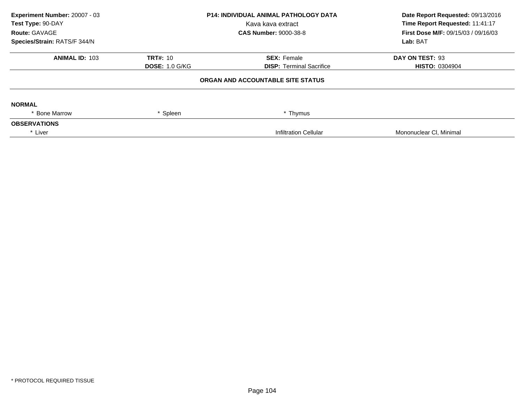| Experiment Number: 20007 - 03<br>Test Type: 90-DAY<br>Kava kava extract |                       | <b>P14: INDIVIDUAL ANIMAL PATHOLOGY DATA</b> | Date Report Requested: 09/13/2016<br>Time Report Requested: 11:41:17 |
|-------------------------------------------------------------------------|-----------------------|----------------------------------------------|----------------------------------------------------------------------|
|                                                                         |                       |                                              |                                                                      |
| Route: GAVAGE                                                           |                       | <b>CAS Number: 9000-38-8</b>                 | <b>First Dose M/F: 09/15/03 / 09/16/03</b>                           |
| Species/Strain: RATS/F 344/N                                            |                       |                                              | Lab: BAT                                                             |
| <b>ANIMAL ID: 103</b>                                                   | <b>TRT#: 10</b>       | <b>SEX: Female</b>                           | DAY ON TEST: 93                                                      |
|                                                                         | <b>DOSE: 1.0 G/KG</b> | <b>DISP:</b> Terminal Sacrifice              | <b>HISTO: 0304904</b>                                                |
|                                                                         |                       | ORGAN AND ACCOUNTABLE SITE STATUS            |                                                                      |
| <b>NORMAL</b>                                                           |                       |                                              |                                                                      |
| <b>Bone Marrow</b>                                                      | * Spleen              | * Thymus                                     |                                                                      |
| <b>OBSERVATIONS</b>                                                     |                       |                                              |                                                                      |
| * Liver                                                                 |                       | Infiltration Cellular                        | Mononuclear CI, Minimal                                              |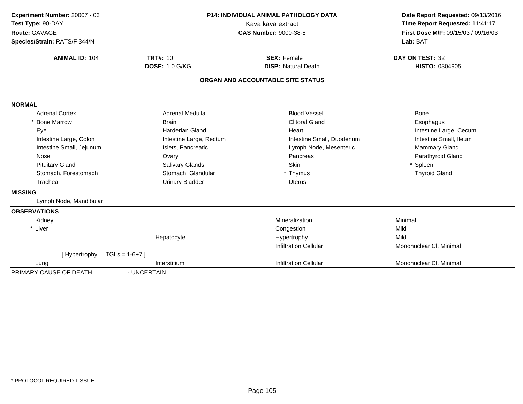| Experiment Number: 20007 - 03<br>Test Type: 90-DAY<br>Route: GAVAGE<br>Species/Strain: RATS/F 344/N | P14: INDIVIDUAL ANIMAL PATHOLOGY DATA<br>Kava kava extract<br><b>CAS Number: 9000-38-8</b> |                                                  | Date Report Requested: 09/13/2016<br>Time Report Requested: 11:41:17<br>First Dose M/F: 09/15/03 / 09/16/03<br>Lab: BAT |
|-----------------------------------------------------------------------------------------------------|--------------------------------------------------------------------------------------------|--------------------------------------------------|-------------------------------------------------------------------------------------------------------------------------|
| <b>ANIMAL ID: 104</b>                                                                               | <b>TRT#: 10</b><br><b>DOSE: 1.0 G/KG</b>                                                   | <b>SEX: Female</b><br><b>DISP: Natural Death</b> | DAY ON TEST: 32<br>HISTO: 0304905                                                                                       |
|                                                                                                     |                                                                                            | ORGAN AND ACCOUNTABLE SITE STATUS                |                                                                                                                         |
| <b>NORMAL</b>                                                                                       |                                                                                            |                                                  |                                                                                                                         |
| <b>Adrenal Cortex</b>                                                                               | Adrenal Medulla                                                                            | <b>Blood Vessel</b>                              | <b>Bone</b>                                                                                                             |
| * Bone Marrow                                                                                       | <b>Brain</b>                                                                               | <b>Clitoral Gland</b>                            | Esophagus                                                                                                               |
| Eye                                                                                                 | <b>Harderian Gland</b>                                                                     | Heart                                            | Intestine Large, Cecum                                                                                                  |
| Intestine Large, Colon                                                                              | Intestine Large, Rectum                                                                    | Intestine Small, Duodenum                        | Intestine Small, Ileum                                                                                                  |
| Intestine Small, Jejunum                                                                            | Islets, Pancreatic                                                                         | Lymph Node, Mesenteric                           | <b>Mammary Gland</b>                                                                                                    |
| Nose                                                                                                | Ovary                                                                                      | Pancreas                                         | Parathyroid Gland                                                                                                       |
| <b>Pituitary Gland</b>                                                                              | Salivary Glands                                                                            | Skin                                             | Spleen                                                                                                                  |
| Stomach, Forestomach                                                                                | Stomach, Glandular                                                                         | * Thymus                                         | <b>Thyroid Gland</b>                                                                                                    |
| Trachea                                                                                             | <b>Urinary Bladder</b>                                                                     | Uterus                                           |                                                                                                                         |
| <b>MISSING</b>                                                                                      |                                                                                            |                                                  |                                                                                                                         |
| Lymph Node, Mandibular                                                                              |                                                                                            |                                                  |                                                                                                                         |
| <b>OBSERVATIONS</b>                                                                                 |                                                                                            |                                                  |                                                                                                                         |
| Kidney                                                                                              |                                                                                            | Mineralization                                   | Minimal                                                                                                                 |
| * Liver                                                                                             |                                                                                            | Congestion                                       | Mild                                                                                                                    |
|                                                                                                     | Hepatocyte                                                                                 | Hypertrophy                                      | Mild                                                                                                                    |
|                                                                                                     |                                                                                            | <b>Infiltration Cellular</b>                     | Mononuclear CI, Minimal                                                                                                 |
| [Hypertrophy                                                                                        | $TGLs = 1-6+7$                                                                             |                                                  |                                                                                                                         |
| Lung                                                                                                | Interstitium                                                                               | <b>Infiltration Cellular</b>                     | Mononuclear CI, Minimal                                                                                                 |
| PRIMARY CAUSE OF DEATH                                                                              | - UNCERTAIN                                                                                |                                                  |                                                                                                                         |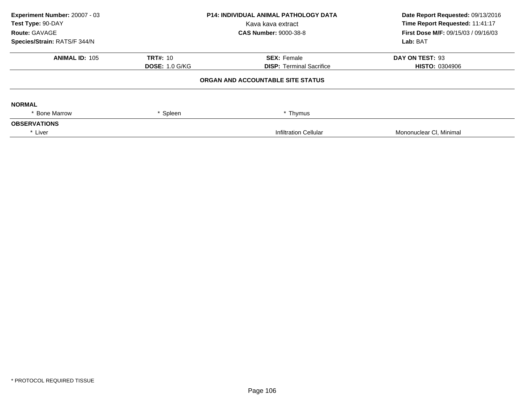| Experiment Number: 20007 - 03<br>Test Type: 90-DAY |                       | <b>P14: INDIVIDUAL ANIMAL PATHOLOGY DATA</b><br>Kava kava extract | Date Report Requested: 09/13/2016<br>Time Report Requested: 11:41:17 |
|----------------------------------------------------|-----------------------|-------------------------------------------------------------------|----------------------------------------------------------------------|
| Route: GAVAGE<br>Species/Strain: RATS/F 344/N      |                       | <b>CAS Number: 9000-38-8</b>                                      | <b>First Dose M/F: 09/15/03 / 09/16/03</b><br>Lab: BAT               |
|                                                    |                       |                                                                   |                                                                      |
| <b>ANIMAL ID: 105</b>                              | <b>TRT#: 10</b>       | <b>SEX: Female</b>                                                | DAY ON TEST: 93                                                      |
|                                                    | <b>DOSE: 1.0 G/KG</b> | <b>DISP: Terminal Sacrifice</b>                                   | <b>HISTO: 0304906</b>                                                |
|                                                    |                       | ORGAN AND ACCOUNTABLE SITE STATUS                                 |                                                                      |
| <b>NORMAL</b>                                      |                       |                                                                   |                                                                      |
| * Bone Marrow                                      | Spleen                | * Thymus                                                          |                                                                      |
| <b>OBSERVATIONS</b>                                |                       |                                                                   |                                                                      |
| * Liver                                            |                       | Infiltration Cellular                                             | Mononuclear CI, Minimal                                              |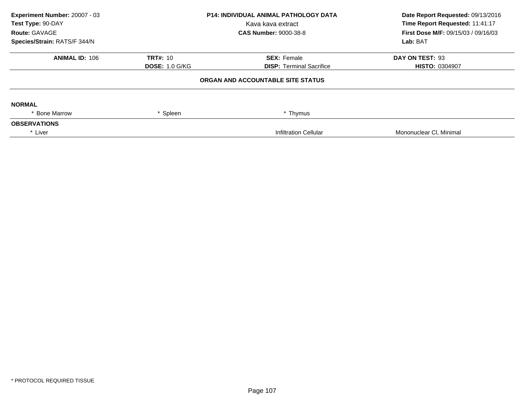| Experiment Number: 20007 - 03<br>Test Type: 90-DAY<br>Route: GAVAGE<br>Species/Strain: RATS/F 344/N |                                          | <b>P14: INDIVIDUAL ANIMAL PATHOLOGY DATA</b><br>Kava kava extract<br><b>CAS Number: 9000-38-8</b> | Date Report Requested: 09/13/2016<br>Time Report Requested: 11:41:17<br><b>First Dose M/F: 09/15/03 / 09/16/03</b><br>Lab: BAT |
|-----------------------------------------------------------------------------------------------------|------------------------------------------|---------------------------------------------------------------------------------------------------|--------------------------------------------------------------------------------------------------------------------------------|
|                                                                                                     |                                          |                                                                                                   |                                                                                                                                |
| <b>ANIMAL ID: 106</b>                                                                               | <b>TRT#: 10</b><br><b>DOSE: 1.0 G/KG</b> | <b>SEX: Female</b><br><b>DISP: Terminal Sacrifice</b>                                             | DAY ON TEST: 93<br><b>HISTO: 0304907</b>                                                                                       |
|                                                                                                     |                                          | ORGAN AND ACCOUNTABLE SITE STATUS                                                                 |                                                                                                                                |
| <b>NORMAL</b>                                                                                       |                                          |                                                                                                   |                                                                                                                                |
| * Bone Marrow                                                                                       | Spleen                                   | * Thymus                                                                                          |                                                                                                                                |
| <b>OBSERVATIONS</b>                                                                                 |                                          |                                                                                                   |                                                                                                                                |
| * Liver                                                                                             |                                          | Infiltration Cellular                                                                             | Mononuclear CI, Minimal                                                                                                        |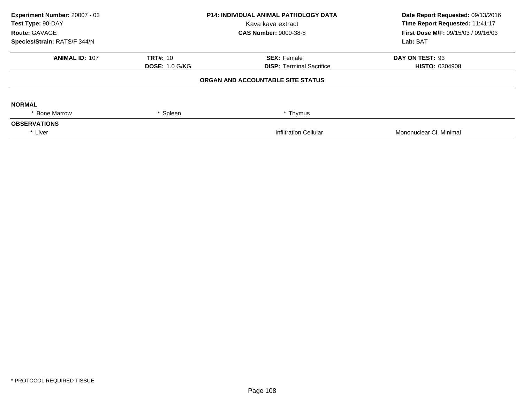| Experiment Number: 20007 - 03<br>Test Type: 90-DAY<br>Kava kava extract |                       | <b>P14: INDIVIDUAL ANIMAL PATHOLOGY DATA</b> | Date Report Requested: 09/13/2016<br>Time Report Requested: 11:41:17 |
|-------------------------------------------------------------------------|-----------------------|----------------------------------------------|----------------------------------------------------------------------|
|                                                                         |                       |                                              |                                                                      |
| Route: GAVAGE                                                           |                       | <b>CAS Number: 9000-38-8</b>                 | <b>First Dose M/F: 09/15/03 / 09/16/03</b>                           |
| Species/Strain: RATS/F 344/N                                            |                       |                                              | Lab: BAT                                                             |
| <b>ANIMAL ID: 107</b>                                                   | <b>TRT#: 10</b>       | <b>SEX: Female</b>                           | DAY ON TEST: 93                                                      |
|                                                                         | <b>DOSE: 1.0 G/KG</b> | <b>DISP:</b> Terminal Sacrifice              | <b>HISTO: 0304908</b>                                                |
|                                                                         |                       | ORGAN AND ACCOUNTABLE SITE STATUS            |                                                                      |
| <b>NORMAL</b>                                                           |                       |                                              |                                                                      |
| <b>Bone Marrow</b>                                                      | * Spleen              | * Thymus                                     |                                                                      |
| <b>OBSERVATIONS</b>                                                     |                       |                                              |                                                                      |
| * Liver                                                                 |                       | Infiltration Cellular                        | Mononuclear CI, Minimal                                              |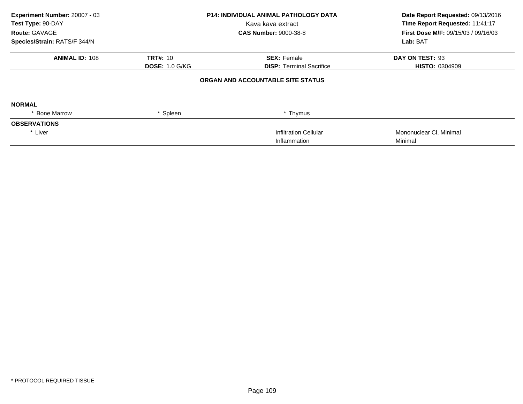| Experiment Number: 20007 - 03<br>Test Type: 90-DAY<br>Route: GAVAGE |                       | <b>P14: INDIVIDUAL ANIMAL PATHOLOGY DATA</b><br>Kava kava extract<br><b>CAS Number: 9000-38-8</b> | Date Report Requested: 09/13/2016<br>Time Report Requested: 11:41:17<br><b>First Dose M/F: 09/15/03 / 09/16/03</b> |
|---------------------------------------------------------------------|-----------------------|---------------------------------------------------------------------------------------------------|--------------------------------------------------------------------------------------------------------------------|
| Species/Strain: RATS/F 344/N                                        |                       |                                                                                                   | Lab: BAT                                                                                                           |
| <b>ANIMAL ID: 108</b>                                               | <b>TRT#: 10</b>       | <b>SEX: Female</b>                                                                                | DAY ON TEST: 93                                                                                                    |
|                                                                     | <b>DOSE: 1.0 G/KG</b> | <b>DISP:</b> Terminal Sacrifice                                                                   | <b>HISTO: 0304909</b>                                                                                              |
|                                                                     |                       | ORGAN AND ACCOUNTABLE SITE STATUS                                                                 |                                                                                                                    |
| <b>NORMAL</b>                                                       |                       |                                                                                                   |                                                                                                                    |
| * Bone Marrow                                                       | Spleen                | * Thymus                                                                                          |                                                                                                                    |
| <b>OBSERVATIONS</b>                                                 |                       |                                                                                                   |                                                                                                                    |
| * Liver                                                             |                       | <b>Infiltration Cellular</b>                                                                      | Mononuclear CI, Minimal                                                                                            |
|                                                                     |                       | Inflammation                                                                                      | Minimal                                                                                                            |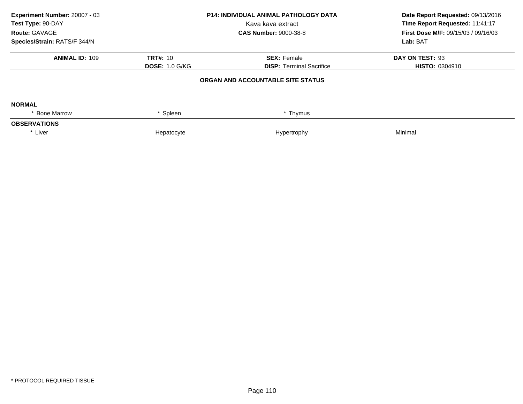| Experiment Number: 20007 - 03<br>Test Type: 90-DAY<br>Route: GAVAGE | <b>P14: INDIVIDUAL ANIMAL PATHOLOGY DATA</b><br>Kava kava extract<br><b>CAS Number: 9000-38-8</b> |                                   | Date Report Requested: 09/13/2016<br>Time Report Requested: 11:41:17<br><b>First Dose M/F: 09/15/03 / 09/16/03</b> |  |
|---------------------------------------------------------------------|---------------------------------------------------------------------------------------------------|-----------------------------------|--------------------------------------------------------------------------------------------------------------------|--|
| Species/Strain: RATS/F 344/N                                        |                                                                                                   |                                   | Lab: BAT                                                                                                           |  |
| <b>ANIMAL ID: 109</b>                                               | <b>TRT#: 10</b>                                                                                   | <b>SEX: Female</b>                | DAY ON TEST: 93                                                                                                    |  |
|                                                                     | <b>DOSE: 1.0 G/KG</b>                                                                             | <b>DISP: Terminal Sacrifice</b>   | <b>HISTO: 0304910</b>                                                                                              |  |
|                                                                     |                                                                                                   | ORGAN AND ACCOUNTABLE SITE STATUS |                                                                                                                    |  |
| <b>NORMAL</b>                                                       |                                                                                                   |                                   |                                                                                                                    |  |
| * Bone Marrow                                                       | * Spleen                                                                                          | * Thymus                          |                                                                                                                    |  |
| <b>OBSERVATIONS</b>                                                 |                                                                                                   |                                   |                                                                                                                    |  |
| * Liver                                                             | Hepatocyte                                                                                        | Hypertrophy                       | Minimal                                                                                                            |  |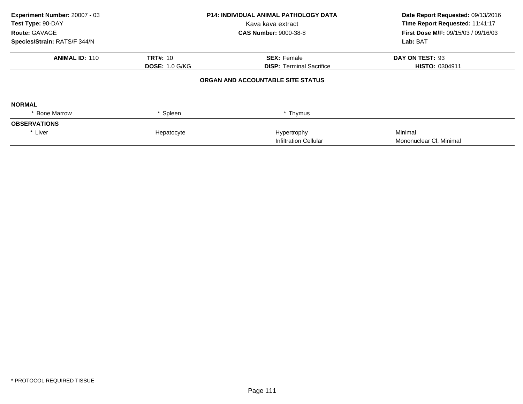| Experiment Number: 20007 - 03<br>Test Type: 90-DAY<br>Route: GAVAGE |                       | <b>P14: INDIVIDUAL ANIMAL PATHOLOGY DATA</b><br>Kava kava extract<br><b>CAS Number: 9000-38-8</b> | Date Report Requested: 09/13/2016<br>Time Report Requested: 11:41:17<br>First Dose M/F: 09/15/03 / 09/16/03<br>Lab: BAT |  |
|---------------------------------------------------------------------|-----------------------|---------------------------------------------------------------------------------------------------|-------------------------------------------------------------------------------------------------------------------------|--|
| Species/Strain: RATS/F 344/N                                        |                       |                                                                                                   |                                                                                                                         |  |
| <b>ANIMAL ID: 110</b>                                               | <b>TRT#: 10</b>       | <b>SEX: Female</b>                                                                                | DAY ON TEST: 93                                                                                                         |  |
|                                                                     | <b>DOSE: 1.0 G/KG</b> | <b>DISP: Terminal Sacrifice</b>                                                                   | <b>HISTO: 0304911</b>                                                                                                   |  |
|                                                                     |                       | ORGAN AND ACCOUNTABLE SITE STATUS                                                                 |                                                                                                                         |  |
| <b>NORMAL</b>                                                       |                       |                                                                                                   |                                                                                                                         |  |
| * Bone Marrow                                                       | * Spleen              | * Thymus                                                                                          |                                                                                                                         |  |
| <b>OBSERVATIONS</b>                                                 |                       |                                                                                                   |                                                                                                                         |  |
| * Liver                                                             | Hepatocyte            | Hypertrophy                                                                                       | Minimal                                                                                                                 |  |
|                                                                     |                       | <b>Infiltration Cellular</b>                                                                      | Mononuclear CI, Minimal                                                                                                 |  |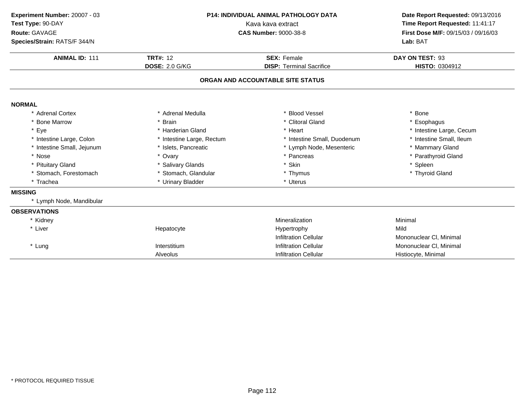| Experiment Number: 20007 - 03<br>Test Type: 90-DAY<br>Route: GAVAGE<br>Species/Strain: RATS/F 344/N | P14: INDIVIDUAL ANIMAL PATHOLOGY DATA<br>Kava kava extract<br><b>CAS Number: 9000-38-8</b> |                                                       | Date Report Requested: 09/13/2016<br>Time Report Requested: 11:41:17<br>First Dose M/F: 09/15/03 / 09/16/03<br>Lab: BAT |
|-----------------------------------------------------------------------------------------------------|--------------------------------------------------------------------------------------------|-------------------------------------------------------|-------------------------------------------------------------------------------------------------------------------------|
| <b>ANIMAL ID: 111</b>                                                                               | <b>TRT#: 12</b><br><b>DOSE: 2.0 G/KG</b>                                                   | <b>SEX: Female</b><br><b>DISP: Terminal Sacrifice</b> | DAY ON TEST: 93<br>HISTO: 0304912                                                                                       |
|                                                                                                     |                                                                                            | ORGAN AND ACCOUNTABLE SITE STATUS                     |                                                                                                                         |
| <b>NORMAL</b>                                                                                       |                                                                                            |                                                       |                                                                                                                         |
| * Adrenal Cortex                                                                                    | * Adrenal Medulla                                                                          | * Blood Vessel                                        | * Bone                                                                                                                  |
| * Bone Marrow                                                                                       | * Brain                                                                                    | * Clitoral Gland                                      | * Esophagus                                                                                                             |
| * Eye                                                                                               | * Harderian Gland                                                                          | * Heart                                               | * Intestine Large, Cecum                                                                                                |
| * Intestine Large, Colon                                                                            | * Intestine Large, Rectum                                                                  | * Intestine Small, Duodenum                           | * Intestine Small, Ileum                                                                                                |
| * Intestine Small, Jejunum                                                                          | * Islets, Pancreatic                                                                       | * Lymph Node, Mesenteric                              | * Mammary Gland                                                                                                         |
| * Nose                                                                                              | * Ovary                                                                                    | * Pancreas                                            | * Parathyroid Gland                                                                                                     |
| * Pituitary Gland                                                                                   | * Salivary Glands                                                                          | * Skin                                                | * Spleen                                                                                                                |
| * Stomach, Forestomach                                                                              | * Stomach, Glandular                                                                       | * Thymus                                              | * Thyroid Gland                                                                                                         |
| * Trachea                                                                                           | * Urinary Bladder                                                                          | * Uterus                                              |                                                                                                                         |
| <b>MISSING</b>                                                                                      |                                                                                            |                                                       |                                                                                                                         |
| * Lymph Node, Mandibular                                                                            |                                                                                            |                                                       |                                                                                                                         |
| <b>OBSERVATIONS</b>                                                                                 |                                                                                            |                                                       |                                                                                                                         |
| Kidney                                                                                              |                                                                                            | Mineralization                                        | Minimal                                                                                                                 |
| * Liver                                                                                             | Hepatocyte                                                                                 | Hypertrophy                                           | Mild                                                                                                                    |
|                                                                                                     |                                                                                            | <b>Infiltration Cellular</b>                          | Mononuclear CI, Minimal                                                                                                 |
| * Lung                                                                                              | Interstitium                                                                               | <b>Infiltration Cellular</b>                          | Mononuclear CI, Minimal                                                                                                 |
|                                                                                                     | Alveolus                                                                                   | <b>Infiltration Cellular</b>                          | Histiocyte, Minimal                                                                                                     |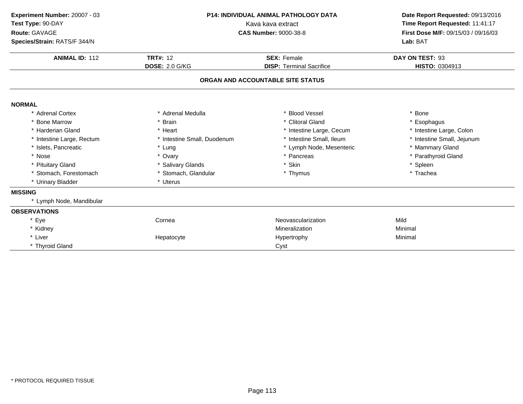| Experiment Number: 20007 - 03<br>Test Type: 90-DAY<br>Route: GAVAGE | P14: INDIVIDUAL ANIMAL PATHOLOGY DATA<br>Kava kava extract<br><b>CAS Number: 9000-38-8</b> |                                   | Date Report Requested: 09/13/2016<br>Time Report Requested: 11:41:17<br>First Dose M/F: 09/15/03 / 09/16/03 |  |
|---------------------------------------------------------------------|--------------------------------------------------------------------------------------------|-----------------------------------|-------------------------------------------------------------------------------------------------------------|--|
| Species/Strain: RATS/F 344/N                                        |                                                                                            |                                   | Lab: BAT                                                                                                    |  |
| <b>ANIMAL ID: 112</b>                                               | <b>TRT#: 12</b>                                                                            | <b>SEX: Female</b>                | DAY ON TEST: 93                                                                                             |  |
|                                                                     | <b>DOSE: 2.0 G/KG</b>                                                                      | <b>DISP: Terminal Sacrifice</b>   | HISTO: 0304913                                                                                              |  |
|                                                                     |                                                                                            | ORGAN AND ACCOUNTABLE SITE STATUS |                                                                                                             |  |
| <b>NORMAL</b>                                                       |                                                                                            |                                   |                                                                                                             |  |
| * Adrenal Cortex                                                    | * Adrenal Medulla                                                                          | * Blood Vessel                    | * Bone                                                                                                      |  |
| * Bone Marrow                                                       | * Brain                                                                                    | * Clitoral Gland                  | * Esophagus                                                                                                 |  |
| * Harderian Gland                                                   | * Heart                                                                                    | * Intestine Large, Cecum          | * Intestine Large, Colon                                                                                    |  |
| * Intestine Large, Rectum                                           | * Intestine Small, Duodenum                                                                | * Intestine Small, Ileum          | * Intestine Small, Jejunum                                                                                  |  |
| * Islets, Pancreatic                                                | * Lung                                                                                     | * Lymph Node, Mesenteric          | * Mammary Gland                                                                                             |  |
| * Nose                                                              | * Ovary                                                                                    | * Pancreas                        | * Parathyroid Gland                                                                                         |  |
| * Pituitary Gland                                                   | * Salivary Glands                                                                          | * Skin                            | * Spleen                                                                                                    |  |
| * Stomach, Forestomach                                              | * Stomach, Glandular                                                                       | * Thymus                          | * Trachea                                                                                                   |  |
| * Urinary Bladder                                                   | * Uterus                                                                                   |                                   |                                                                                                             |  |
| <b>MISSING</b>                                                      |                                                                                            |                                   |                                                                                                             |  |
| * Lymph Node, Mandibular                                            |                                                                                            |                                   |                                                                                                             |  |
| <b>OBSERVATIONS</b>                                                 |                                                                                            |                                   |                                                                                                             |  |
| * Eye                                                               | Cornea                                                                                     | Neovascularization                | Mild                                                                                                        |  |
| * Kidney                                                            |                                                                                            | Mineralization                    | Minimal                                                                                                     |  |
| * Liver                                                             | Hepatocyte                                                                                 | Hypertrophy                       | Minimal                                                                                                     |  |
| * Thyroid Gland                                                     |                                                                                            | Cyst                              |                                                                                                             |  |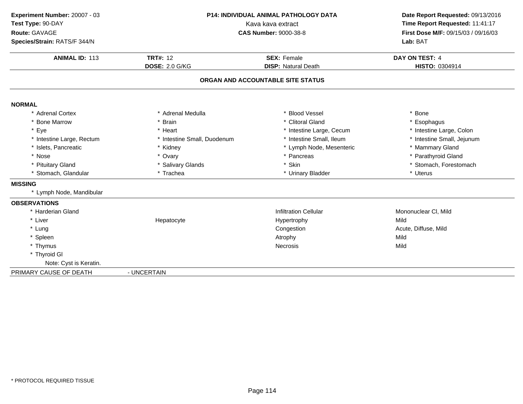| Experiment Number: 20007 - 03 |                             | P14: INDIVIDUAL ANIMAL PATHOLOGY DATA | Date Report Requested: 09/13/2016   |
|-------------------------------|-----------------------------|---------------------------------------|-------------------------------------|
| Test Type: 90-DAY             | Kava kava extract           |                                       | Time Report Requested: 11:41:17     |
| Route: GAVAGE                 |                             | <b>CAS Number: 9000-38-8</b>          | First Dose M/F: 09/15/03 / 09/16/03 |
| Species/Strain: RATS/F 344/N  |                             |                                       | Lab: BAT                            |
| <b>ANIMAL ID: 113</b>         | <b>TRT#: 12</b>             | <b>SEX: Female</b>                    | DAY ON TEST: 4                      |
|                               | <b>DOSE: 2.0 G/KG</b>       | <b>DISP: Natural Death</b>            | HISTO: 0304914                      |
|                               |                             | ORGAN AND ACCOUNTABLE SITE STATUS     |                                     |
| <b>NORMAL</b>                 |                             |                                       |                                     |
| * Adrenal Cortex              | * Adrenal Medulla           | * Blood Vessel                        | * Bone                              |
| * Bone Marrow                 | * Brain                     | * Clitoral Gland                      | * Esophagus                         |
| * Eye                         | * Heart                     | * Intestine Large, Cecum              | * Intestine Large, Colon            |
| * Intestine Large, Rectum     | * Intestine Small, Duodenum | * Intestine Small, Ileum              | * Intestine Small, Jejunum          |
| * Islets, Pancreatic          | * Kidney                    | * Lymph Node, Mesenteric              | * Mammary Gland                     |
| * Nose                        | * Ovary                     | * Pancreas                            | * Parathyroid Gland                 |
| * Pituitary Gland             | * Salivary Glands           | * Skin                                | * Stomach, Forestomach              |
| * Stomach, Glandular          | * Trachea                   | * Urinary Bladder                     | * Uterus                            |
| <b>MISSING</b>                |                             |                                       |                                     |
| * Lymph Node, Mandibular      |                             |                                       |                                     |
| <b>OBSERVATIONS</b>           |                             |                                       |                                     |
| * Harderian Gland             |                             | <b>Infiltration Cellular</b>          | Mononuclear CI, Mild                |
| * Liver                       | Hepatocyte                  | Hypertrophy                           | Mild                                |
| * Lung                        |                             | Congestion                            | Acute, Diffuse, Mild                |
| * Spleen                      |                             | Atrophy                               | Mild                                |
| * Thymus                      |                             | Necrosis                              | Mild                                |
| * Thyroid GI                  |                             |                                       |                                     |
| Note: Cyst is Keratin.        |                             |                                       |                                     |
| PRIMARY CAUSE OF DEATH        | - UNCERTAIN                 |                                       |                                     |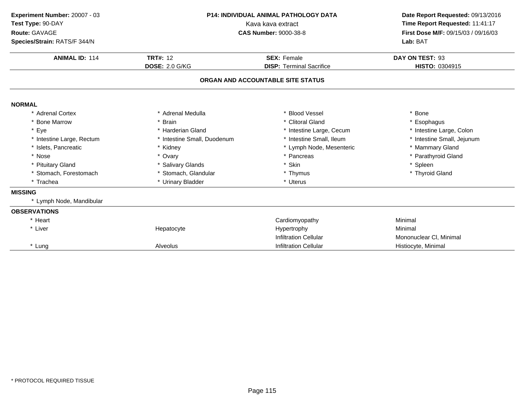| Experiment Number: 20007 - 03<br>Test Type: 90-DAY<br>Route: GAVAGE | <b>P14: INDIVIDUAL ANIMAL PATHOLOGY DATA</b><br>Kava kava extract<br><b>CAS Number: 9000-38-8</b> |                                   | Date Report Requested: 09/13/2016<br>Time Report Requested: 11:41:17<br>First Dose M/F: 09/15/03 / 09/16/03 |  |
|---------------------------------------------------------------------|---------------------------------------------------------------------------------------------------|-----------------------------------|-------------------------------------------------------------------------------------------------------------|--|
| Species/Strain: RATS/F 344/N                                        |                                                                                                   |                                   | Lab: BAT                                                                                                    |  |
| <b>ANIMAL ID: 114</b>                                               | <b>TRT#: 12</b>                                                                                   | <b>SEX: Female</b>                | DAY ON TEST: 93                                                                                             |  |
|                                                                     | <b>DOSE: 2.0 G/KG</b>                                                                             | <b>DISP: Terminal Sacrifice</b>   | HISTO: 0304915                                                                                              |  |
|                                                                     |                                                                                                   | ORGAN AND ACCOUNTABLE SITE STATUS |                                                                                                             |  |
| <b>NORMAL</b>                                                       |                                                                                                   |                                   |                                                                                                             |  |
| * Adrenal Cortex                                                    | * Adrenal Medulla                                                                                 | * Blood Vessel                    | * Bone                                                                                                      |  |
| <b>Bone Marrow</b>                                                  | * Brain                                                                                           | * Clitoral Gland                  | * Esophagus                                                                                                 |  |
| * Eye                                                               | * Harderian Gland                                                                                 | * Intestine Large, Cecum          | * Intestine Large, Colon                                                                                    |  |
| * Intestine Large, Rectum                                           | * Intestine Small, Duodenum                                                                       | * Intestine Small, Ileum          | * Intestine Small, Jejunum                                                                                  |  |
| * Islets, Pancreatic                                                | * Kidney                                                                                          | * Lymph Node, Mesenteric          | * Mammary Gland                                                                                             |  |
| * Nose                                                              | * Ovary                                                                                           | * Pancreas                        | * Parathyroid Gland                                                                                         |  |
| * Pituitary Gland                                                   | * Salivary Glands                                                                                 | * Skin                            | * Spleen                                                                                                    |  |
| * Stomach, Forestomach                                              | * Stomach, Glandular                                                                              | * Thymus                          | * Thyroid Gland                                                                                             |  |
| * Trachea                                                           | * Urinary Bladder                                                                                 | * Uterus                          |                                                                                                             |  |
| <b>MISSING</b>                                                      |                                                                                                   |                                   |                                                                                                             |  |
| * Lymph Node, Mandibular                                            |                                                                                                   |                                   |                                                                                                             |  |
| <b>OBSERVATIONS</b>                                                 |                                                                                                   |                                   |                                                                                                             |  |
| * Heart                                                             |                                                                                                   | Cardiomyopathy                    | Minimal                                                                                                     |  |
| * Liver                                                             | Hepatocyte                                                                                        | Hypertrophy                       | Minimal                                                                                                     |  |
|                                                                     |                                                                                                   | <b>Infiltration Cellular</b>      | Mononuclear CI, Minimal                                                                                     |  |
| * Lung                                                              | Alveolus                                                                                          | <b>Infiltration Cellular</b>      | Histiocyte, Minimal                                                                                         |  |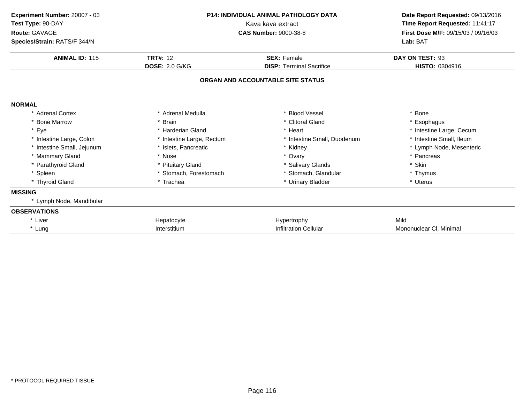| Experiment Number: 20007 - 03<br>Test Type: 90-DAY<br>Route: GAVAGE<br>Species/Strain: RATS/F 344/N | <b>P14: INDIVIDUAL ANIMAL PATHOLOGY DATA</b><br>Kava kava extract<br><b>CAS Number: 9000-38-8</b> |                                   | Date Report Requested: 09/13/2016<br>Time Report Requested: 11:41:17<br>First Dose M/F: 09/15/03 / 09/16/03<br>Lab: BAT |
|-----------------------------------------------------------------------------------------------------|---------------------------------------------------------------------------------------------------|-----------------------------------|-------------------------------------------------------------------------------------------------------------------------|
| <b>ANIMAL ID: 115</b>                                                                               | <b>TRT#: 12</b>                                                                                   | <b>SEX: Female</b>                | DAY ON TEST: 93                                                                                                         |
|                                                                                                     | <b>DOSE: 2.0 G/KG</b>                                                                             | <b>DISP: Terminal Sacrifice</b>   | HISTO: 0304916                                                                                                          |
|                                                                                                     |                                                                                                   | ORGAN AND ACCOUNTABLE SITE STATUS |                                                                                                                         |
| <b>NORMAL</b>                                                                                       |                                                                                                   |                                   |                                                                                                                         |
| * Adrenal Cortex                                                                                    | * Adrenal Medulla                                                                                 | * Blood Vessel                    | * Bone                                                                                                                  |
| * Bone Marrow                                                                                       | <b>Brain</b>                                                                                      | * Clitoral Gland                  | * Esophagus                                                                                                             |
| * Eye                                                                                               | * Harderian Gland                                                                                 | * Heart                           | * Intestine Large, Cecum                                                                                                |
| * Intestine Large, Colon                                                                            | * Intestine Large, Rectum                                                                         | * Intestine Small, Duodenum       | * Intestine Small, Ileum                                                                                                |
| * Intestine Small, Jejunum                                                                          | * Islets, Pancreatic                                                                              | * Kidney                          | * Lymph Node, Mesenteric                                                                                                |
| * Mammary Gland                                                                                     | * Nose                                                                                            | * Ovary                           | * Pancreas                                                                                                              |
| * Parathyroid Gland                                                                                 | <b>Pituitary Gland</b>                                                                            | * Salivary Glands                 | * Skin                                                                                                                  |
| * Spleen                                                                                            | * Stomach, Forestomach                                                                            | * Stomach, Glandular              | * Thymus                                                                                                                |
| * Thyroid Gland                                                                                     | * Trachea                                                                                         | * Urinary Bladder                 | * Uterus                                                                                                                |
| <b>MISSING</b>                                                                                      |                                                                                                   |                                   |                                                                                                                         |
| * Lymph Node, Mandibular                                                                            |                                                                                                   |                                   |                                                                                                                         |
| <b>OBSERVATIONS</b>                                                                                 |                                                                                                   |                                   |                                                                                                                         |
| * Liver                                                                                             | Hepatocyte                                                                                        | Hypertrophy                       | Mild                                                                                                                    |
| * Lung                                                                                              | Interstitium                                                                                      | <b>Infiltration Cellular</b>      | Mononuclear CI, Minimal                                                                                                 |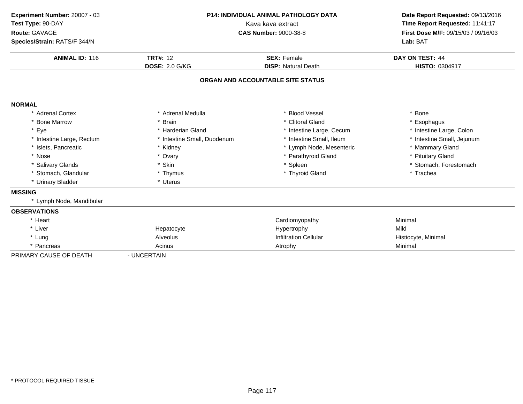| Experiment Number: 20007 - 03 | <b>P14: INDIVIDUAL ANIMAL PATHOLOGY DATA</b><br>Kava kava extract |                                   | Date Report Requested: 09/13/2016<br>Time Report Requested: 11:41:17 |  |
|-------------------------------|-------------------------------------------------------------------|-----------------------------------|----------------------------------------------------------------------|--|
| Test Type: 90-DAY             |                                                                   |                                   |                                                                      |  |
| Route: GAVAGE                 |                                                                   | <b>CAS Number: 9000-38-8</b>      | First Dose M/F: 09/15/03 / 09/16/03                                  |  |
| Species/Strain: RATS/F 344/N  |                                                                   |                                   | Lab: BAT                                                             |  |
| <b>ANIMAL ID: 116</b>         | <b>TRT#: 12</b>                                                   | <b>SEX: Female</b>                | DAY ON TEST: 44                                                      |  |
|                               | <b>DOSE: 2.0 G/KG</b>                                             | <b>DISP: Natural Death</b>        | HISTO: 0304917                                                       |  |
|                               |                                                                   | ORGAN AND ACCOUNTABLE SITE STATUS |                                                                      |  |
| <b>NORMAL</b>                 |                                                                   |                                   |                                                                      |  |
| * Adrenal Cortex              | * Adrenal Medulla                                                 | * Blood Vessel                    | * Bone                                                               |  |
| * Bone Marrow                 | * Brain                                                           | * Clitoral Gland                  | * Esophagus                                                          |  |
| * Eye                         | * Harderian Gland                                                 | * Intestine Large, Cecum          | * Intestine Large, Colon                                             |  |
| * Intestine Large, Rectum     | * Intestine Small, Duodenum                                       | * Intestine Small, Ileum          | * Intestine Small, Jejunum                                           |  |
| * Islets, Pancreatic          | * Kidney                                                          | * Lymph Node, Mesenteric          | * Mammary Gland                                                      |  |
| * Nose                        | * Ovary                                                           | * Parathyroid Gland               | * Pituitary Gland                                                    |  |
| * Salivary Glands             | * Skin                                                            | * Spleen                          | * Stomach, Forestomach                                               |  |
| * Stomach, Glandular          | * Thymus                                                          | * Thyroid Gland                   | * Trachea                                                            |  |
| * Urinary Bladder             | * Uterus                                                          |                                   |                                                                      |  |
| <b>MISSING</b>                |                                                                   |                                   |                                                                      |  |
| * Lymph Node, Mandibular      |                                                                   |                                   |                                                                      |  |
| <b>OBSERVATIONS</b>           |                                                                   |                                   |                                                                      |  |
| * Heart                       |                                                                   | Cardiomyopathy                    | Minimal                                                              |  |
| * Liver                       | Hepatocyte                                                        | Hypertrophy                       | Mild                                                                 |  |
| * Lung                        | Alveolus                                                          | <b>Infiltration Cellular</b>      | Histiocyte, Minimal                                                  |  |
| * Pancreas                    | Acinus                                                            | Atrophy                           | Minimal                                                              |  |
| PRIMARY CAUSE OF DEATH        | - UNCERTAIN                                                       |                                   |                                                                      |  |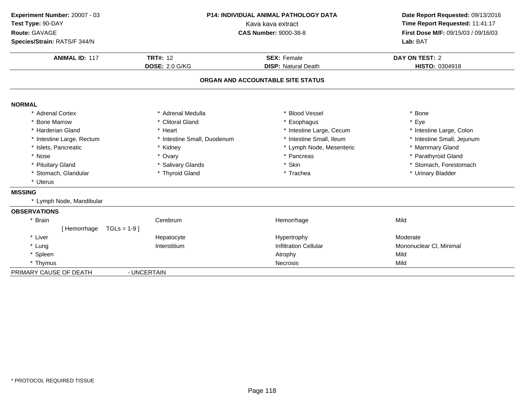| P14: INDIVIDUAL ANIMAL PATHOLOGY DATA<br>Experiment Number: 20007 - 03<br>Test Type: 90-DAY<br>Kava kava extract |                             |                                   | Date Report Requested: 09/13/2016<br>Time Report Requested: 11:41:17 |
|------------------------------------------------------------------------------------------------------------------|-----------------------------|-----------------------------------|----------------------------------------------------------------------|
| Route: GAVAGE<br>Species/Strain: RATS/F 344/N                                                                    |                             | <b>CAS Number: 9000-38-8</b>      | First Dose M/F: 09/15/03 / 09/16/03<br>Lab: BAT                      |
| <b>ANIMAL ID: 117</b>                                                                                            | <b>TRT#: 12</b>             | <b>SEX: Female</b>                | DAY ON TEST: 2                                                       |
|                                                                                                                  | <b>DOSE: 2.0 G/KG</b>       | <b>DISP: Natural Death</b>        | HISTO: 0304918                                                       |
|                                                                                                                  |                             | ORGAN AND ACCOUNTABLE SITE STATUS |                                                                      |
| <b>NORMAL</b>                                                                                                    |                             |                                   |                                                                      |
| * Adrenal Cortex                                                                                                 | * Adrenal Medulla           | * Blood Vessel                    | * Bone                                                               |
| * Bone Marrow                                                                                                    | * Clitoral Gland            | * Esophagus                       | * Eye                                                                |
| * Harderian Gland                                                                                                | * Heart                     | * Intestine Large, Cecum          | * Intestine Large, Colon                                             |
| * Intestine Large, Rectum                                                                                        | * Intestine Small, Duodenum | * Intestine Small, Ileum          | * Intestine Small, Jejunum                                           |
| * Islets, Pancreatic                                                                                             | * Kidney                    | * Lymph Node, Mesenteric          | * Mammary Gland                                                      |
| * Nose                                                                                                           | * Ovary                     | * Pancreas                        | * Parathyroid Gland                                                  |
| * Pituitary Gland                                                                                                | * Salivary Glands           | * Skin                            | * Stomach, Forestomach                                               |
| * Stomach, Glandular                                                                                             | * Thyroid Gland             | * Trachea                         | * Urinary Bladder                                                    |
| * Uterus                                                                                                         |                             |                                   |                                                                      |
| <b>MISSING</b>                                                                                                   |                             |                                   |                                                                      |
| * Lymph Node, Mandibular                                                                                         |                             |                                   |                                                                      |
| <b>OBSERVATIONS</b>                                                                                              |                             |                                   |                                                                      |
| * Brain                                                                                                          | Cerebrum                    | Hemorrhage                        | Mild                                                                 |
| [Hemorrhage<br>$TGLs = 1-9$ ]                                                                                    |                             |                                   |                                                                      |
| * Liver                                                                                                          | Hepatocyte                  | Hypertrophy                       | Moderate                                                             |
| * Lung                                                                                                           | Interstitium                | <b>Infiltration Cellular</b>      | Mononuclear CI, Minimal                                              |
| * Spleen                                                                                                         |                             | Atrophy                           | Mild                                                                 |
| * Thymus                                                                                                         |                             | <b>Necrosis</b>                   | Mild                                                                 |
| PRIMARY CAUSE OF DEATH                                                                                           | - UNCERTAIN                 |                                   |                                                                      |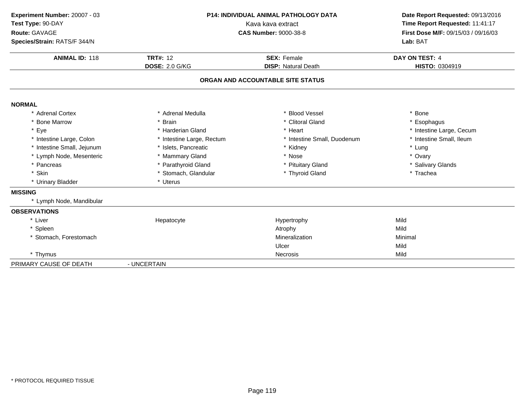| Experiment Number: 20007 - 03<br>Test Type: 90-DAY<br>Route: GAVAGE<br>Species/Strain: RATS/F 344/N |                                          | P14: INDIVIDUAL ANIMAL PATHOLOGY DATA<br>Kava kava extract<br><b>CAS Number: 9000-38-8</b> |                                  |
|-----------------------------------------------------------------------------------------------------|------------------------------------------|--------------------------------------------------------------------------------------------|----------------------------------|
| <b>ANIMAL ID: 118</b>                                                                               | <b>TRT#: 12</b><br><b>DOSE: 2.0 G/KG</b> | <b>SEX: Female</b><br><b>DISP:</b> Natural Death                                           | DAY ON TEST: 4<br>HISTO: 0304919 |
|                                                                                                     |                                          | ORGAN AND ACCOUNTABLE SITE STATUS                                                          |                                  |
| <b>NORMAL</b>                                                                                       |                                          |                                                                                            |                                  |
| * Adrenal Cortex                                                                                    | * Adrenal Medulla                        | * Blood Vessel                                                                             | * Bone                           |
| * Bone Marrow                                                                                       | * Brain                                  | * Clitoral Gland                                                                           | * Esophagus                      |
| * Eye                                                                                               | * Harderian Gland                        | * Heart                                                                                    | * Intestine Large, Cecum         |
| * Intestine Large, Colon                                                                            | * Intestine Large, Rectum                | * Intestine Small, Duodenum                                                                | * Intestine Small, Ileum         |
| * Intestine Small, Jejunum                                                                          | * Islets, Pancreatic                     | * Kidney                                                                                   | * Lung                           |
| * Lymph Node, Mesenteric                                                                            | * Mammary Gland                          | * Nose                                                                                     | * Ovary                          |
| * Pancreas                                                                                          | * Parathyroid Gland                      | * Pituitary Gland                                                                          | * Salivary Glands                |
| * Skin                                                                                              | * Stomach, Glandular                     | * Thyroid Gland                                                                            | * Trachea                        |
| * Urinary Bladder                                                                                   | * Uterus                                 |                                                                                            |                                  |
| <b>MISSING</b>                                                                                      |                                          |                                                                                            |                                  |
| * Lymph Node, Mandibular                                                                            |                                          |                                                                                            |                                  |
| <b>OBSERVATIONS</b>                                                                                 |                                          |                                                                                            |                                  |
| * Liver                                                                                             | Hepatocyte                               | Hypertrophy                                                                                | Mild                             |
| * Spleen                                                                                            |                                          | Atrophy                                                                                    | Mild                             |
| * Stomach, Forestomach                                                                              |                                          | Mineralization                                                                             | Minimal                          |
|                                                                                                     |                                          | Ulcer                                                                                      | Mild                             |
| * Thymus                                                                                            |                                          | Necrosis                                                                                   | Mild                             |
| PRIMARY CAUSE OF DEATH                                                                              | - UNCERTAIN                              |                                                                                            |                                  |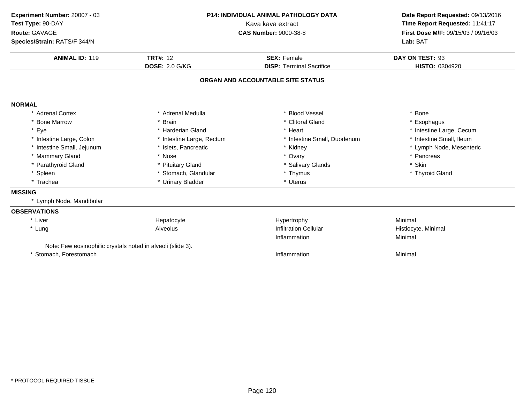| Experiment Number: 20007 - 03<br>Test Type: 90-DAY<br>Route: GAVAGE |                           | <b>P14: INDIVIDUAL ANIMAL PATHOLOGY DATA</b><br>Kava kava extract<br><b>CAS Number: 9000-38-8</b> |                                                 |  |
|---------------------------------------------------------------------|---------------------------|---------------------------------------------------------------------------------------------------|-------------------------------------------------|--|
| Species/Strain: RATS/F 344/N                                        |                           |                                                                                                   | First Dose M/F: 09/15/03 / 09/16/03<br>Lab: BAT |  |
| <b>ANIMAL ID: 119</b>                                               | <b>TRT#: 12</b>           | <b>SEX: Female</b>                                                                                | DAY ON TEST: 93                                 |  |
|                                                                     | <b>DOSE: 2.0 G/KG</b>     | <b>DISP: Terminal Sacrifice</b>                                                                   | HISTO: 0304920                                  |  |
|                                                                     |                           | ORGAN AND ACCOUNTABLE SITE STATUS                                                                 |                                                 |  |
| <b>NORMAL</b>                                                       |                           |                                                                                                   |                                                 |  |
| * Adrenal Cortex                                                    | * Adrenal Medulla         | <b>Blood Vessel</b>                                                                               | * Bone                                          |  |
| * Bone Marrow                                                       | * Brain                   | * Clitoral Gland                                                                                  | * Esophagus                                     |  |
| * Eye                                                               | * Harderian Gland         | * Heart                                                                                           | * Intestine Large, Cecum                        |  |
| * Intestine Large, Colon                                            | * Intestine Large, Rectum | * Intestine Small, Duodenum                                                                       | * Intestine Small, Ileum                        |  |
| * Intestine Small, Jejunum                                          | * Islets, Pancreatic      | * Kidney                                                                                          | * Lymph Node, Mesenteric                        |  |
| * Mammary Gland                                                     | * Nose                    | * Ovary                                                                                           | * Pancreas                                      |  |
| * Parathyroid Gland                                                 | * Pituitary Gland         | * Salivary Glands                                                                                 | * Skin                                          |  |
| * Spleen                                                            | * Stomach, Glandular      | * Thymus                                                                                          | * Thyroid Gland                                 |  |
| * Trachea                                                           | * Urinary Bladder         | * Uterus                                                                                          |                                                 |  |
| <b>MISSING</b>                                                      |                           |                                                                                                   |                                                 |  |
| * Lymph Node, Mandibular                                            |                           |                                                                                                   |                                                 |  |
| <b>OBSERVATIONS</b>                                                 |                           |                                                                                                   |                                                 |  |
| * Liver                                                             | Hepatocyte                | Hypertrophy                                                                                       | Minimal                                         |  |
| * Lung                                                              | Alveolus                  | <b>Infiltration Cellular</b>                                                                      | Histiocyte, Minimal                             |  |
|                                                                     |                           | Inflammation                                                                                      | Minimal                                         |  |
| Note: Few eosinophilic crystals noted in alveoli (slide 3).         |                           |                                                                                                   |                                                 |  |
| * Stomach, Forestomach                                              |                           | Inflammation                                                                                      | Minimal                                         |  |